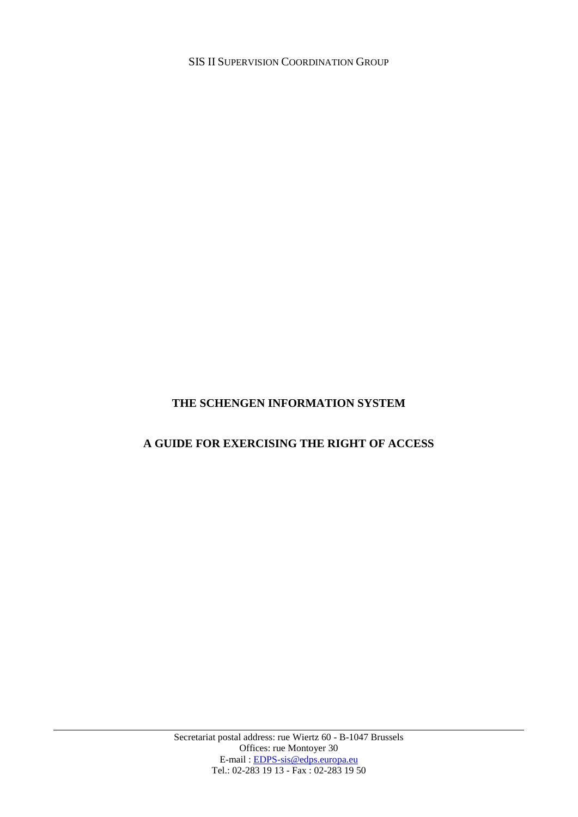SIS II SUPERVISION COORDINATION GROUP

# **THE SCHENGEN INFORMATION SYSTEM**

# **A GUIDE FOR EXERCISING THE RIGHT OF ACCESS**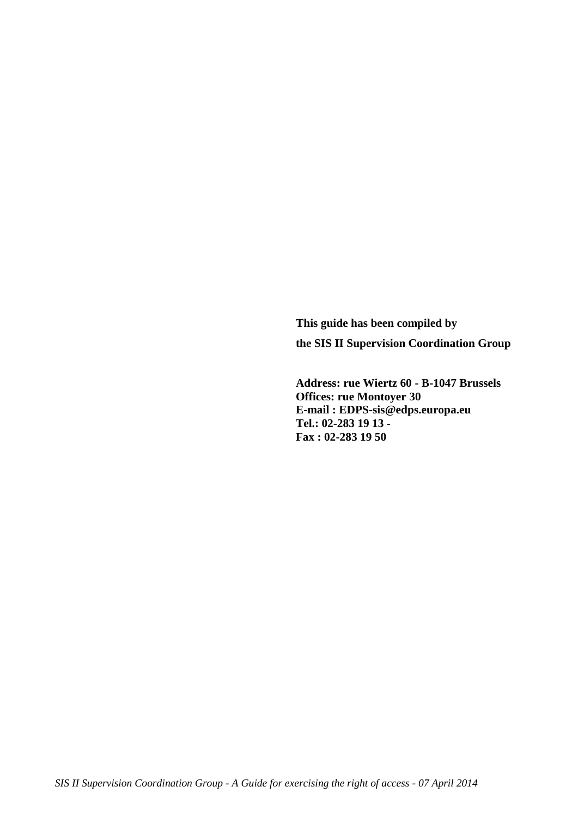**This guide has been compiled by the SIS II Supervision Coordination Group**

**Address: rue Wiertz 60 - B-1047 Brussels Offices: rue Montoyer 30 E-mail : EDPS-sis@edps.europa.eu Tel.: 02-283 19 13 - Fax : 02-283 19 50**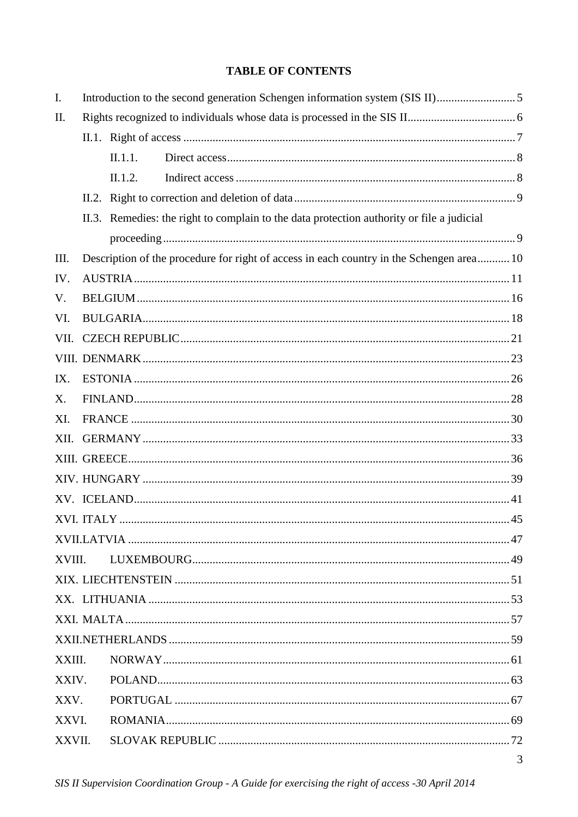# **TABLE OF CONTENTS**

| I.          |           |                                                                                           |                                                                                          |    |  |
|-------------|-----------|-------------------------------------------------------------------------------------------|------------------------------------------------------------------------------------------|----|--|
| II.         |           |                                                                                           |                                                                                          |    |  |
|             |           |                                                                                           |                                                                                          |    |  |
|             |           | II.1.1.                                                                                   |                                                                                          |    |  |
|             |           | II.1.2.                                                                                   |                                                                                          |    |  |
|             |           |                                                                                           |                                                                                          |    |  |
|             |           | II.3. Remedies: the right to complain to the data protection authority or file a judicial |                                                                                          |    |  |
|             |           |                                                                                           |                                                                                          |    |  |
| III.        |           |                                                                                           | Description of the procedure for right of access in each country in the Schengen area 10 |    |  |
| IV.         |           |                                                                                           |                                                                                          |    |  |
| V.          |           |                                                                                           |                                                                                          |    |  |
| VI.         |           |                                                                                           |                                                                                          |    |  |
| VII.        |           |                                                                                           |                                                                                          |    |  |
|             |           |                                                                                           |                                                                                          |    |  |
| IX.         |           |                                                                                           |                                                                                          |    |  |
| $X_{\cdot}$ |           |                                                                                           |                                                                                          |    |  |
| XI.         |           |                                                                                           |                                                                                          |    |  |
| XII.        |           |                                                                                           |                                                                                          |    |  |
|             |           |                                                                                           |                                                                                          |    |  |
|             |           |                                                                                           |                                                                                          |    |  |
|             |           |                                                                                           |                                                                                          |    |  |
|             | XVI ITALY |                                                                                           |                                                                                          | 45 |  |
|             |           |                                                                                           |                                                                                          |    |  |
| XVIII.      |           |                                                                                           |                                                                                          |    |  |
|             |           |                                                                                           |                                                                                          |    |  |
|             |           |                                                                                           |                                                                                          |    |  |
|             |           |                                                                                           |                                                                                          |    |  |
|             |           |                                                                                           |                                                                                          |    |  |
| XXIII.      |           |                                                                                           |                                                                                          |    |  |
| XXIV.       |           |                                                                                           |                                                                                          |    |  |
| XXV.        |           |                                                                                           |                                                                                          |    |  |
| XXVI.       |           |                                                                                           |                                                                                          |    |  |
| XXVII.      |           |                                                                                           |                                                                                          |    |  |
|             |           |                                                                                           |                                                                                          | 3  |  |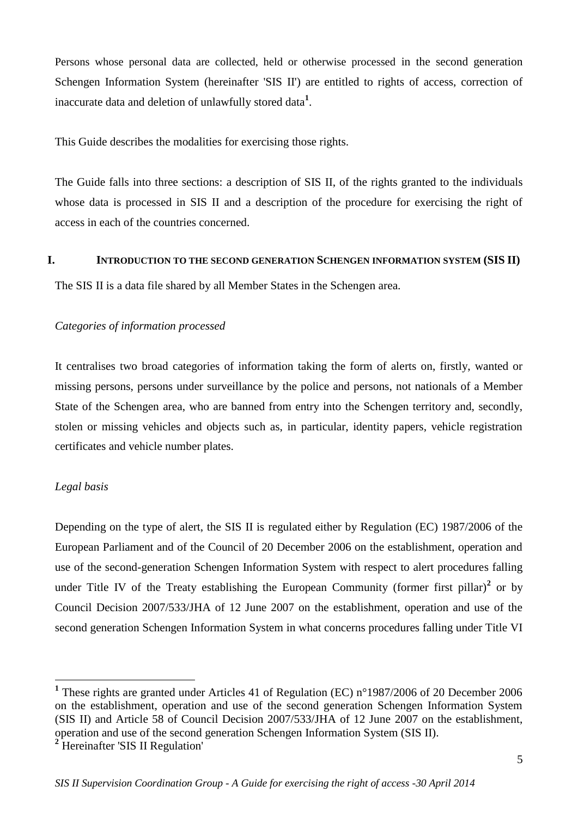Persons whose personal data are collected, held or otherwise processed in the second generation Schengen Information System (hereinafter 'SIS II') are entitled to rights of access, correction of inaccurate data and deletion of unlawfully stored data**<sup>1</sup>** .

This Guide describes the modalities for exercising those rights.

The Guide falls into three sections: a description of SIS II, of the rights granted to the individuals whose data is processed in SIS II and a description of the procedure for exercising the right of access in each of the countries concerned.

#### <span id="page-4-0"></span>**I. INTRODUCTION TO THE SECOND GENERATION SCHENGEN INFORMATION SYSTEM (SIS II)**

The SIS II is a data file shared by all Member States in the Schengen area.

#### *Categories of information processed*

It centralises two broad categories of information taking the form of alerts on, firstly, wanted or missing persons, persons under surveillance by the police and persons, not nationals of a Member State of the Schengen area, who are banned from entry into the Schengen territory and, secondly, stolen or missing vehicles and objects such as, in particular, identity papers, vehicle registration certificates and vehicle number plates.

#### *Legal basis*

1

Depending on the type of alert, the SIS II is regulated either by Regulation (EC) 1987/2006 of the European Parliament and of the Council of 20 December 2006 on the establishment, operation and use of the second-generation Schengen Information System with respect to alert procedures falling under Title IV of the Treaty establishing the European Community (former first pillar)<sup>2</sup> or by Council Decision 2007/533/JHA of 12 June 2007 on the establishment, operation and use of the second generation Schengen Information System in what concerns procedures falling under Title VI

<sup>&</sup>lt;sup>1</sup> These rights are granted under Articles 41 of Regulation (EC) n°1987/2006 of 20 December 2006 on the establishment, operation and use of the second generation Schengen Information System (SIS II) and Article 58 of Council Decision 2007/533/JHA of 12 June 2007 on the establishment, operation and use of the second generation Schengen Information System (SIS II).

**<sup>2</sup>** Hereinafter 'SIS II Regulation'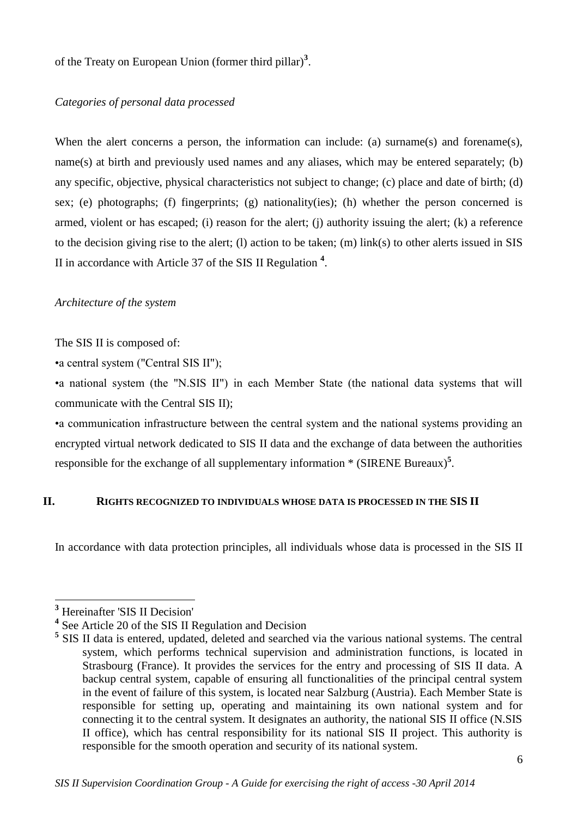of the Treaty on European Union (former third pillar)**<sup>3</sup>** .

## *Categories of personal data processed*

When the alert concerns a person, the information can include: (a) surname(s) and forename(s), name(s) at birth and previously used names and any aliases, which may be entered separately; (b) any specific, objective, physical characteristics not subject to change; (c) place and date of birth; (d) sex; (e) photographs; (f) fingerprints; (g) nationality(ies); (h) whether the person concerned is armed, violent or has escaped; (i) reason for the alert; (j) authority issuing the alert; (k) a reference to the decision giving rise to the alert; (l) action to be taken; (m) link(s) to other alerts issued in SIS II in accordance with Article 37 of the SIS II Regulation **<sup>4</sup>** .

## *Architecture of the system*

The SIS II is composed of:

•a central system ("Central SIS II");

•a national system (the "N.SIS II") in each Member State (the national data systems that will communicate with the Central SIS II);

•a communication infrastructure between the central system and the national systems providing an encrypted virtual network dedicated to SIS II data and the exchange of data between the authorities responsible for the exchange of all supplementary information \* (SIRENE Bureaux)**<sup>5</sup>** .

# <span id="page-5-0"></span>**II. RIGHTS RECOGNIZED TO INDIVIDUALS WHOSE DATA IS PROCESSED IN THE SIS II**

In accordance with data protection principles, all individuals whose data is processed in the SIS II

<u>.</u>

**<sup>3</sup>** Hereinafter 'SIS II Decision'

<sup>&</sup>lt;sup>4</sup> See Article 20 of the SIS II Regulation and Decision

<sup>&</sup>lt;sup>5</sup> SIS II data is entered, updated, deleted and searched via the various national systems. The central system, which performs technical supervision and administration functions, is located in Strasbourg (France). It provides the services for the entry and processing of SIS II data. A backup central system, capable of ensuring all functionalities of the principal central system in the event of failure of this system, is located near Salzburg (Austria). Each Member State is responsible for setting up, operating and maintaining its own national system and for connecting it to the central system. It designates an authority, the national SIS II office (N.SIS II office), which has central responsibility for its national SIS II project. This authority is responsible for the smooth operation and security of its national system.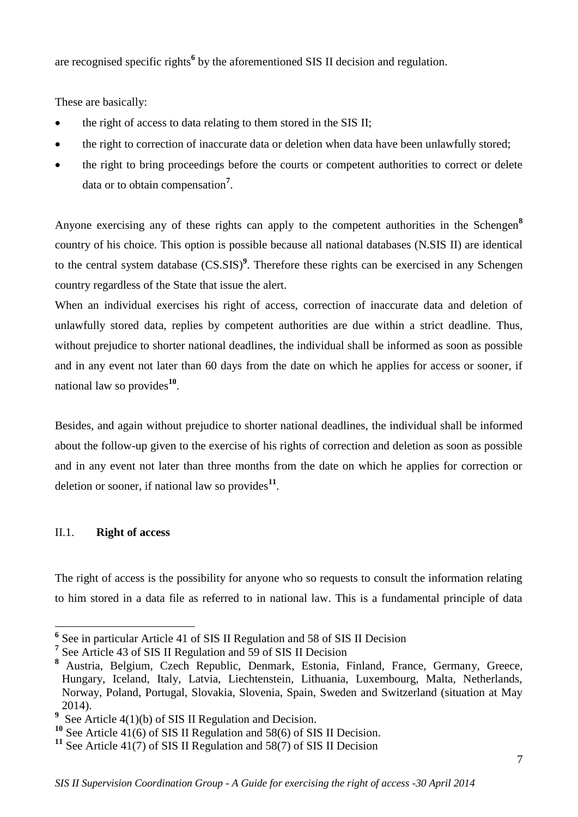are recognised specific rights**<sup>6</sup>** by the aforementioned SIS II decision and regulation.

These are basically:

- the right of access to data relating to them stored in the SIS II;
- the right to correction of inaccurate data or deletion when data have been unlawfully stored;
- the right to bring proceedings before the courts or competent authorities to correct or delete data or to obtain compensation**<sup>7</sup>** .

Anyone exercising any of these rights can apply to the competent authorities in the Schengen**<sup>8</sup>** country of his choice. This option is possible because all national databases (N.SIS II) are identical to the central system database (CS.SIS)<sup>9</sup>. Therefore these rights can be exercised in any Schengen country regardless of the State that issue the alert.

When an individual exercises his right of access, correction of inaccurate data and deletion of unlawfully stored data, replies by competent authorities are due within a strict deadline. Thus, without prejudice to shorter national deadlines, the individual shall be informed as soon as possible and in any event not later than 60 days from the date on which he applies for access or sooner, if national law so provides**<sup>10</sup>** .

Besides, and again without prejudice to shorter national deadlines, the individual shall be informed about the follow-up given to the exercise of his rights of correction and deletion as soon as possible and in any event not later than three months from the date on which he applies for correction or deletion or sooner, if national law so provides<sup>11</sup>.

# <span id="page-6-0"></span>II.1. **Right of access**

The right of access is the possibility for anyone who so requests to consult the information relating to him stored in a data file as referred to in national law. This is a fundamental principle of data

<sup>&</sup>lt;u>.</u> **6** See in particular Article 41 of SIS II Regulation and 58 of SIS II Decision

**<sup>7</sup>** See Article 43 of SIS II Regulation and 59 of SIS II Decision

**<sup>8</sup>** Austria, Belgium, Czech Republic, Denmark, Estonia, Finland, France, Germany, Greece, Hungary, Iceland, Italy, Latvia, Liechtenstein, Lithuania, Luxembourg, Malta, Netherlands, Norway, Poland, Portugal, Slovakia, Slovenia, Spain, Sweden and Switzerland (situation at May 2014).

**<sup>9</sup>** See Article 4(1)(b) of SIS II Regulation and Decision.

**<sup>10</sup>** See Article 41(6) of SIS II Regulation and 58(6) of SIS II Decision.

**<sup>11</sup>** See Article 41(7) of SIS II Regulation and 58(7) of SIS II Decision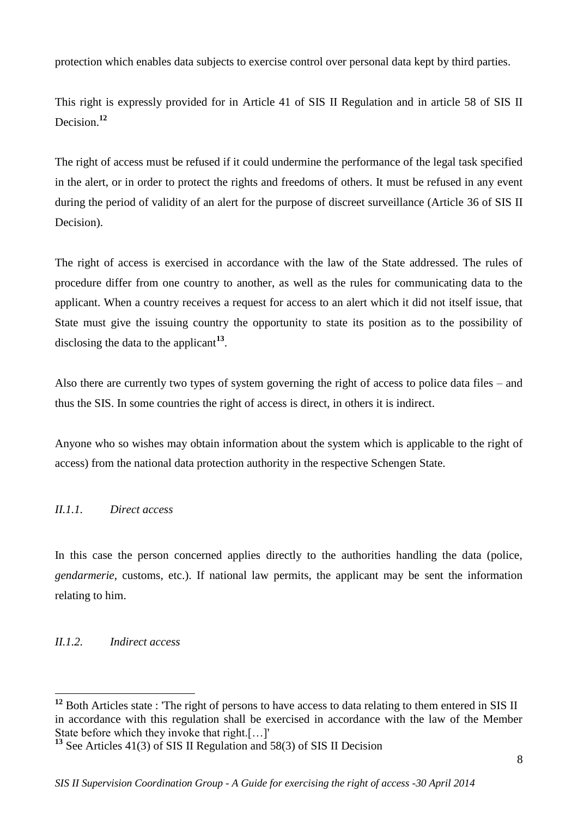protection which enables data subjects to exercise control over personal data kept by third parties.

This right is expressly provided for in Article 41 of SIS II Regulation and in article 58 of SIS II Decision. **12**

The right of access must be refused if it could undermine the performance of the legal task specified in the alert, or in order to protect the rights and freedoms of others. It must be refused in any event during the period of validity of an alert for the purpose of discreet surveillance (Article 36 of SIS II Decision).

The right of access is exercised in accordance with the law of the State addressed. The rules of procedure differ from one country to another, as well as the rules for communicating data to the applicant. When a country receives a request for access to an alert which it did not itself issue, that State must give the issuing country the opportunity to state its position as to the possibility of disclosing the data to the applicant**<sup>13</sup>** .

Also there are currently two types of system governing the right of access to police data files – and thus the SIS. In some countries the right of access is direct, in others it is indirect.

Anyone who so wishes may obtain information about the system which is applicable to the right of access) from the national data protection authority in the respective Schengen State.

# <span id="page-7-0"></span>*II.1.1. Direct access*

In this case the person concerned applies directly to the authorities handling the data (police, *gendarmerie*, customs, etc.). If national law permits, the applicant may be sent the information relating to him.

# <span id="page-7-1"></span>*II.1.2. Indirect access*

<sup>1</sup> <sup>12</sup> Both Articles state : 'The right of persons to have access to data relating to them entered in SIS II in accordance with this regulation shall be exercised in accordance with the law of the Member State before which they invoke that right.[…]'

**<sup>13</sup>** See Articles 41(3) of SIS II Regulation and 58(3) of SIS II Decision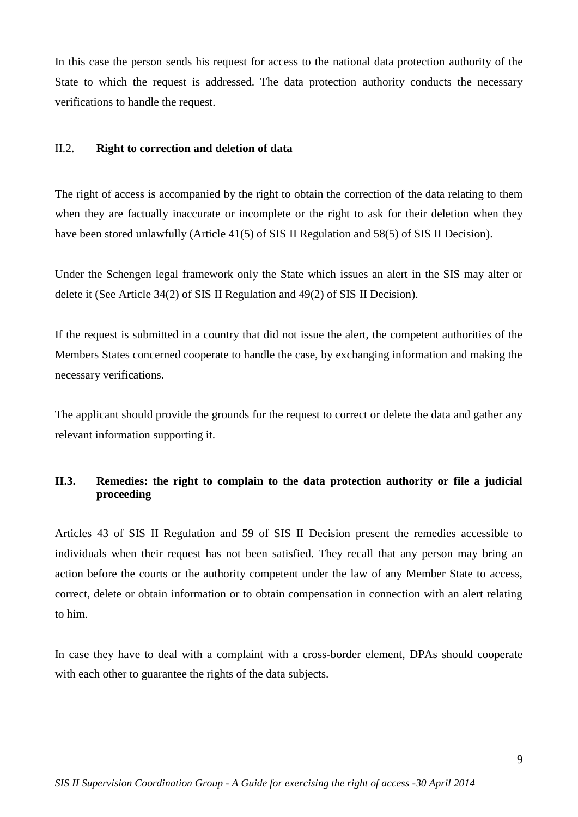In this case the person sends his request for access to the national data protection authority of the State to which the request is addressed. The data protection authority conducts the necessary verifications to handle the request.

## <span id="page-8-0"></span>II.2. **Right to correction and deletion of data**

The right of access is accompanied by the right to obtain the correction of the data relating to them when they are factually inaccurate or incomplete or the right to ask for their deletion when they have been stored unlawfully (Article 41(5) of SIS II Regulation and 58(5) of SIS II Decision).

Under the Schengen legal framework only the State which issues an alert in the SIS may alter or delete it (See Article 34(2) of SIS II Regulation and 49(2) of SIS II Decision).

If the request is submitted in a country that did not issue the alert, the competent authorities of the Members States concerned cooperate to handle the case, by exchanging information and making the necessary verifications.

The applicant should provide the grounds for the request to correct or delete the data and gather any relevant information supporting it.

# <span id="page-8-1"></span>**II.3. Remedies: the right to complain to the data protection authority or file a judicial proceeding**

Articles 43 of SIS II Regulation and 59 of SIS II Decision present the remedies accessible to individuals when their request has not been satisfied. They recall that any person may bring an action before the courts or the authority competent under the law of any Member State to access, correct, delete or obtain information or to obtain compensation in connection with an alert relating to him.

In case they have to deal with a complaint with a cross-border element, DPAs should cooperate with each other to guarantee the rights of the data subjects.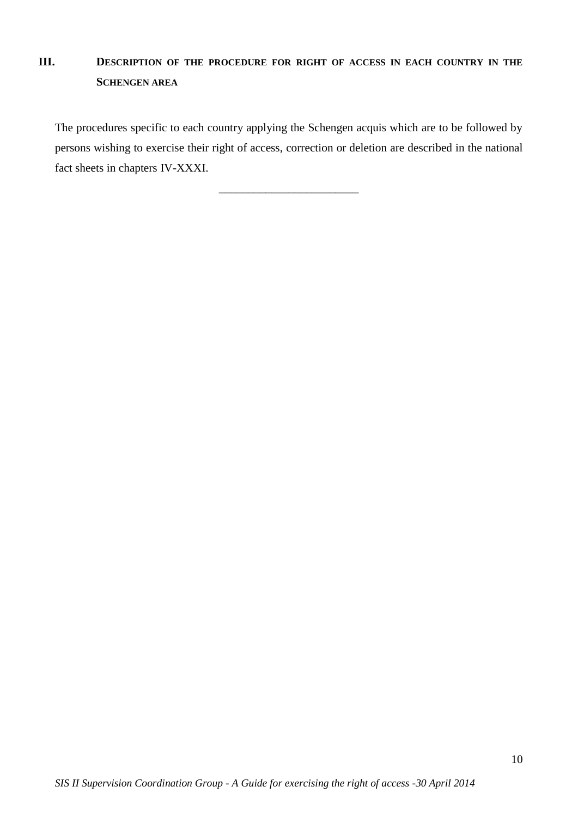# <span id="page-9-0"></span>**III. DESCRIPTION OF THE PROCEDURE FOR RIGHT OF ACCESS IN EACH COUNTRY IN THE SCHENGEN AREA**

The procedures specific to each country applying the Schengen acquis which are to be followed by persons wishing to exercise their right of access, correction or deletion are described in the national fact sheets in chapters IV-XXXI.

\_\_\_\_\_\_\_\_\_\_\_\_\_\_\_\_\_\_\_\_\_\_\_\_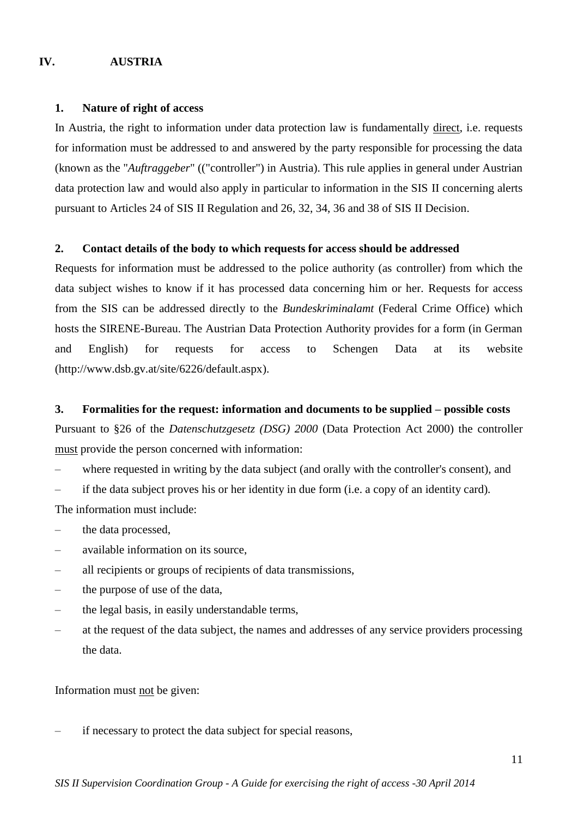# <span id="page-10-0"></span>**IV. AUSTRIA**

#### **1. Nature of right of access**

In Austria, the right to information under data protection law is fundamentally direct, i.e. requests for information must be addressed to and answered by the party responsible for processing the data (known as the "*Auftraggeber*" (("controller") in Austria). This rule applies in general under Austrian data protection law and would also apply in particular to information in the SIS II concerning alerts pursuant to Articles 24 of SIS II Regulation and 26, 32, 34, 36 and 38 of SIS II Decision.

#### **2. Contact details of the body to which requests for access should be addressed**

Requests for information must be addressed to the police authority (as controller) from which the data subject wishes to know if it has processed data concerning him or her. Requests for access from the SIS can be addressed directly to the *Bundeskriminalamt* (Federal Crime Office) which hosts the SIRENE-Bureau. The Austrian Data Protection Authority provides for a form (in German and English) for requests for access to Schengen Data at its website (http://www.dsb.gv.at/site/6226/default.aspx).

#### **3. Formalities for the request: information and documents to be supplied – possible costs**

Pursuant to §26 of the *Datenschutzgesetz (DSG) 2000* (Data Protection Act 2000) the controller must provide the person concerned with information:

- where requested in writing by the data subject (and orally with the controller's consent), and
- if the data subject proves his or her identity in due form (i.e. a copy of an identity card).

The information must include:

- the data processed,
- available information on its source,
- all recipients or groups of recipients of data transmissions,
- the purpose of use of the data,
- the legal basis, in easily understandable terms,
- at the request of the data subject, the names and addresses of any service providers processing the data.

Information must not be given:

if necessary to protect the data subject for special reasons,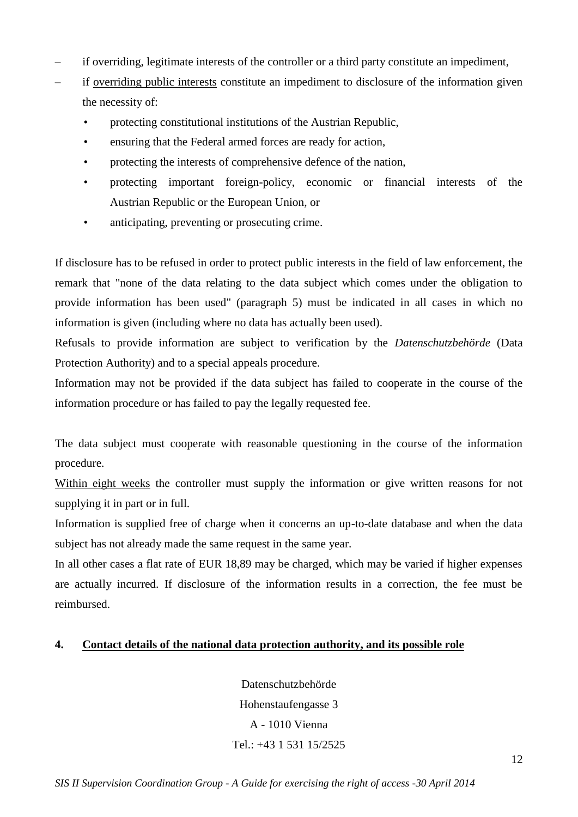- if overriding, legitimate interests of the controller or a third party constitute an impediment,
- if overriding public interests constitute an impediment to disclosure of the information given the necessity of:
	- protecting constitutional institutions of the Austrian Republic,
	- ensuring that the Federal armed forces are ready for action,
	- protecting the interests of comprehensive defence of the nation,
	- protecting important foreign-policy, economic or financial interests of the Austrian Republic or the European Union, or
	- anticipating, preventing or prosecuting crime.

If disclosure has to be refused in order to protect public interests in the field of law enforcement, the remark that "none of the data relating to the data subject which comes under the obligation to provide information has been used" (paragraph 5) must be indicated in all cases in which no information is given (including where no data has actually been used).

Refusals to provide information are subject to verification by the *Datenschutzbehörde* (Data Protection Authority) and to a special appeals procedure.

Information may not be provided if the data subject has failed to cooperate in the course of the information procedure or has failed to pay the legally requested fee.

The data subject must cooperate with reasonable questioning in the course of the information procedure.

Within eight weeks the controller must supply the information or give written reasons for not supplying it in part or in full.

Information is supplied free of charge when it concerns an up-to-date database and when the data subject has not already made the same request in the same year.

In all other cases a flat rate of EUR 18,89 may be charged, which may be varied if higher expenses are actually incurred. If disclosure of the information results in a correction, the fee must be reimbursed.

### **4. Contact details of the national data protection authority, and its possible role**

Datenschutzbehörde Hohenstaufengasse 3 A - 1010 Vienna Tel.: +43 1 531 15/2525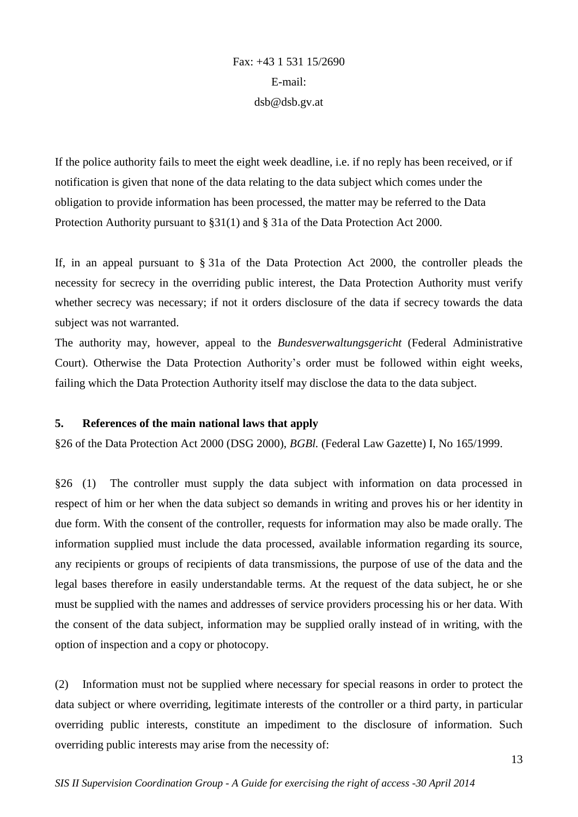# Fax: +43 1 531 15/2690 E-mail: dsb@dsb.gv.at

If the police authority fails to meet the eight week deadline, i.e. if no reply has been received, or if notification is given that none of the data relating to the data subject which comes under the obligation to provide information has been processed, the matter may be referred to the Data Protection Authority pursuant to §31(1) and § 31a of the Data Protection Act 2000.

If, in an appeal pursuant to § 31a of the Data Protection Act 2000, the controller pleads the necessity for secrecy in the overriding public interest, the Data Protection Authority must verify whether secrecy was necessary; if not it orders disclosure of the data if secrecy towards the data subject was not warranted.

The authority may, however, appeal to the *Bundesverwaltungsgericht* (Federal Administrative Court). Otherwise the Data Protection Authority's order must be followed within eight weeks, failing which the Data Protection Authority itself may disclose the data to the data subject.

#### **5. References of the main national laws that apply**

§26 of the Data Protection Act 2000 (DSG 2000), *BGBl.* (Federal Law Gazette) I, No 165/1999.

§26 (1) The controller must supply the data subject with information on data processed in respect of him or her when the data subject so demands in writing and proves his or her identity in due form. With the consent of the controller, requests for information may also be made orally. The information supplied must include the data processed, available information regarding its source, any recipients or groups of recipients of data transmissions, the purpose of use of the data and the legal bases therefore in easily understandable terms. At the request of the data subject, he or she must be supplied with the names and addresses of service providers processing his or her data. With the consent of the data subject, information may be supplied orally instead of in writing, with the option of inspection and a copy or photocopy.

(2) Information must not be supplied where necessary for special reasons in order to protect the data subject or where overriding, legitimate interests of the controller or a third party, in particular overriding public interests, constitute an impediment to the disclosure of information. Such overriding public interests may arise from the necessity of: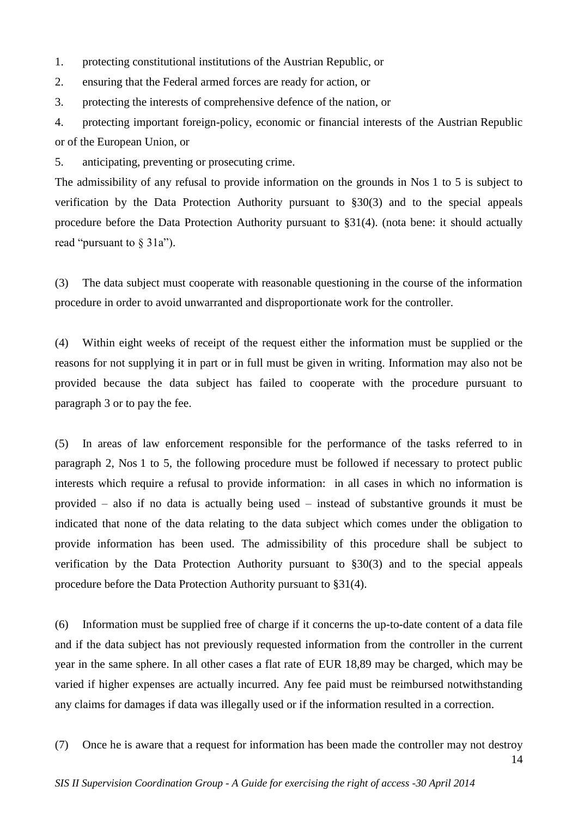- 1. protecting constitutional institutions of the Austrian Republic, or
- 2. ensuring that the Federal armed forces are ready for action, or
- 3. protecting the interests of comprehensive defence of the nation, or

4. protecting important foreign-policy, economic or financial interests of the Austrian Republic or of the European Union, or

5. anticipating, preventing or prosecuting crime.

The admissibility of any refusal to provide information on the grounds in Nos 1 to 5 is subject to verification by the Data Protection Authority pursuant to §30(3) and to the special appeals procedure before the Data Protection Authority pursuant to §31(4). (nota bene: it should actually read "pursuant to § 31a").

(3) The data subject must cooperate with reasonable questioning in the course of the information procedure in order to avoid unwarranted and disproportionate work for the controller.

(4) Within eight weeks of receipt of the request either the information must be supplied or the reasons for not supplying it in part or in full must be given in writing. Information may also not be provided because the data subject has failed to cooperate with the procedure pursuant to paragraph 3 or to pay the fee.

(5) In areas of law enforcement responsible for the performance of the tasks referred to in paragraph 2, Nos 1 to 5, the following procedure must be followed if necessary to protect public interests which require a refusal to provide information: in all cases in which no information is provided – also if no data is actually being used – instead of substantive grounds it must be indicated that none of the data relating to the data subject which comes under the obligation to provide information has been used. The admissibility of this procedure shall be subject to verification by the Data Protection Authority pursuant to §30(3) and to the special appeals procedure before the Data Protection Authority pursuant to §31(4).

(6) Information must be supplied free of charge if it concerns the up-to-date content of a data file and if the data subject has not previously requested information from the controller in the current year in the same sphere. In all other cases a flat rate of EUR 18,89 may be charged, which may be varied if higher expenses are actually incurred. Any fee paid must be reimbursed notwithstanding any claims for damages if data was illegally used or if the information resulted in a correction.

(7) Once he is aware that a request for information has been made the controller may not destroy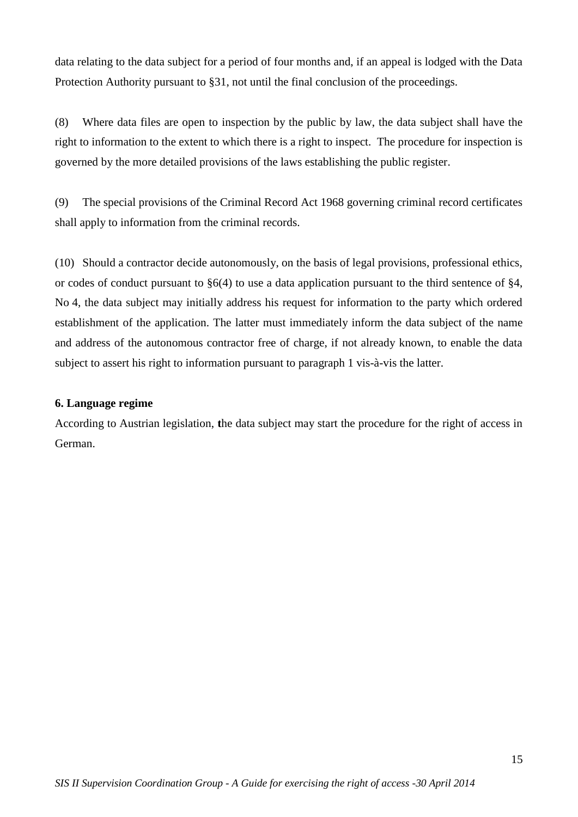data relating to the data subject for a period of four months and, if an appeal is lodged with the Data Protection Authority pursuant to §31, not until the final conclusion of the proceedings.

(8) Where data files are open to inspection by the public by law, the data subject shall have the right to information to the extent to which there is a right to inspect. The procedure for inspection is governed by the more detailed provisions of the laws establishing the public register.

(9) The special provisions of the Criminal Record Act 1968 governing criminal record certificates shall apply to information from the criminal records.

(10) Should a contractor decide autonomously, on the basis of legal provisions, professional ethics, or codes of conduct pursuant to §6(4) to use a data application pursuant to the third sentence of §4, No 4, the data subject may initially address his request for information to the party which ordered establishment of the application. The latter must immediately inform the data subject of the name and address of the autonomous contractor free of charge, if not already known, to enable the data subject to assert his right to information pursuant to paragraph 1 vis-à-vis the latter.

#### **6. Language regime**

According to Austrian legislation, **t**he data subject may start the procedure for the right of access in German.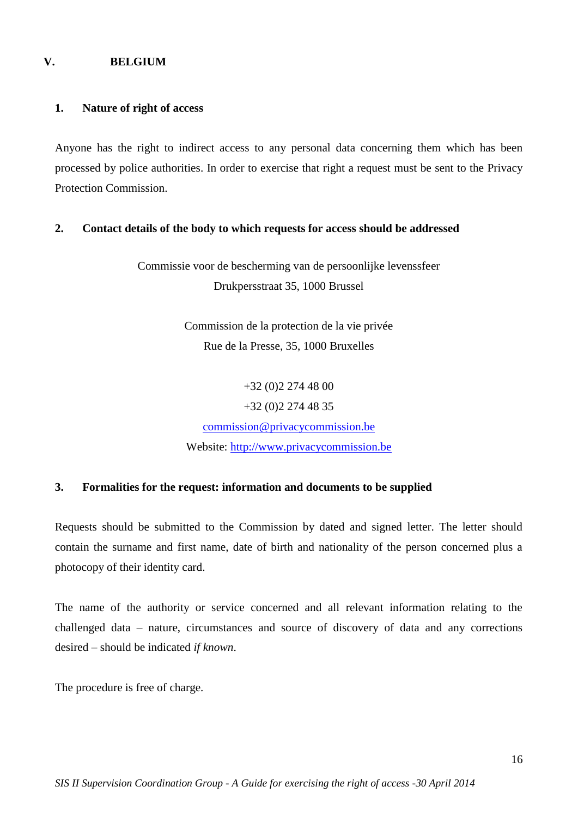## <span id="page-15-0"></span>**V. BELGIUM**

#### **1. Nature of right of access**

Anyone has the right to indirect access to any personal data concerning them which has been processed by police authorities. In order to exercise that right a request must be sent to the Privacy Protection Commission.

#### **2. Contact details of the body to which requests for access should be addressed**

Commissie voor de bescherming van de persoonlijke levenssfeer Drukpersstraat 35, 1000 Brussel

> Commission de la protection de la vie privée Rue de la Presse, 35, 1000 Bruxelles

> > +32 (0)2 274 48 00

+32 (0)2 274 48 35

[commission@privacycommission.be](mailto:commission@privacycommission.be) Website: [http://www.privacycommission.be](http://www.privacycommission.be/)

#### **3. Formalities for the request: information and documents to be supplied**

Requests should be submitted to the Commission by dated and signed letter. The letter should contain the surname and first name, date of birth and nationality of the person concerned plus a photocopy of their identity card.

The name of the authority or service concerned and all relevant information relating to the challenged data – nature, circumstances and source of discovery of data and any corrections desired – should be indicated *if known*.

The procedure is free of charge.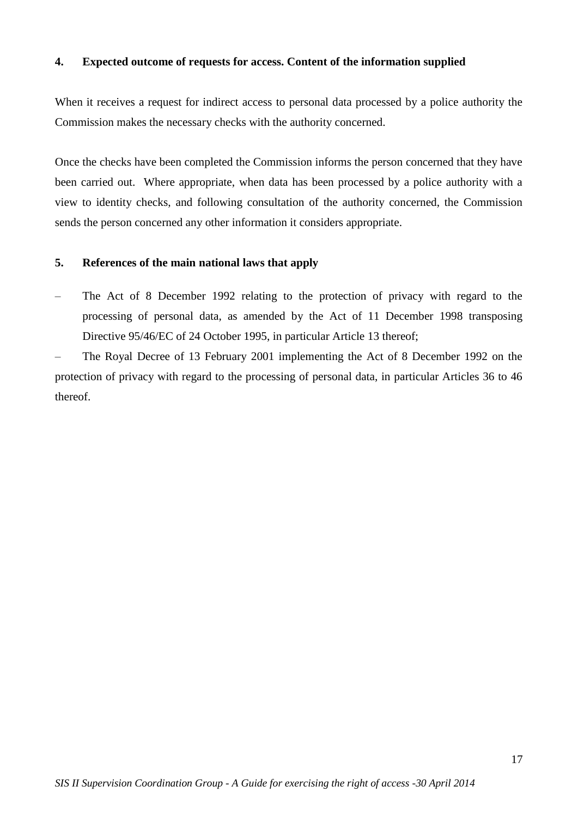#### **4. Expected outcome of requests for access. Content of the information supplied**

When it receives a request for indirect access to personal data processed by a police authority the Commission makes the necessary checks with the authority concerned.

Once the checks have been completed the Commission informs the person concerned that they have been carried out. Where appropriate, when data has been processed by a police authority with a view to identity checks, and following consultation of the authority concerned, the Commission sends the person concerned any other information it considers appropriate.

## **5. References of the main national laws that apply**

– The Act of 8 December 1992 relating to the protection of privacy with regard to the processing of personal data, as amended by the Act of 11 December 1998 transposing Directive 95/46/EC of 24 October 1995, in particular Article 13 thereof;

– The Royal Decree of 13 February 2001 implementing the Act of 8 December 1992 on the protection of privacy with regard to the processing of personal data, in particular Articles 36 to 46 thereof.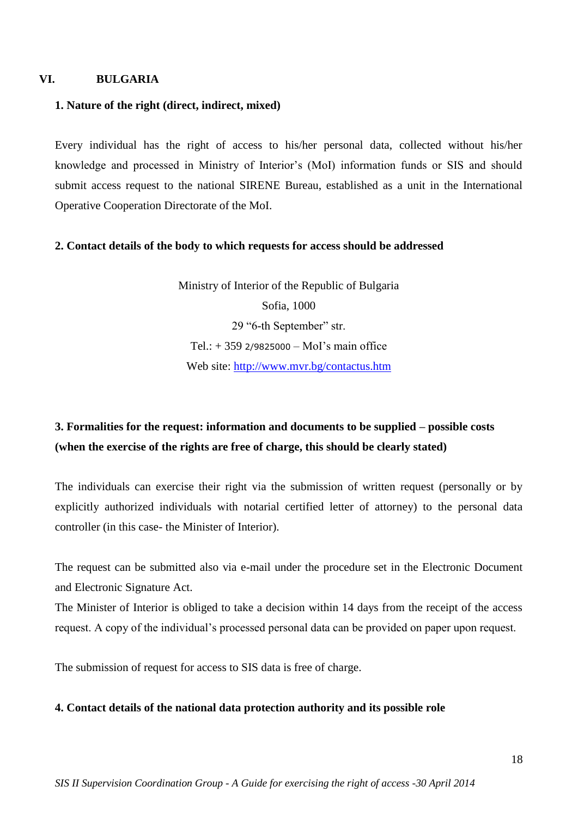#### <span id="page-17-0"></span>**VI. BULGARIA**

#### **1. Nature of the right (direct, indirect, mixed)**

Every individual has the right of access to his/her personal data, collected without his/her knowledge and processed in Ministry of Interior's (MoI) information funds or SIS and should submit access request to the national SIRENE Bureau, established as a unit in the International Operative Cooperation Directorate of the MoI.

#### **2. Contact details of the body to which requests for access should be addressed**

Ministry of Interior of the Republic of Bulgaria Sofia, 1000 29 "6-th September" str. Tel.: + 359 2/9825000 – MoI's main office Web site:<http://www.mvr.bg/contactus.htm>

# **3. Formalities for the request: information and documents to be supplied – possible costs (when the exercise of the rights are free of charge, this should be clearly stated)**

The individuals can exercise their right via the submission of written request (personally or by explicitly authorized individuals with notarial certified letter of attorney) to the personal data controller (in this case- the Minister of Interior).

The request can be submitted also via e-mail under the procedure set in the Electronic Document and Electronic Signature Act.

The Minister of Interior is obliged to take a decision within 14 days from the receipt of the access request. A copy of the individual's processed personal data can be provided on paper upon request.

The submission of request for access to SIS data is free of charge.

#### **4. Contact details of the national data protection authority and its possible role**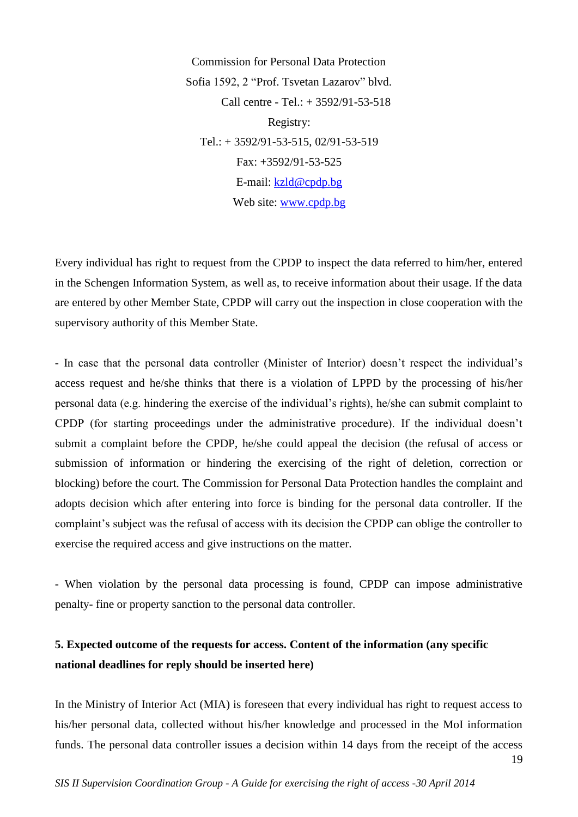Commission for Personal Data Protection Sofia 1592, 2 "Prof. Tsvetan Lazarov" blvd. Call centre - Tel.: + 3592/91-53-518 Registry: Tel.: + 3592/91-53-515, 02/91-53-519 Fax: +3592/91-53-525 Е-mail: [kzld@cpdp.bg](mailto:kzld@cpdp.bg) Web site: [www.cpdp.bg](http://www.cpdp.bg/)

Every individual has right to request from the CPDP to inspect the data referred to him/her, entered in the Schengen Information System, as well as, to receive information about their usage. If the data are entered by other Member State, CPDP will carry out the inspection in close cooperation with the supervisory authority of this Member State.

- In case that the personal data controller (Minister of Interior) doesn't respect the individual's access request and he/she thinks that there is a violation of LPPD by the processing of his/her personal data (e.g. hindering the exercise of the individual's rights), he/she can submit complaint to CPDP (for starting proceedings under the administrative procedure). If the individual doesn't submit a complaint before the CPDP, he/she could appeal the decision (the refusal of access or submission of information or hindering the exercising of the right of deletion, correction or blocking) before the court. The Commission for Personal Data Protection handles the complaint and adopts decision which after entering into force is binding for the personal data controller. If the complaint's subject was the refusal of access with its decision the CPDP can oblige the controller to exercise the required access and give instructions on the matter.

- When violation by the personal data processing is found, CPDP can impose administrative penalty- fine or property sanction to the personal data controller.

# **5. Expected outcome of the requests for access. Content of the information (any specific national deadlines for reply should be inserted here)**

In the Ministry of Interior Act (MIA) is foreseen that every individual has right to request access to his/her personal data, collected without his/her knowledge and processed in the MoI information funds. The personal data controller issues a decision within 14 days from the receipt of the access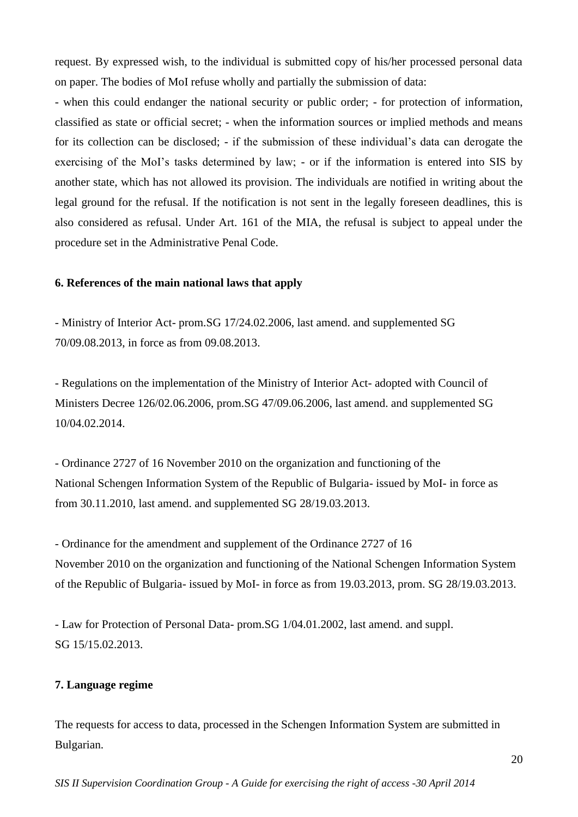request. By expressed wish, to the individual is submitted copy of his/her processed personal data on paper. The bodies of MoI refuse wholly and partially the submission of data:

- when this could endanger the national security or public order; - for protection of information, classified as state or official secret; - when the information sources or implied methods and means for its collection can be disclosed; - if the submission of these individual's data can derogate the exercising of the MoI's tasks determined by law; - or if the information is entered into SIS by another state, which has not allowed its provision. The individuals are notified in writing about the legal ground for the refusal. If the notification is not sent in the legally foreseen deadlines, this is also considered as refusal. Under Art. 161 of the MIA, the refusal is subject to appeal under the procedure set in the Administrative Penal Code.

#### **6. References of the main national laws that apply**

- Ministry of Interior Act- prom.SG 17/24.02.2006, last amend. and supplemented SG 70/09.08.2013, in force as from 09.08.2013.

- Regulations on the implementation of the Ministry of Interior Act- adopted with Council of Ministers Decree 126/02.06.2006, prom.SG 47/09.06.2006, last amend. and supplemented SG 10/04.02.2014.

- Ordinance 2727 of 16 November 2010 on the organization and functioning of the National Schengen Information System of the Republic of Bulgaria- issued by MoI- in force as from 30.11.2010, last amend. and supplemented SG 28/19.03.2013.

- Ordinance for the amendment and supplement of the Ordinance 2727 of 16 November 2010 on the organization and functioning of the National Schengen Information System of the Republic of Bulgaria- issued by MoI- in force as from 19.03.2013, prom. SG 28/19.03.2013.

- Law for Protection of Personal Data- prom.SG 1/04.01.2002, last amend. and suppl. SG 15/15.02.2013.

## **7. Language regime**

The requests for access to data, processed in the Schengen Information System are submitted in Bulgarian.

*SIS II Supervision Coordination Group - A Guide for exercising the right of access -30 April 2014*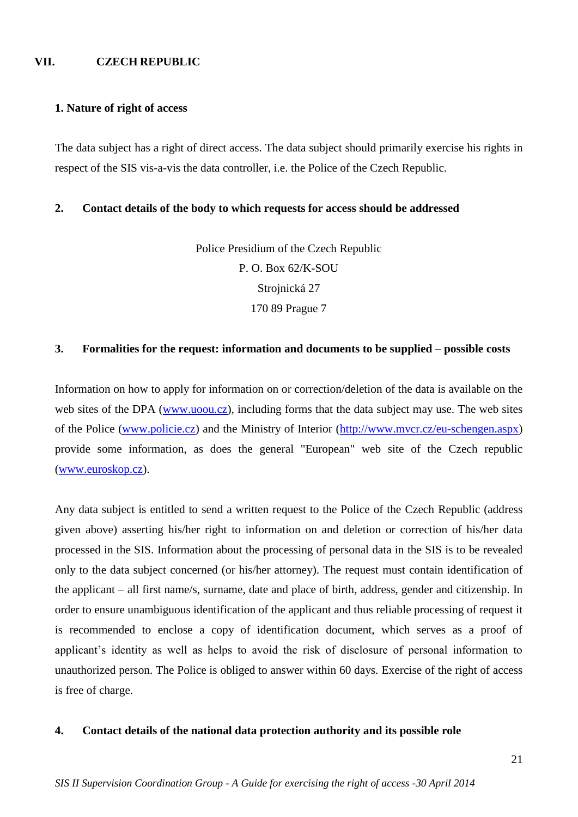## <span id="page-20-0"></span>**VII. CZECH REPUBLIC**

#### **1. Nature of right of access**

The data subject has a right of direct access. The data subject should primarily exercise his rights in respect of the SIS vis-a-vis the data controller, i.e. the Police of the Czech Republic.

#### **2. Contact details of the body to which requests for access should be addressed**

Police Presidium of the Czech Republic P. O. Box 62/K-SOU Strojnická 27 170 89 Prague 7

#### **3. Formalities for the request: information and documents to be supplied – possible costs**

Information on how to apply for information on or correction/deletion of the data is available on the web sites of the DPA (www.uoou.cz), including forms that the data subject may use. The web sites of the Police (www.policie.cz) and the Ministry of Interior (http://www.mvcr.cz/eu-schengen.aspx) provide some information, as does the general "European" web site of the Czech republic (www.euroskop.cz).

Any data subject is entitled to send a written request to the Police of the Czech Republic (address given above) asserting his/her right to information on and deletion or correction of his/her data processed in the SIS. Information about the processing of personal data in the SIS is to be revealed only to the data subject concerned (or his/her attorney). The request must contain identification of the applicant – all first name/s, surname, date and place of birth, address, gender and citizenship. In order to ensure unambiguous identification of the applicant and thus reliable processing of request it is recommended to enclose a copy of identification document, which serves as a proof of applicant's identity as well as helps to avoid the risk of disclosure of personal information to unauthorized person. The Police is obliged to answer within 60 days. Exercise of the right of access is free of charge.

#### **4. Contact details of the national data protection authority and its possible role**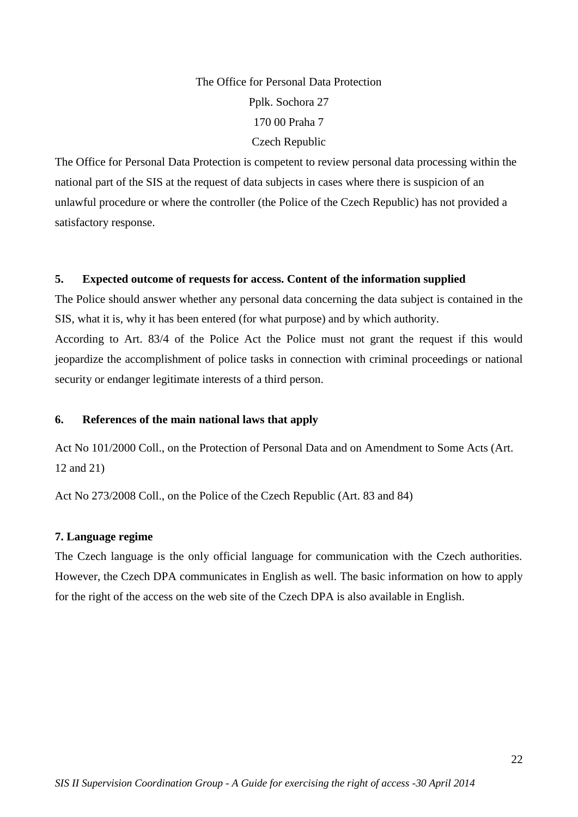# The Office for Personal Data Protection Pplk. Sochora 27 170 00 Praha 7 Czech Republic

The Office for Personal Data Protection is competent to review personal data processing within the national part of the SIS at the request of data subjects in cases where there is suspicion of an unlawful procedure or where the controller (the Police of the Czech Republic) has not provided a satisfactory response.

# **5. Expected outcome of requests for access. Content of the information supplied**

The Police should answer whether any personal data concerning the data subject is contained in the SIS, what it is, why it has been entered (for what purpose) and by which authority.

According to Art. 83/4 of the Police Act the Police must not grant the request if this would jeopardize the accomplishment of police tasks in connection with criminal proceedings or national security or endanger legitimate interests of a third person.

# **6. References of the main national laws that apply**

Act No 101/2000 Coll., on the Protection of Personal Data and on Amendment to Some Acts (Art. 12 and 21)

Act No 273/2008 Coll., on the Police of the Czech Republic (Art. 83 and 84)

#### **7. Language regime**

The Czech language is the only official language for communication with the Czech authorities. However, the Czech DPA communicates in English as well. The basic information on how to apply for the right of the access on the web site of the Czech DPA is also available in English.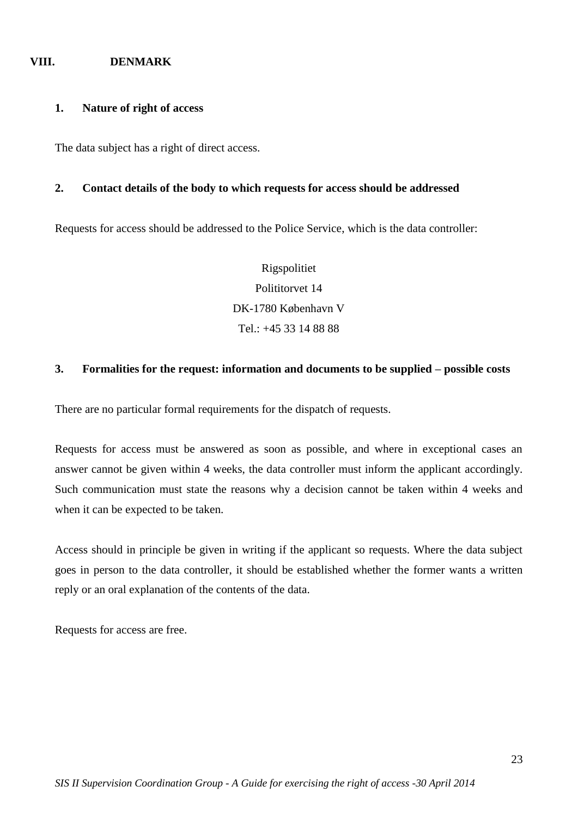## **VIII. DENMARK**

#### <span id="page-22-0"></span>**1. Nature of right of access**

The data subject has a right of direct access.

#### **2. Contact details of the body to which requests for access should be addressed**

Requests for access should be addressed to the Police Service, which is the data controller:

Rigspolitiet Polititorvet 14 DK-1780 København V Tel.: +45 33 14 88 88

## **3. Formalities for the request: information and documents to be supplied – possible costs**

There are no particular formal requirements for the dispatch of requests.

Requests for access must be answered as soon as possible, and where in exceptional cases an answer cannot be given within 4 weeks, the data controller must inform the applicant accordingly. Such communication must state the reasons why a decision cannot be taken within 4 weeks and when it can be expected to be taken.

Access should in principle be given in writing if the applicant so requests. Where the data subject goes in person to the data controller, it should be established whether the former wants a written reply or an oral explanation of the contents of the data.

Requests for access are free.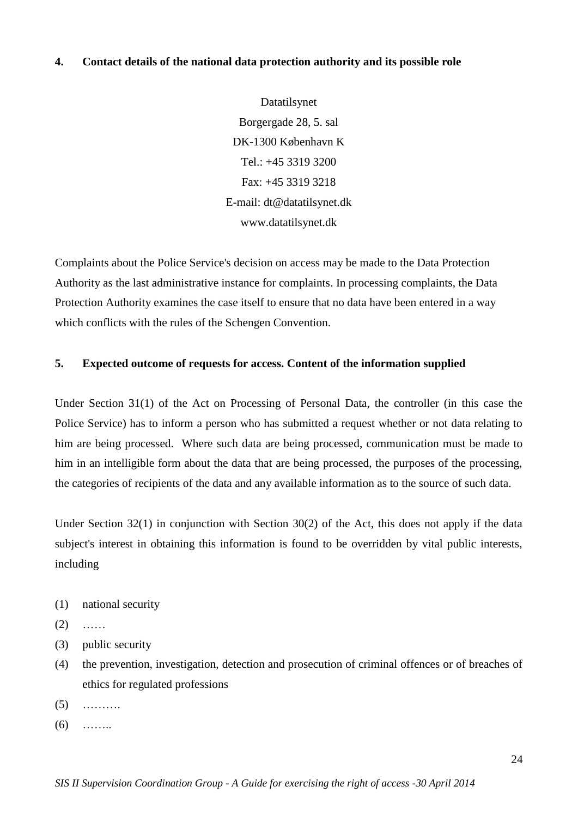## **4. Contact details of the national data protection authority and its possible role**

Datatilsynet Borgergade 28, 5. sal DK-1300 København K Tel.: +45 3319 3200 Fax: +45 3319 3218 E-mail: dt@datatilsynet.dk www.datatilsynet.dk

Complaints about the Police Service's decision on access may be made to the Data Protection Authority as the last administrative instance for complaints. In processing complaints, the Data Protection Authority examines the case itself to ensure that no data have been entered in a way which conflicts with the rules of the Schengen Convention.

#### **5. Expected outcome of requests for access. Content of the information supplied**

Under Section 31(1) of the Act on Processing of Personal Data, the controller (in this case the Police Service) has to inform a person who has submitted a request whether or not data relating to him are being processed. Where such data are being processed, communication must be made to him in an intelligible form about the data that are being processed, the purposes of the processing, the categories of recipients of the data and any available information as to the source of such data.

Under Section 32(1) in conjunction with Section 30(2) of the Act, this does not apply if the data subject's interest in obtaining this information is found to be overridden by vital public interests, including

- (1) national security
- $(2)$  ……
- (3) public security
- (4) the prevention, investigation, detection and prosecution of criminal offences or of breaches of ethics for regulated professions
- (5) ……….
- $(6)$  ……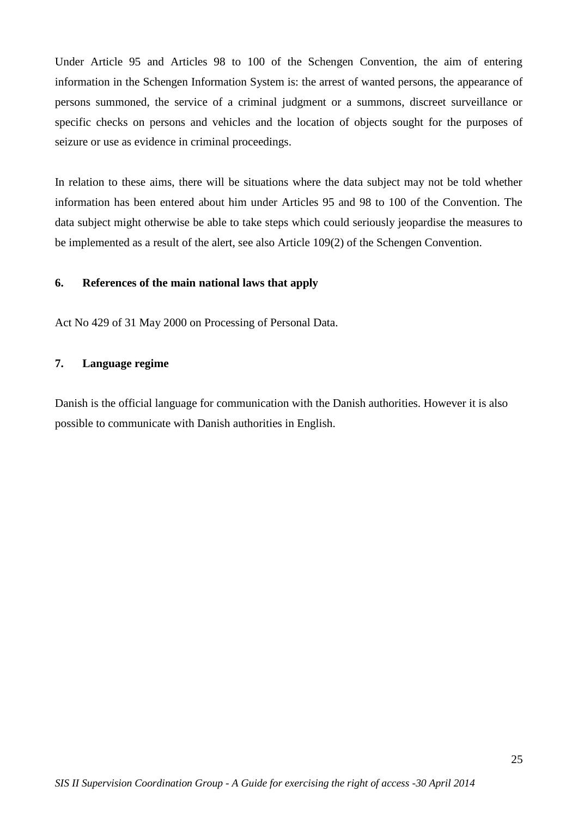Under Article 95 and Articles 98 to 100 of the Schengen Convention, the aim of entering information in the Schengen Information System is: the arrest of wanted persons, the appearance of persons summoned, the service of a criminal judgment or a summons, discreet surveillance or specific checks on persons and vehicles and the location of objects sought for the purposes of seizure or use as evidence in criminal proceedings.

In relation to these aims, there will be situations where the data subject may not be told whether information has been entered about him under Articles 95 and 98 to 100 of the Convention. The data subject might otherwise be able to take steps which could seriously jeopardise the measures to be implemented as a result of the alert, see also Article 109(2) of the Schengen Convention.

## **6. References of the main national laws that apply**

Act No 429 of 31 May 2000 on Processing of Personal Data.

## **7. Language regime**

Danish is the official language for communication with the Danish authorities. However it is also possible to communicate with Danish authorities in English.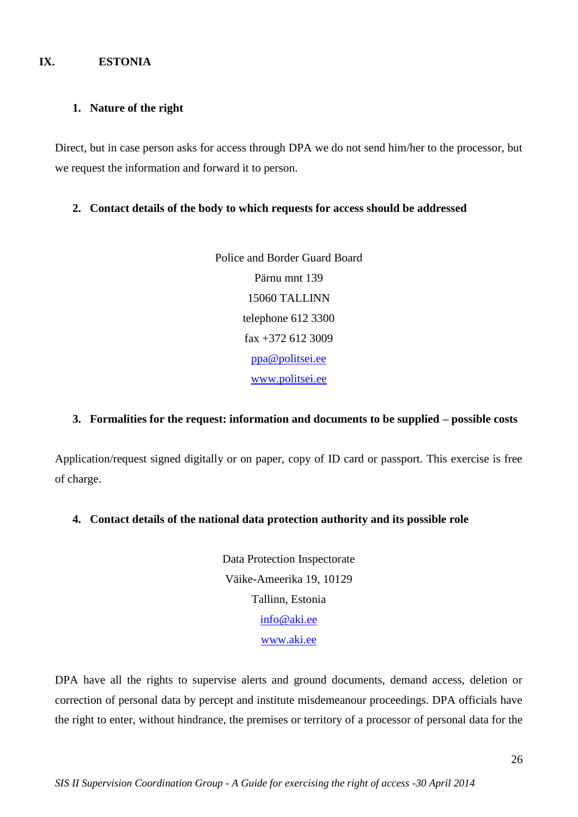## **IX. ESTONIA**

#### <span id="page-25-0"></span>**1. Nature of the right**

Direct, but in case person asks for access through DPA we do not send him/her to the processor, but we request the information and forward it to person.

## **2. Contact details of the body to which requests for access should be addressed**

Police and Border Guard Board Pärnu mnt 139 15060 TALLINN telephone 612 3300 fax +372 612 3009 [ppa@politsei.ee](mailto:ppa@politsei.ee) [www.politsei.ee](http://www.politsei.ee/)

#### **3. Formalities for the request: information and documents to be supplied – possible costs**

Application/request signed digitally or on paper, copy of ID card or passport. This exercise is free of charge.

# **4. Contact details of the national data protection authority and its possible role**

Data Protection Inspectorate Väike-Ameerika 19, 10129 Tallinn, Estonia [info@aki.ee](mailto:info@aki.ee) [www.aki.ee](http://www.aki.ee/)

DPA have all the rights to supervise alerts and ground documents, demand access, deletion or correction of personal data by percept and institute misdemeanour proceedings. DPA officials have the right to enter, without hindrance, the premises or territory of a processor of personal data for the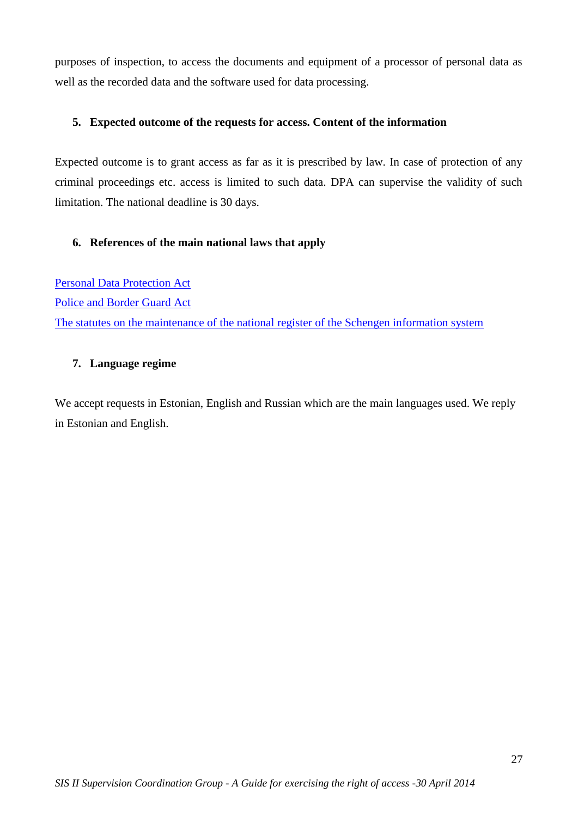purposes of inspection, to access the documents and equipment of a processor of personal data as well as the recorded data and the software used for data processing.

# **5. Expected outcome of the requests for access. Content of the information**

Expected outcome is to grant access as far as it is prescribed by law. In case of protection of any criminal proceedings etc. access is limited to such data. DPA can supervise the validity of such limitation. The national deadline is 30 days.

# **6. References of the main national laws that apply**

[Personal Data Protection Act](https://www.riigiteataja.ee/en/eli/512112013011/consolide) [Police and Border Guard Act](http://www.legaltext.ee/et/andmebaas/tekst.asp?loc=text&dok=2012X03&) [The statutes on the maintenance of the national register of the Schengen information system](https://www.riigiteataja.ee/akt/118042013027)

# **7. Language regime**

We accept requests in Estonian, English and Russian which are the main languages used. We reply in Estonian and English.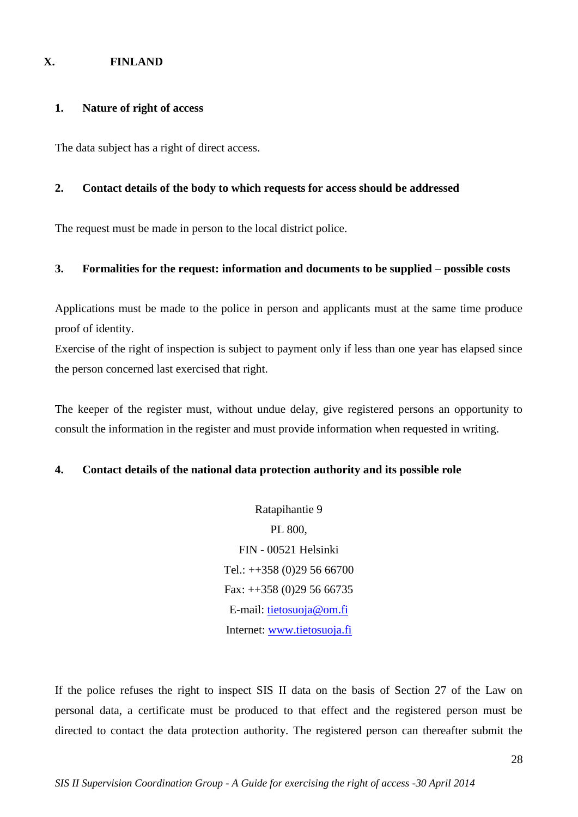## <span id="page-27-0"></span>**X. FINLAND**

#### **1. Nature of right of access**

The data subject has a right of direct access.

## **2. Contact details of the body to which requests for access should be addressed**

The request must be made in person to the local district police.

## **3. Formalities for the request: information and documents to be supplied – possible costs**

Applications must be made to the police in person and applicants must at the same time produce proof of identity.

Exercise of the right of inspection is subject to payment only if less than one year has elapsed since the person concerned last exercised that right.

The keeper of the register must, without undue delay, give registered persons an opportunity to consult the information in the register and must provide information when requested in writing.

#### **4. Contact details of the national data protection authority and its possible role**

Ratapihantie 9 PL 800, FIN - 00521 Helsinki Tel.: ++358 (0)29 56 66700 Fax: ++358 (0)29 56 66735 E-mail: [tietosuoja@om.fi](mailto:tietosuoja@om.fi) Internet: [www.tietosuoja.fi](file:///C:/Users/ELatify/AppData/Local/Temp/Fabasoft/Work/www.tietosuoja.fi)

If the police refuses the right to inspect SIS II data on the basis of Section 27 of the Law on personal data, a certificate must be produced to that effect and the registered person must be directed to contact the data protection authority. The registered person can thereafter submit the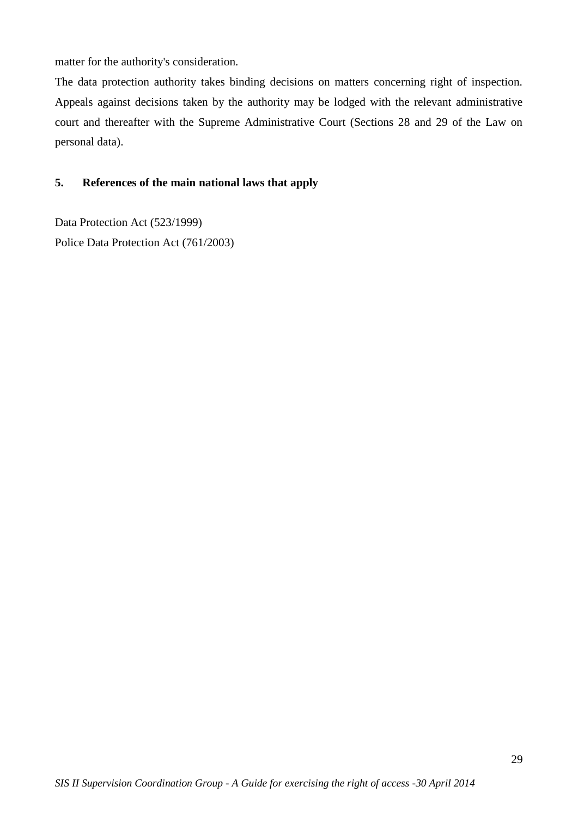matter for the authority's consideration.

The data protection authority takes binding decisions on matters concerning right of inspection. Appeals against decisions taken by the authority may be lodged with the relevant administrative court and thereafter with the Supreme Administrative Court (Sections 28 and 29 of the Law on personal data).

# **5. References of the main national laws that apply**

Data Protection Act (523/1999) Police Data Protection Act (761/2003)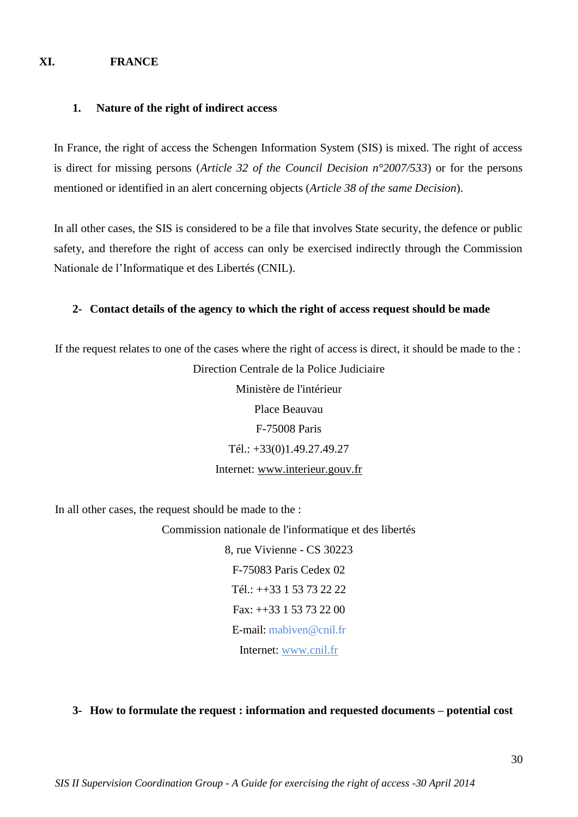## **XI. FRANCE**

#### <span id="page-29-0"></span>**1. Nature of the right of indirect access**

In France, the right of access the Schengen Information System (SIS) is mixed. The right of access is direct for missing persons (*Article 32 of the Council Decision n°2007/533*) or for the persons mentioned or identified in an alert concerning objects (*Article 38 of the same Decision*).

In all other cases, the SIS is considered to be a file that involves State security, the defence or public safety, and therefore the right of access can only be exercised indirectly through the Commission Nationale de l'Informatique et des Libertés (CNIL).

#### **2- Contact details of the agency to which the right of access request should be made**

If the request relates to one of the cases where the right of access is direct, it should be made to the : Direction Centrale de la Police Judiciaire Ministère de l'intérieur

Place Beauvau F-75008 Paris Tél.: +33(0)1.49.27.49.27 Internet: [www.interieur.gouv.fr](file:///C:/Documents%20and%20Settings/man/Bureau/www.interieur.gouv.fr)

In all other cases, the request should be made to the :

Commission nationale de l'informatique et des libertés

8, rue Vivienne - CS 30223 F-75083 Paris Cedex 02 Tél.: ++33 1 53 73 22 22 Fax: ++33 1 53 73 22 00 E-mail: mabiven@cnil.fr Internet: [www.cnil.fr](http://www.cnil.fr/)

#### **3- How to formulate the request : information and requested documents – potential cost**

*SIS II Supervision Coordination Group - A Guide for exercising the right of access -30 April 2014*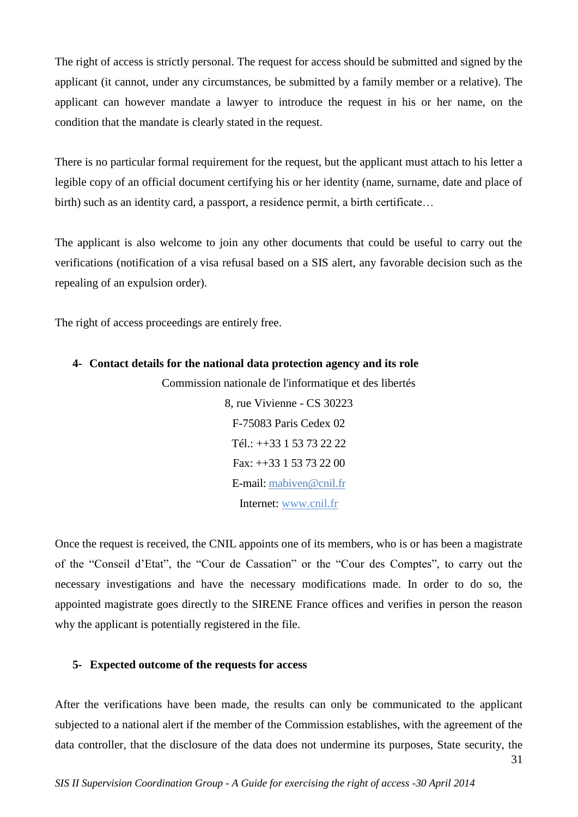The right of access is strictly personal. The request for access should be submitted and signed by the applicant (it cannot, under any circumstances, be submitted by a family member or a relative). The applicant can however mandate a lawyer to introduce the request in his or her name, on the condition that the mandate is clearly stated in the request.

There is no particular formal requirement for the request, but the applicant must attach to his letter a legible copy of an official document certifying his or her identity (name, surname, date and place of birth) such as an identity card, a passport, a residence permit, a birth certificate…

The applicant is also welcome to join any other documents that could be useful to carry out the verifications (notification of a visa refusal based on a SIS alert, any favorable decision such as the repealing of an expulsion order).

The right of access proceedings are entirely free.

#### **4- Contact details for the national data protection agency and its role**

Commission nationale de l'informatique et des libertés

8, rue Vivienne - CS 30223 F-75083 Paris Cedex 02 Tél.: ++33 1 53 73 22 22 Fax: ++33 1 53 73 22 00 E-mail: [mabiven@cnil.fr](mailto:mabiven@cnil.fr) Internet: [www.cnil.fr](http://www.cnil.fr/)

Once the request is received, the CNIL appoints one of its members, who is or has been a magistrate of the "Conseil d'Etat", the "Cour de Cassation" or the "Cour des Comptes", to carry out the necessary investigations and have the necessary modifications made. In order to do so, the appointed magistrate goes directly to the SIRENE France offices and verifies in person the reason why the applicant is potentially registered in the file.

#### **5- Expected outcome of the requests for access**

After the verifications have been made, the results can only be communicated to the applicant subjected to a national alert if the member of the Commission establishes, with the agreement of the data controller, that the disclosure of the data does not undermine its purposes, State security, the

31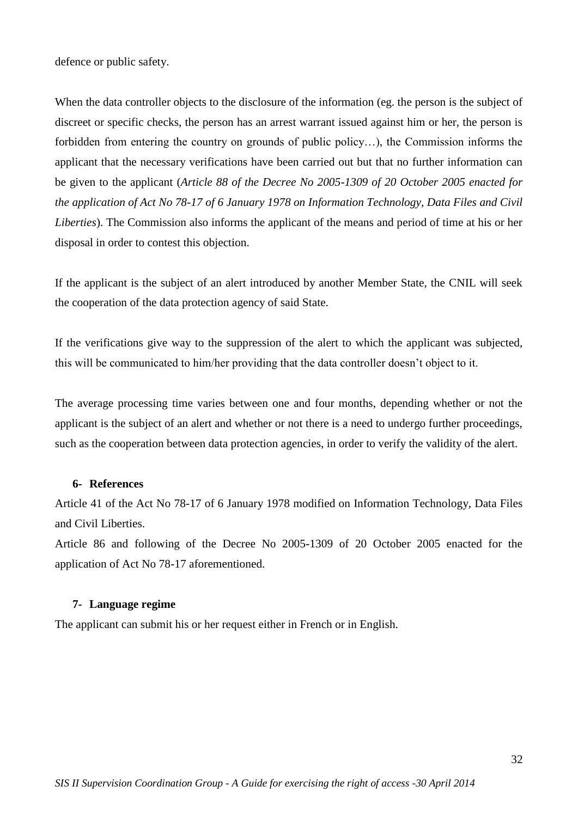defence or public safety.

When the data controller objects to the disclosure of the information (eg. the person is the subject of discreet or specific checks, the person has an arrest warrant issued against him or her, the person is forbidden from entering the country on grounds of public policy…), the Commission informs the applicant that the necessary verifications have been carried out but that no further information can be given to the applicant (*Article 88 of the Decree No 2005-1309 of 20 October 2005 enacted for the application of Act No 78-17 of 6 January 1978 on Information Technology, Data Files and Civil Liberties*). The Commission also informs the applicant of the means and period of time at his or her disposal in order to contest this objection.

If the applicant is the subject of an alert introduced by another Member State, the CNIL will seek the cooperation of the data protection agency of said State.

If the verifications give way to the suppression of the alert to which the applicant was subjected, this will be communicated to him/her providing that the data controller doesn't object to it.

The average processing time varies between one and four months, depending whether or not the applicant is the subject of an alert and whether or not there is a need to undergo further proceedings, such as the cooperation between data protection agencies, in order to verify the validity of the alert.

#### **6- References**

Article 41 of the Act No 78-17 of 6 January 1978 modified on Information Technology, Data Files and Civil Liberties.

Article 86 and following of the Decree No 2005-1309 of 20 October 2005 enacted for the application of Act No 78-17 aforementioned.

#### **7- Language regime**

The applicant can submit his or her request either in French or in English.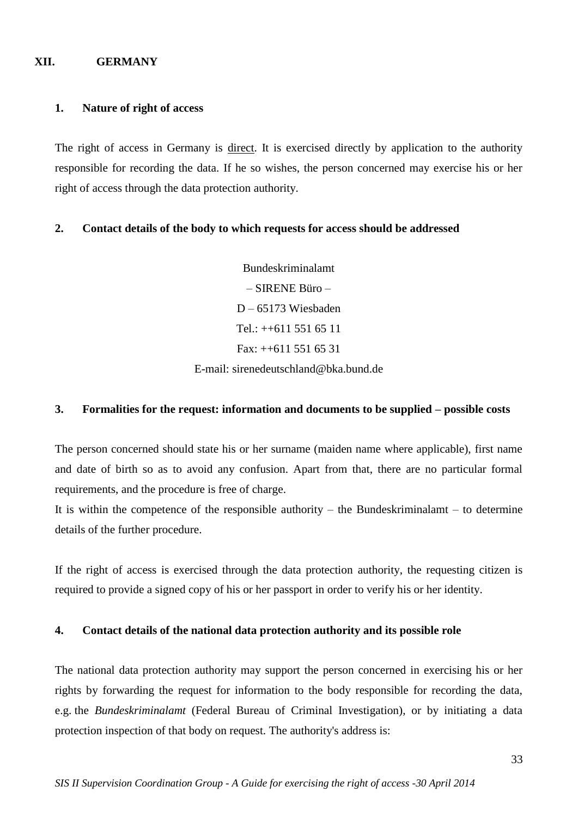#### <span id="page-32-0"></span>**XII. GERMANY**

#### **1. Nature of right of access**

The right of access in Germany is direct. It is exercised directly by application to the authority responsible for recording the data. If he so wishes, the person concerned may exercise his or her right of access through the data protection authority.

#### **2. Contact details of the body to which requests for access should be addressed**

Bundeskriminalamt – SIRENE Büro – D – 65173 Wiesbaden Tel.: ++611 551 65 11 Fax: ++611 551 65 31

E-mail: sirenedeutschland@bka.bund.de

# **3. Formalities for the request: information and documents to be supplied – possible costs**

The person concerned should state his or her surname (maiden name where applicable), first name and date of birth so as to avoid any confusion. Apart from that, there are no particular formal requirements, and the procedure is free of charge.

It is within the competence of the responsible authority – the Bundeskriminalamt – to determine details of the further procedure.

If the right of access is exercised through the data protection authority, the requesting citizen is required to provide a signed copy of his or her passport in order to verify his or her identity.

#### **4. Contact details of the national data protection authority and its possible role**

The national data protection authority may support the person concerned in exercising his or her rights by forwarding the request for information to the body responsible for recording the data, e.g. the *Bundeskriminalamt* (Federal Bureau of Criminal Investigation), or by initiating a data protection inspection of that body on request. The authority's address is: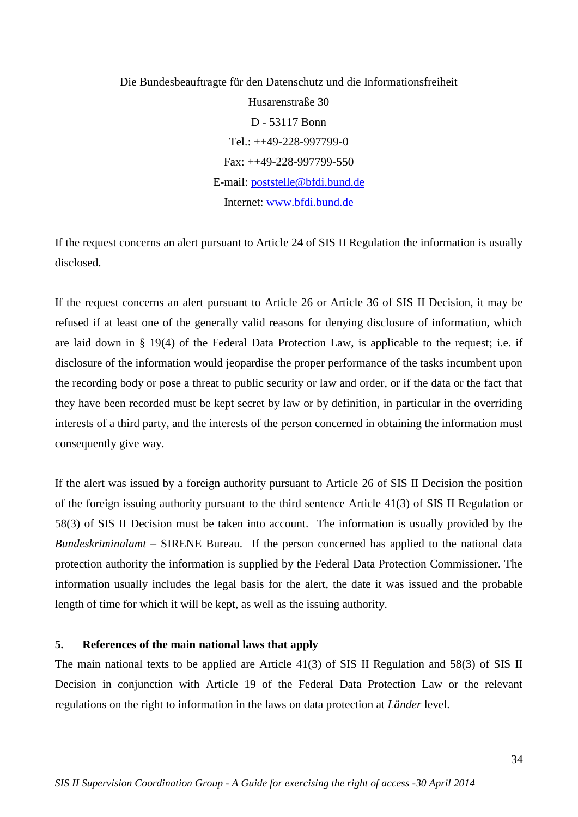# Die Bundesbeauftragte für den Datenschutz und die Informationsfreiheit Husarenstraße 30 D - 53117 Bonn Tel.: ++49-228-997799-0 Fax: ++49-228-997799-550 E-mail: [poststelle@bfdi.bund.de](mailto:poststelle@bfdi.bund.de) Internet: [www.bfdi.bund.de](http://www.bfdi.bund.de/)

If the request concerns an alert pursuant to Article 24 of SIS II Regulation the information is usually disclosed.

If the request concerns an alert pursuant to Article 26 or Article 36 of SIS II Decision, it may be refused if at least one of the generally valid reasons for denying disclosure of information, which are laid down in § 19(4) of the Federal Data Protection Law, is applicable to the request; i.e. if disclosure of the information would jeopardise the proper performance of the tasks incumbent upon the recording body or pose a threat to public security or law and order, or if the data or the fact that they have been recorded must be kept secret by law or by definition, in particular in the overriding interests of a third party, and the interests of the person concerned in obtaining the information must consequently give way.

If the alert was issued by a foreign authority pursuant to Article 26 of SIS II Decision the position of the foreign issuing authority pursuant to the third sentence Article 41(3) of SIS II Regulation or 58(3) of SIS II Decision must be taken into account. The information is usually provided by the *Bundeskriminalamt* – SIRENE Bureau. If the person concerned has applied to the national data protection authority the information is supplied by the Federal Data Protection Commissioner. The information usually includes the legal basis for the alert, the date it was issued and the probable length of time for which it will be kept, as well as the issuing authority.

### **5. References of the main national laws that apply**

The main national texts to be applied are Article 41(3) of SIS II Regulation and 58(3) of SIS II Decision in conjunction with Article 19 of the Federal Data Protection Law or the relevant regulations on the right to information in the laws on data protection at *Länder* level.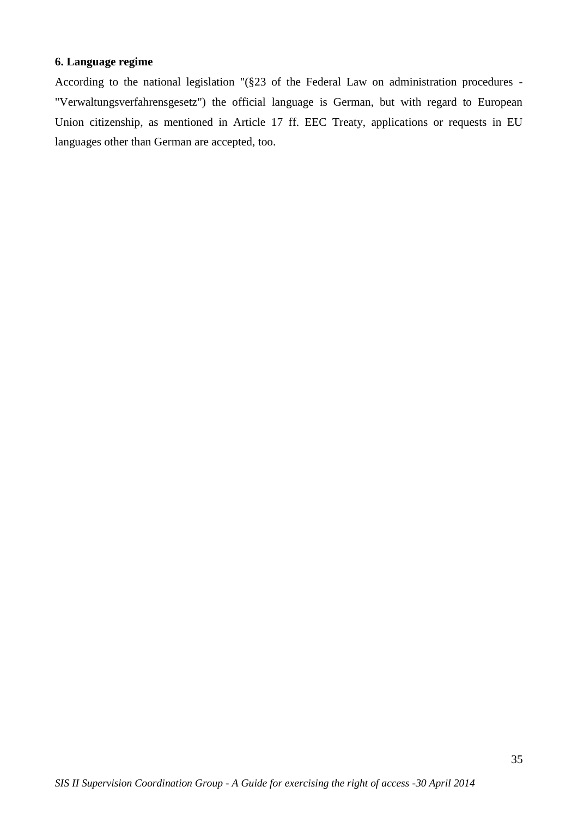# **6. Language regime**

According to the national legislation "(§23 of the Federal Law on administration procedures - "Verwaltungsverfahrensgesetz") the official language is German, but with regard to European Union citizenship, as mentioned in Article 17 ff. EEC Treaty, applications or requests in EU languages other than German are accepted, too.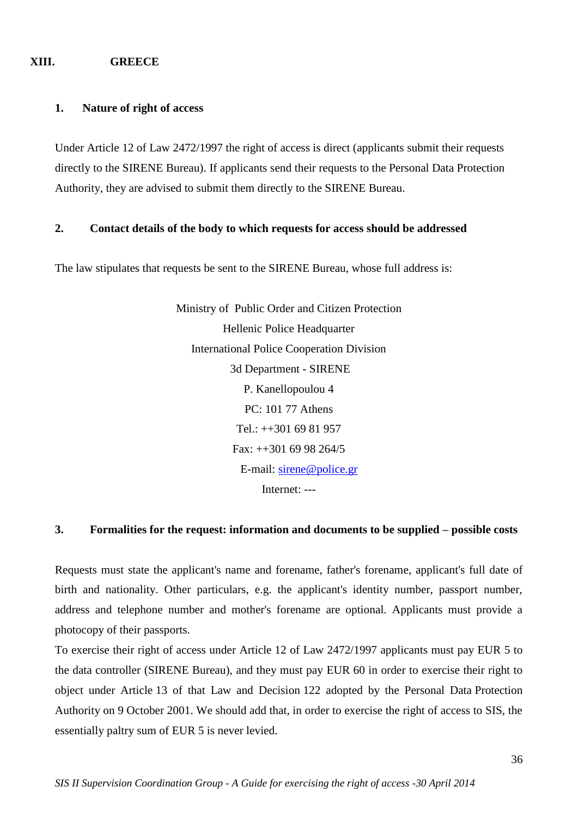#### **XIII. GREECE**

#### <span id="page-35-0"></span>**1. Nature of right of access**

Under Article 12 of Law 2472/1997 the right of access is direct (applicants submit their requests directly to the SIRENE Bureau). If applicants send their requests to the Personal Data Protection Authority, they are advised to submit them directly to the SIRENE Bureau.

#### **2. Contact details of the body to which requests for access should be addressed**

The law stipulates that requests be sent to the SIRENE Bureau, whose full address is:

Ministry of Public Order and Citizen Protection Hellenic Police Headquarter International Police Cooperation Division 3d Department - SIRENE P. Kanellopoulou 4 PC: 101 77 Athens Tel.: ++301 69 81 957 Fax: ++301 69 98 264/5 E-mail: [sirene@police.gr](mailto:sirene@police.gr) Internet: ---

## **3. Formalities for the request: information and documents to be supplied – possible costs**

Requests must state the applicant's name and forename, father's forename, applicant's full date of birth and nationality. Other particulars, e.g. the applicant's identity number, passport number, address and telephone number and mother's forename are optional. Applicants must provide a photocopy of their passports.

To exercise their right of access under Article 12 of Law 2472/1997 applicants must pay EUR 5 to the data controller (SIRENE Bureau), and they must pay EUR 60 in order to exercise their right to object under Article 13 of that Law and Decision 122 adopted by the Personal Data Protection Authority on 9 October 2001. We should add that, in order to exercise the right of access to SIS, the essentially paltry sum of EUR 5 is never levied.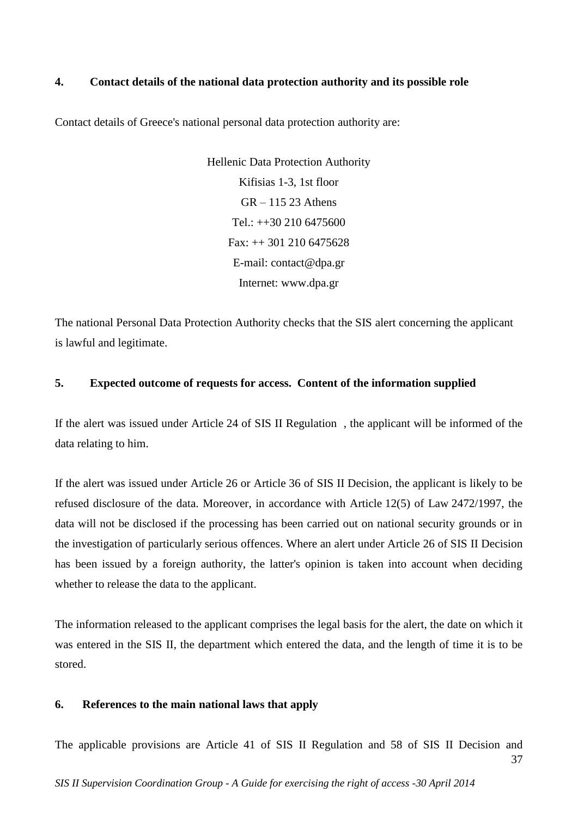# **4. Contact details of the national data protection authority and its possible role**

Contact details of Greece's national personal data protection authority are:

Hellenic Data Protection Authority Kifisias 1-3, 1st floor GR – 115 23 Athens Tel.: ++30 210 6475600 Fax: ++ 301 210 6475628 E-mail: contact@dpa.gr Internet: www.dpa.gr

The national Personal Data Protection Authority checks that the SIS alert concerning the applicant is lawful and legitimate.

# **5. Expected outcome of requests for access. Content of the information supplied**

If the alert was issued under Article 24 of SIS II Regulation , the applicant will be informed of the data relating to him.

If the alert was issued under Article 26 or Article 36 of SIS II Decision, the applicant is likely to be refused disclosure of the data. Moreover, in accordance with Article 12(5) of Law 2472/1997, the data will not be disclosed if the processing has been carried out on national security grounds or in the investigation of particularly serious offences. Where an alert under Article 26 of SIS II Decision has been issued by a foreign authority, the latter's opinion is taken into account when deciding whether to release the data to the applicant.

The information released to the applicant comprises the legal basis for the alert, the date on which it was entered in the SIS II, the department which entered the data, and the length of time it is to be stored.

## **6. References to the main national laws that apply**

37 The applicable provisions are Article 41 of SIS II Regulation and 58 of SIS II Decision and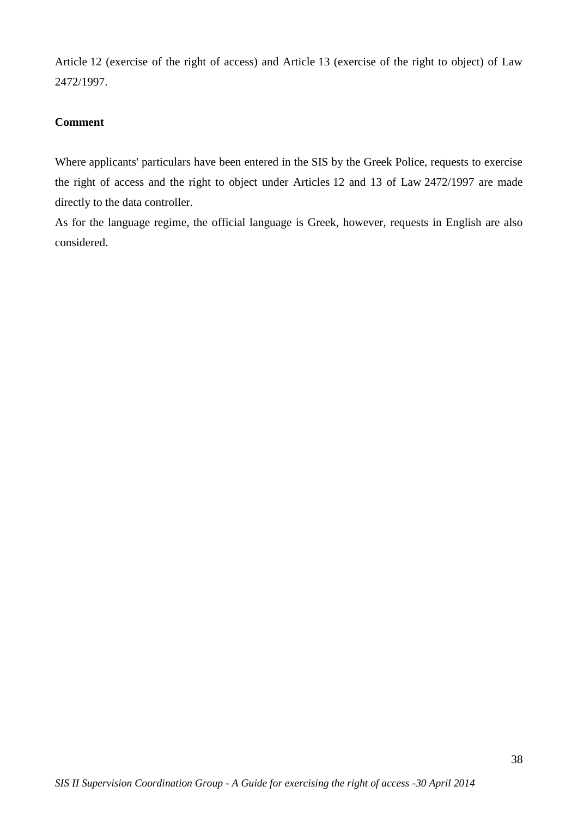Article 12 (exercise of the right of access) and Article 13 (exercise of the right to object) of Law 2472/1997.

# **Comment**

Where applicants' particulars have been entered in the SIS by the Greek Police, requests to exercise the right of access and the right to object under Articles 12 and 13 of Law 2472/1997 are made directly to the data controller.

As for the language regime, the official language is Greek, however, requests in English are also considered.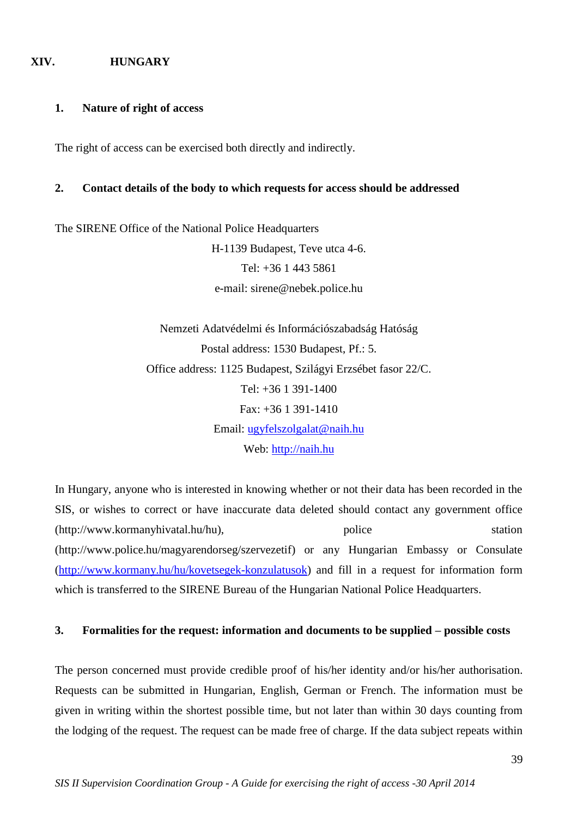# **XIV. HUNGARY**

### **1. Nature of right of access**

The right of access can be exercised both directly and indirectly.

## **2. Contact details of the body to which requests for access should be addressed**

The SIRENE Office of the National Police Headquarters

H-1139 Budapest, Teve utca 4-6. Tel: +36 1 443 5861 e-mail: sirene@nebek.police.hu

Nemzeti Adatvédelmi és Információszabadság Hatóság Postal address: 1530 Budapest, Pf.: 5. Office address: 1125 Budapest, Szilágyi Erzsébet fasor 22/C. Tel: +36 1 391-1400 Fax: +36 1 391-1410 Email: [ugyfelszolgalat@naih.hu](mailto:ugyfelszolgalat@naih.hu) Web: [http://naih.hu](http://naih.hu/)

In Hungary, anyone who is interested in knowing whether or not their data has been recorded in the SIS, or wishes to correct or have inaccurate data deleted should contact any government office (http://www.kormanyhivatal.hu/hu), police station (http://www.police.hu/magyarendorseg/szervezetif) or any Hungarian Embassy or Consulate [\(http://www.kormany.hu/hu/kovetsegek-konzulatusok\)](http://www.kormany.hu/hu/kovetsegek-konzulatusok) and fill in a request for information form which is transferred to the SIRENE Bureau of the Hungarian National Police Headquarters.

#### **3. Formalities for the request: information and documents to be supplied – possible costs**

The person concerned must provide credible proof of his/her identity and/or his/her authorisation. Requests can be submitted in Hungarian, English, German or French. The information must be given in writing within the shortest possible time, but not later than within 30 days counting from the lodging of the request. The request can be made free of charge. If the data subject repeats within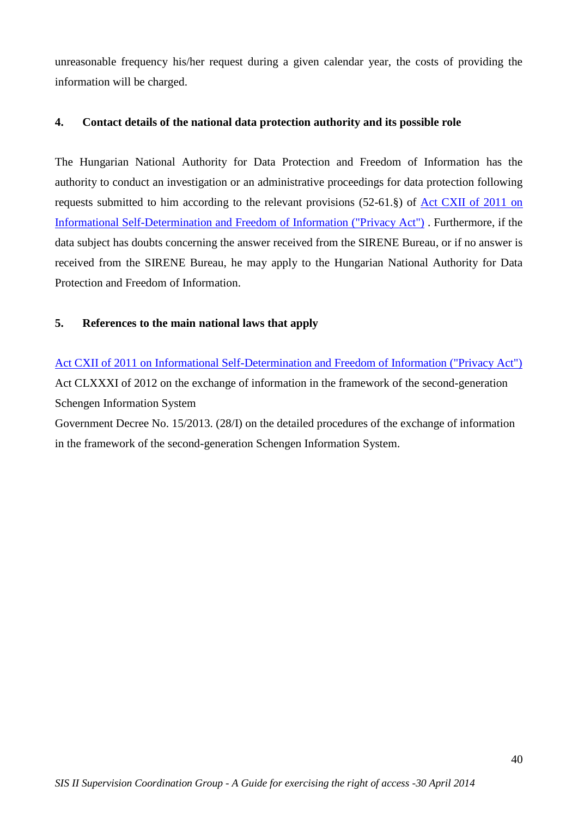unreasonable frequency his/her request during a given calendar year, the costs of providing the information will be charged.

# **4. Contact details of the national data protection authority and its possible role**

The Hungarian National Authority for Data Protection and Freedom of Information has the authority to conduct an investigation or an administrative proceedings for data protection following requests submitted to him according to the relevant provisions (52-61.§) of [Act CXII of 2011 on](http://www.naih.hu/files/Privacy_Act-CXII-of-2011_EN_201310.pdf)  [Informational Self-Determination and Freedom of Information \("Privacy Act"\)](http://www.naih.hu/files/Privacy_Act-CXII-of-2011_EN_201310.pdf) . Furthermore, if the data subject has doubts concerning the answer received from the SIRENE Bureau, or if no answer is received from the SIRENE Bureau, he may apply to the Hungarian National Authority for Data Protection and Freedom of Information.

# **5. References to the main national laws that apply**

[Act CXII of 2011 on Informational Self-Determination and Freedom of Information \("Privacy Act"\)](http://www.naih.hu/files/Privacy_Act-CXII-of-2011_EN_201310.pdf) Act CLXXXI of 2012 on the exchange of information in the framework of the second-generation Schengen Information System

Government Decree No. 15/2013. (28/I) on the detailed procedures of the exchange of information in the framework of the second-generation Schengen Information System.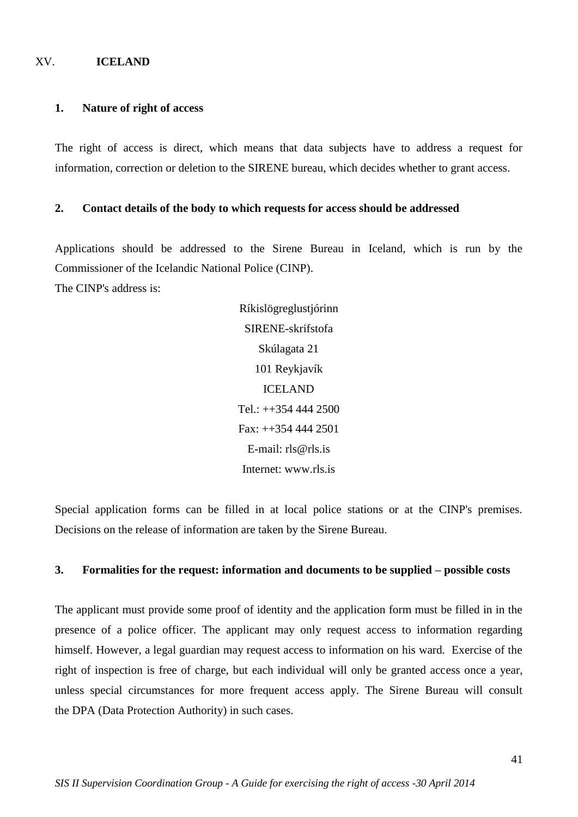## XV. **ICELAND**

#### **1. Nature of right of access**

The right of access is direct, which means that data subjects have to address a request for information, correction or deletion to the SIRENE bureau, which decides whether to grant access.

## **2. Contact details of the body to which requests for access should be addressed**

Applications should be addressed to the Sirene Bureau in Iceland, which is run by the Commissioner of the Icelandic National Police (CINP).

The CINP's address is:

Ríkislögreglustjórinn SIRENE-skrifstofa Skúlagata 21 101 Reykjavík ICELAND Tel.: ++354 444 2500 Fax: ++354 444 2501 E-mail: rls@rls.is Internet: www.rls.is

Special application forms can be filled in at local police stations or at the CINP's premises. Decisions on the release of information are taken by the Sirene Bureau.

## **3. Formalities for the request: information and documents to be supplied – possible costs**

The applicant must provide some proof of identity and the application form must be filled in in the presence of a police officer. The applicant may only request access to information regarding himself. However, a legal guardian may request access to information on his ward. Exercise of the right of inspection is free of charge, but each individual will only be granted access once a year, unless special circumstances for more frequent access apply. The Sirene Bureau will consult the DPA (Data Protection Authority) in such cases.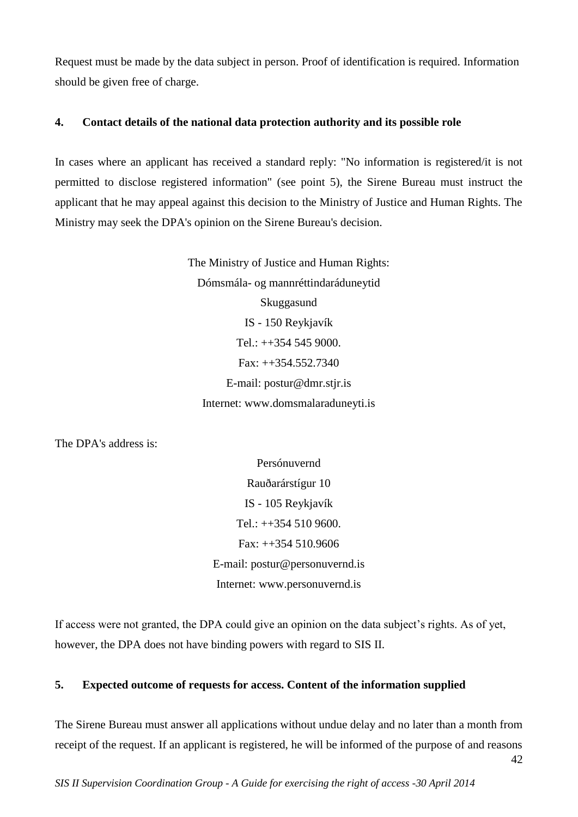Request must be made by the data subject in person. Proof of identification is required. Information should be given free of charge.

# **4. Contact details of the national data protection authority and its possible role**

In cases where an applicant has received a standard reply: "No information is registered/it is not permitted to disclose registered information" (see point 5), the Sirene Bureau must instruct the applicant that he may appeal against this decision to the Ministry of Justice and Human Rights. The Ministry may seek the DPA's opinion on the Sirene Bureau's decision.

> The Ministry of Justice and Human Rights: Dómsmála- og mannréttindaráduneytid Skuggasund IS - 150 Reykjavík Tel.: ++354 545 9000. Fax: ++354.552.7340 E-mail: postur@dmr.stjr.is Internet: www.domsmalaraduneyti.is

The DPA's address is:

Persónuvernd Rauðarárstígur 10 IS - 105 Reykjavík Tel.: ++354 510 9600. Fax: ++354 510.9606 E-mail: postur@personuvernd.is Internet: www.personuvernd.is

If access were not granted, the DPA could give an opinion on the data subject's rights. As of yet, however, the DPA does not have binding powers with regard to SIS II.

# **5. Expected outcome of requests for access. Content of the information supplied**

The Sirene Bureau must answer all applications without undue delay and no later than a month from receipt of the request. If an applicant is registered, he will be informed of the purpose of and reasons

42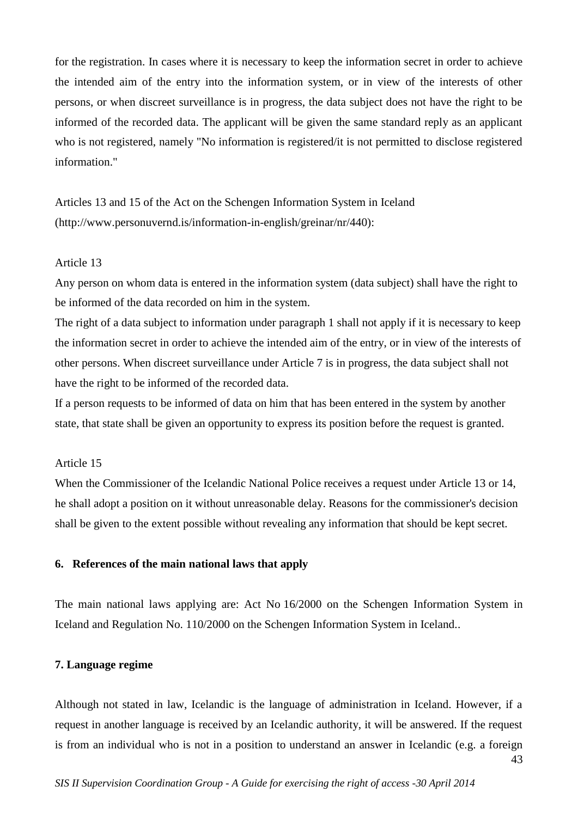for the registration. In cases where it is necessary to keep the information secret in order to achieve the intended aim of the entry into the information system, or in view of the interests of other persons, or when discreet surveillance is in progress, the data subject does not have the right to be informed of the recorded data. The applicant will be given the same standard reply as an applicant who is not registered, namely "No information is registered/it is not permitted to disclose registered information."

Articles 13 and 15 of the Act on the Schengen Information System in Iceland (http://www.personuvernd.is/information-in-english/greinar/nr/440):

## Article 13

Any person on whom data is entered in the information system (data subject) shall have the right to be informed of the data recorded on him in the system.

The right of a data subject to information under paragraph 1 shall not apply if it is necessary to keep the information secret in order to achieve the intended aim of the entry, or in view of the interests of other persons. When discreet surveillance under Article 7 is in progress, the data subject shall not have the right to be informed of the recorded data.

If a person requests to be informed of data on him that has been entered in the system by another state, that state shall be given an opportunity to express its position before the request is granted.

## Article 15

When the Commissioner of the Icelandic National Police receives a request under Article 13 or 14, he shall adopt a position on it without unreasonable delay. Reasons for the commissioner's decision shall be given to the extent possible without revealing any information that should be kept secret.

### **6. References of the main national laws that apply**

The main national laws applying are: Act No 16/2000 on the Schengen Information System in Iceland and Regulation No. 110/2000 on the Schengen Information System in Iceland..

### **7. Language regime**

Although not stated in law, Icelandic is the language of administration in Iceland. However, if a request in another language is received by an Icelandic authority, it will be answered. If the request is from an individual who is not in a position to understand an answer in Icelandic (e.g. a foreign

43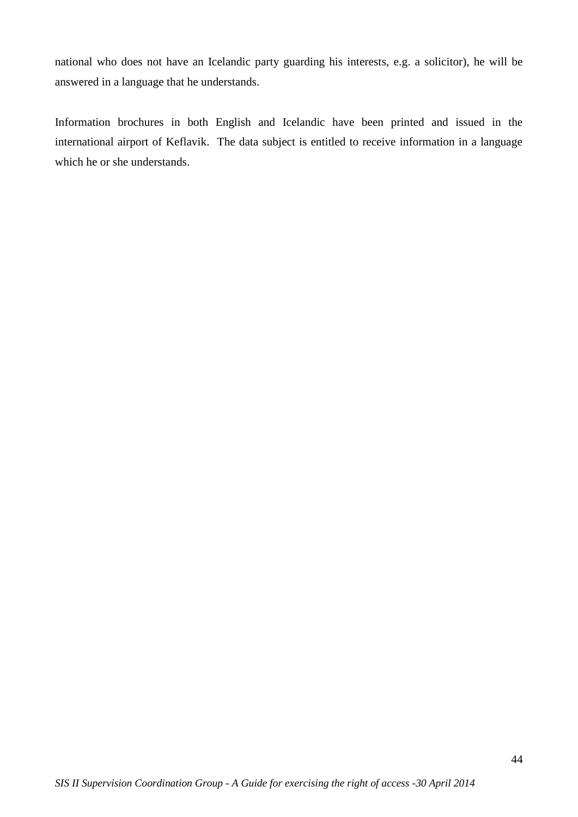national who does not have an Icelandic party guarding his interests, e.g. a solicitor), he will be answered in a language that he understands.

Information brochures in both English and Icelandic have been printed and issued in the international airport of Keflavik. The data subject is entitled to receive information in a language which he or she understands.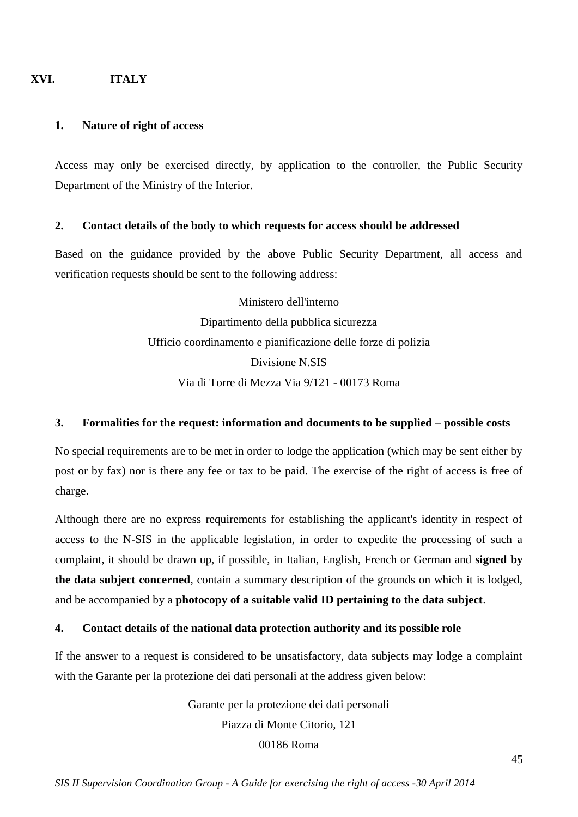# **XVI. ITALY**

# **1. Nature of right of access**

Access may only be exercised directly, by application to the controller, the Public Security Department of the Ministry of the Interior.

## **2. Contact details of the body to which requests for access should be addressed**

Based on the guidance provided by the above Public Security Department, all access and verification requests should be sent to the following address:

> Ministero dell'interno Dipartimento della pubblica sicurezza Ufficio coordinamento e pianificazione delle forze di polizia Divisione N.SIS Via di Torre di Mezza Via 9/121 - 00173 Roma

## **3. Formalities for the request: information and documents to be supplied – possible costs**

No special requirements are to be met in order to lodge the application (which may be sent either by post or by fax) nor is there any fee or tax to be paid. The exercise of the right of access is free of charge.

Although there are no express requirements for establishing the applicant's identity in respect of access to the N-SIS in the applicable legislation, in order to expedite the processing of such a complaint, it should be drawn up, if possible, in Italian, English, French or German and **signed by the data subject concerned**, contain a summary description of the grounds on which it is lodged, and be accompanied by a **photocopy of a suitable valid ID pertaining to the data subject**.

# **4. Contact details of the national data protection authority and its possible role**

If the answer to a request is considered to be unsatisfactory, data subjects may lodge a complaint with the Garante per la protezione dei dati personali at the address given below:

> Garante per la protezione dei dati personali Piazza di Monte Citorio, 121 00186 Roma

*SIS II Supervision Coordination Group - A Guide for exercising the right of access -30 April 2014*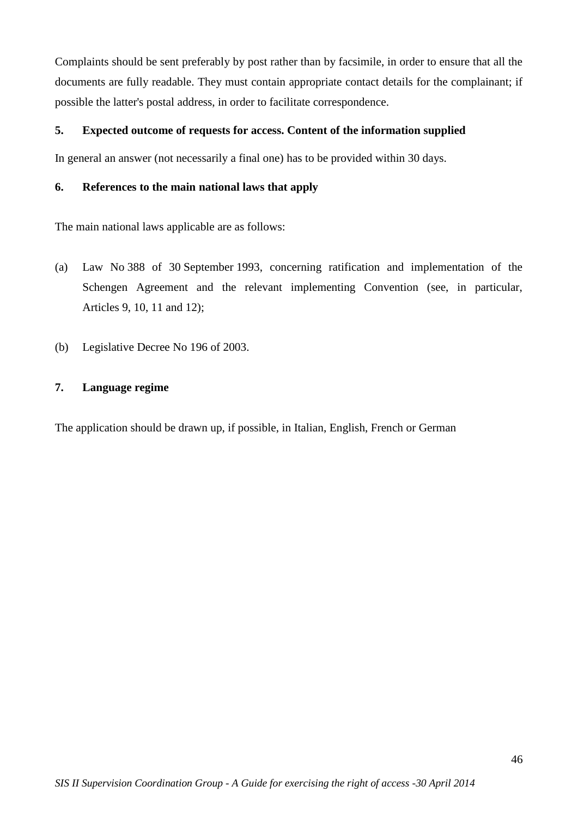Complaints should be sent preferably by post rather than by facsimile, in order to ensure that all the documents are fully readable. They must contain appropriate contact details for the complainant; if possible the latter's postal address, in order to facilitate correspondence.

# **5. Expected outcome of requests for access. Content of the information supplied**

In general an answer (not necessarily a final one) has to be provided within 30 days.

# **6. References to the main national laws that apply**

The main national laws applicable are as follows:

- (a) Law No 388 of 30 September 1993, concerning ratification and implementation of the Schengen Agreement and the relevant implementing Convention (see, in particular, Articles 9, 10, 11 and 12);
- (b) Legislative Decree No 196 of 2003.

# **7. Language regime**

The application should be drawn up, if possible, in Italian, English, French or German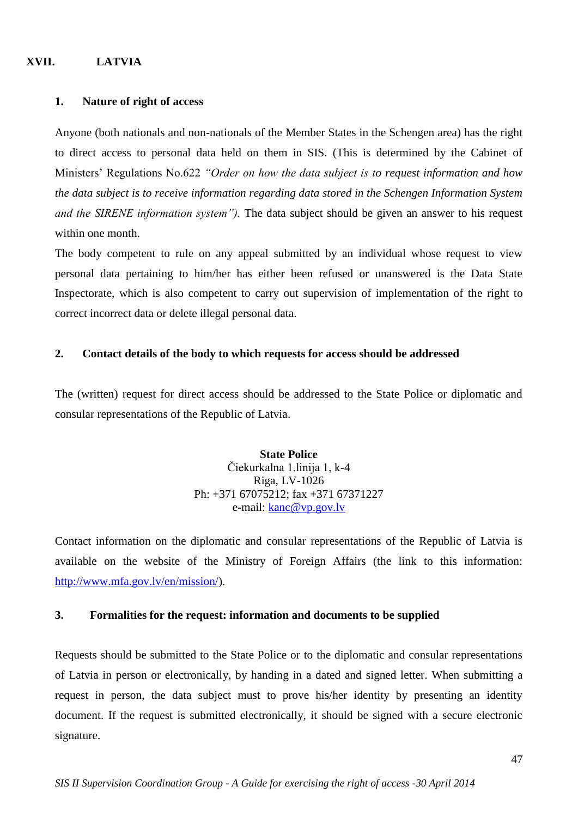# **XVII. LATVIA**

## **1. Nature of right of access**

Anyone (both nationals and non-nationals of the Member States in the Schengen area) has the right to direct access to personal data held on them in SIS. (This is determined by the Cabinet of Ministers' Regulations No.622 *"Order on how the data subject is to request information and how the data subject is to receive information regarding data stored in the Schengen Information System and the SIRENE information system").* The data subject should be given an answer to his request within one month.

The body competent to rule on any appeal submitted by an individual whose request to view personal data pertaining to him/her has either been refused or unanswered is the Data State Inspectorate, which is also competent to carry out supervision of implementation of the right to correct incorrect data or delete illegal personal data.

### **2. Contact details of the body to which requests for access should be addressed**

The (written) request for direct access should be addressed to the State Police or diplomatic and consular representations of the Republic of Latvia.

> **State Police** Čiekurkalna 1.linija 1, k-4 Riga, LV-1026 Ph: +371 67075212; fax +371 67371227 e-mail: [kanc@vp.gov.lv](mailto:kanc@vp.gov.lv)

Contact information on the diplomatic and consular representations of the Republic of Latvia is available on the website of the Ministry of Foreign Affairs (the link to this information: [http://www.mfa.gov.lv/en/mission/\)](http://www.mfa.gov.lv/en/mission/).

## **3. Formalities for the request: information and documents to be supplied**

Requests should be submitted to the State Police or to the diplomatic and consular representations of Latvia in person or electronically, by handing in a dated and signed letter. When submitting a request in person, the data subject must to prove his/her identity by presenting an identity document. If the request is submitted electronically, it should be signed with a secure electronic signature.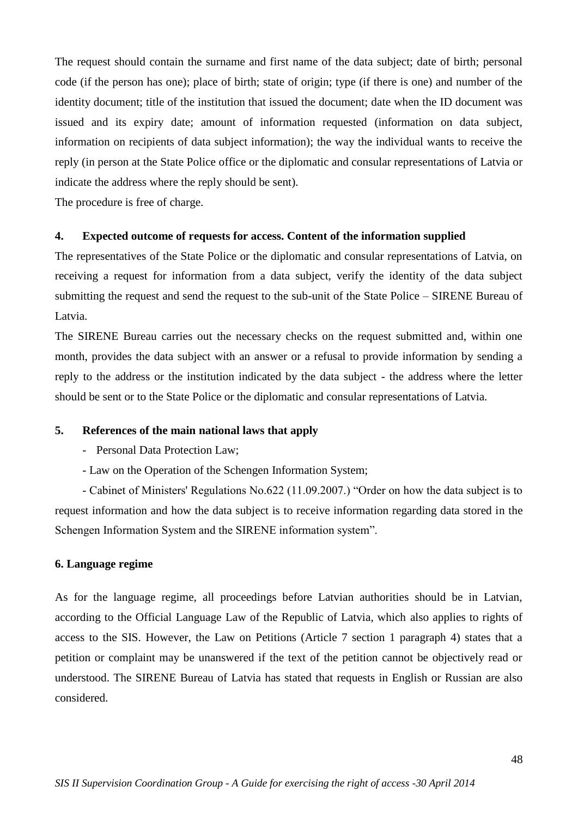The request should contain the surname and first name of the data subject; date of birth; personal code (if the person has one); place of birth; state of origin; type (if there is one) and number of the identity document; title of the institution that issued the document; date when the ID document was issued and its expiry date; amount of information requested (information on data subject, information on recipients of data subject information); the way the individual wants to receive the reply (in person at the State Police office or the diplomatic and consular representations of Latvia or indicate the address where the reply should be sent).

The procedure is free of charge.

#### **4. Expected outcome of requests for access. Content of the information supplied**

The representatives of the State Police or the diplomatic and consular representations of Latvia, on receiving a request for information from a data subject, verify the identity of the data subject submitting the request and send the request to the sub-unit of the State Police – SIRENE Bureau of Latvia.

The SIRENE Bureau carries out the necessary checks on the request submitted and, within one month, provides the data subject with an answer or a refusal to provide information by sending a reply to the address or the institution indicated by the data subject - the address where the letter should be sent or to the State Police or the diplomatic and consular representations of Latvia.

## **5. References of the main national laws that apply**

- Personal Data Protection Law;
- Law on the Operation of the Schengen Information System;

- Cabinet of Ministers' Regulations No.622 (11.09.2007.) "Order on how the data subject is to request information and how the data subject is to receive information regarding data stored in the Schengen Information System and the SIRENE information system".

### **6. Language regime**

As for the language regime, all proceedings before Latvian authorities should be in Latvian, according to the Official Language Law of the Republic of Latvia, which also applies to rights of access to the SIS. However, the Law on Petitions (Article 7 section 1 paragraph 4) states that a petition or complaint may be unanswered if the text of the petition cannot be objectively read or understood. The SIRENE Bureau of Latvia has stated that requests in English or Russian are also considered.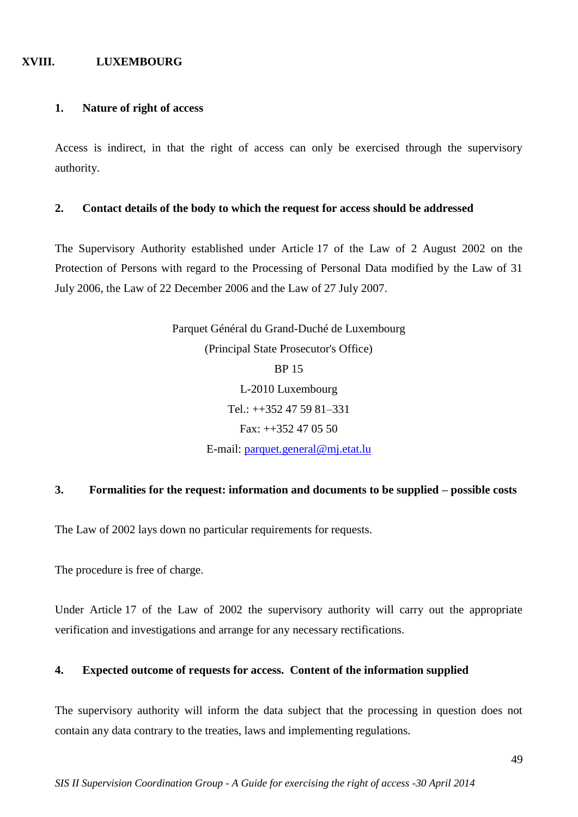# **XVIII. LUXEMBOURG**

#### **1. Nature of right of access**

Access is indirect, in that the right of access can only be exercised through the supervisory authority.

## **2. Contact details of the body to which the request for access should be addressed**

The Supervisory Authority established under Article 17 of the Law of 2 August 2002 on the Protection of Persons with regard to the Processing of Personal Data modified by the Law of 31 July 2006, the Law of 22 December 2006 and the Law of 27 July 2007.

> Parquet Général du Grand-Duché de Luxembourg (Principal State Prosecutor's Office) BP 15 L-2010 Luxembourg Tel.: ++352 47 59 81–331 Fax: ++352 47 05 50 E-mail: [parquet.general@mj.etat.lu](mailto:parquet.general@mj.etat0.lu)

# **3. Formalities for the request: information and documents to be supplied – possible costs**

The Law of 2002 lays down no particular requirements for requests.

The procedure is free of charge.

Under Article 17 of the Law of 2002 the supervisory authority will carry out the appropriate verification and investigations and arrange for any necessary rectifications.

## **4. Expected outcome of requests for access. Content of the information supplied**

The supervisory authority will inform the data subject that the processing in question does not contain any data contrary to the treaties, laws and implementing regulations.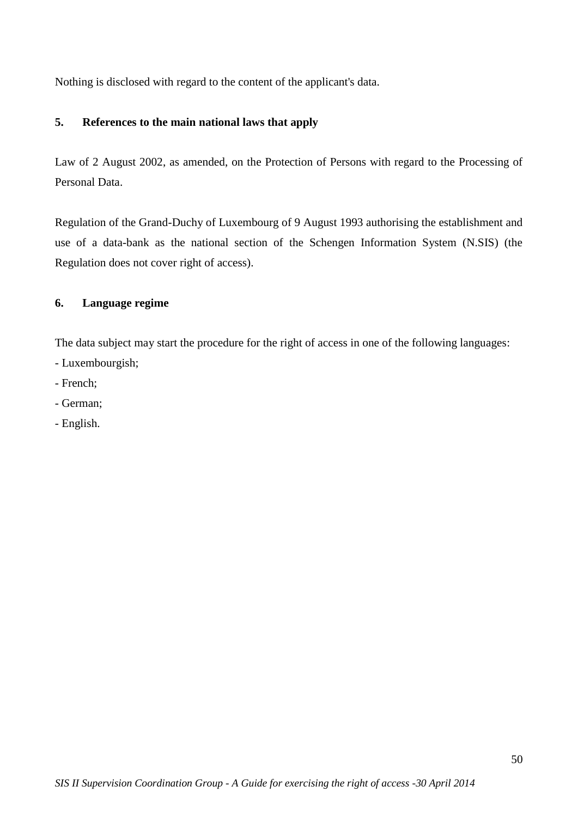Nothing is disclosed with regard to the content of the applicant's data.

# **5. References to the main national laws that apply**

Law of 2 August 2002, as amended, on the Protection of Persons with regard to the Processing of Personal Data.

Regulation of the Grand-Duchy of Luxembourg of 9 August 1993 authorising the establishment and use of a data-bank as the national section of the Schengen Information System (N.SIS) (the Regulation does not cover right of access).

# **6. Language regime**

The data subject may start the procedure for the right of access in one of the following languages:

- Luxembourgish;
- French;
- German;
- English.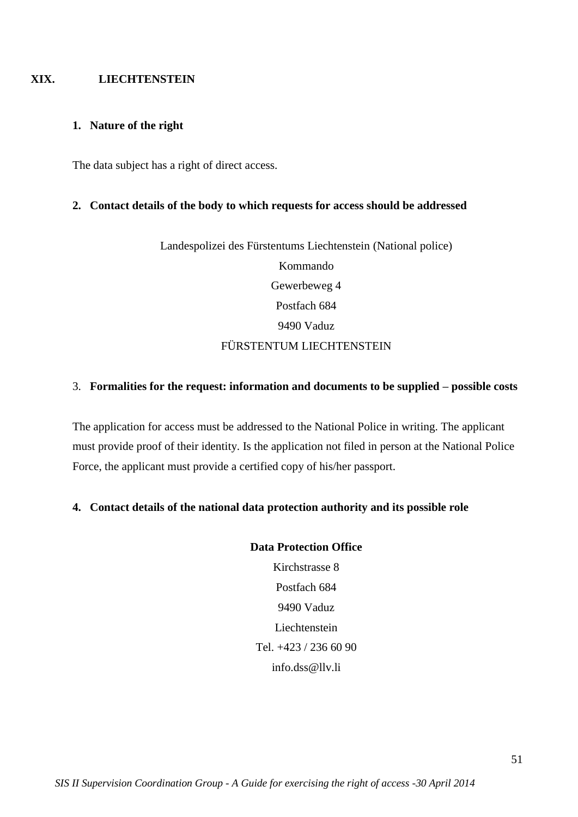# **XIX. LIECHTENSTEIN**

## **1. Nature of the right**

The data subject has a right of direct access.

#### **2. Contact details of the body to which requests for access should be addressed**

Landespolizei des Fürstentums Liechtenstein (National police) Kommando Gewerbeweg 4 Postfach 684 9490 Vaduz FÜRSTENTUM LIECHTENSTEIN

### 3. **Formalities for the request: information and documents to be supplied – possible costs**

The application for access must be addressed to the National Police in writing. The applicant must provide proof of their identity. Is the application not filed in person at the National Police Force, the applicant must provide a certified copy of his/her passport.

## **4. Contact details of the national data protection authority and its possible role**

#### **Data Protection Office**

Kirchstrasse 8 Postfach 684 9490 Vaduz Liechtenstein Tel. +423 / 236 60 90 info.dss@llv.li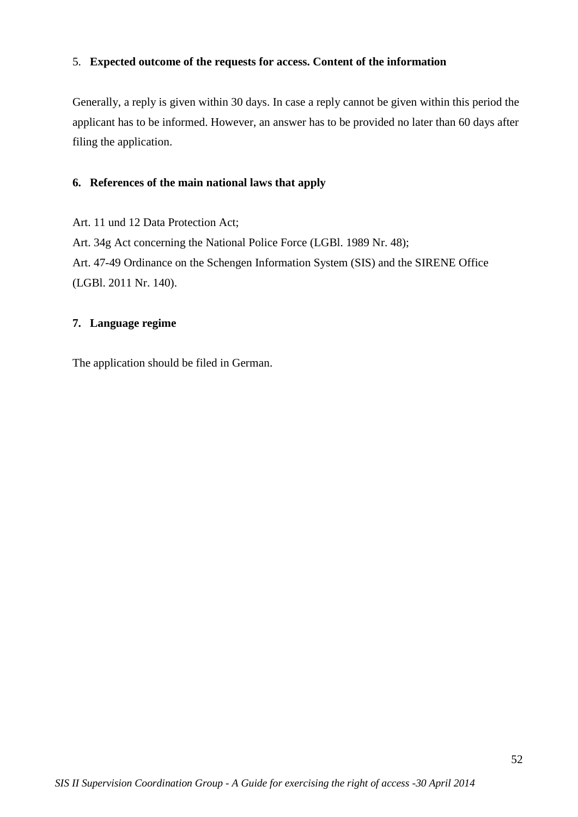# 5. **Expected outcome of the requests for access. Content of the information**

Generally, a reply is given within 30 days. In case a reply cannot be given within this period the applicant has to be informed. However, an answer has to be provided no later than 60 days after filing the application.

# **6. References of the main national laws that apply**

Art. 11 und 12 Data Protection Act;

Art. 34g Act concerning the National Police Force (LGBl. 1989 Nr. 48); Art. 47-49 Ordinance on the Schengen Information System (SIS) and the SIRENE Office (LGBl. 2011 Nr. 140).

# **7. Language regime**

The application should be filed in German.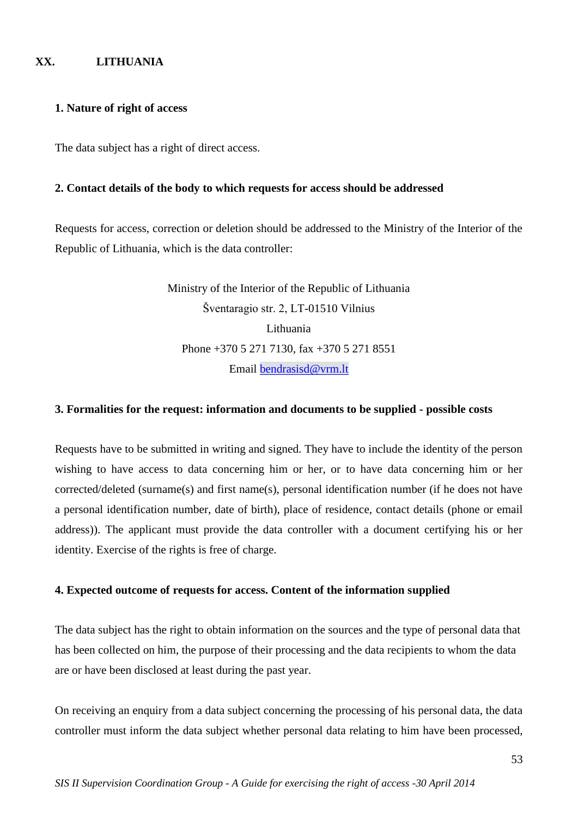# **XX. LITHUANIA**

### **1. Nature of right of access**

The data subject has a right of direct access.

## **2. Contact details of the body to which requests for access should be addressed**

Requests for access, correction or deletion should be addressed to the Ministry of the Interior of the Republic of Lithuania, which is the data controller:

> Ministry of the Interior of the Republic of Lithuania Šventaragio str. 2, LT-01510 Vilnius Lithuania Phone +370 5 271 7130, fax +370 5 271 8551 Email [bendrasisd@vrm.lt](mailto:bendrasisd@vrm.lt)

# **3. Formalities for the request: information and documents to be supplied - possible costs**

Requests have to be submitted in writing and signed. They have to include the identity of the person wishing to have access to data concerning him or her, or to have data concerning him or her corrected/deleted (surname(s) and first name(s), personal identification number (if he does not have a personal identification number, date of birth), place of residence, contact details (phone or email address)). The applicant must provide the data controller with a document certifying his or her identity. Exercise of the rights is free of charge.

#### **4. Expected outcome of requests for access. Content of the information supplied**

The data subject has the right to obtain information on the sources and the type of personal data that has been collected on him, the purpose of their processing and the data recipients to whom the data are or have been disclosed at least during the past year.

On receiving an enquiry from a data subject concerning the processing of his personal data, the data controller must inform the data subject whether personal data relating to him have been processed,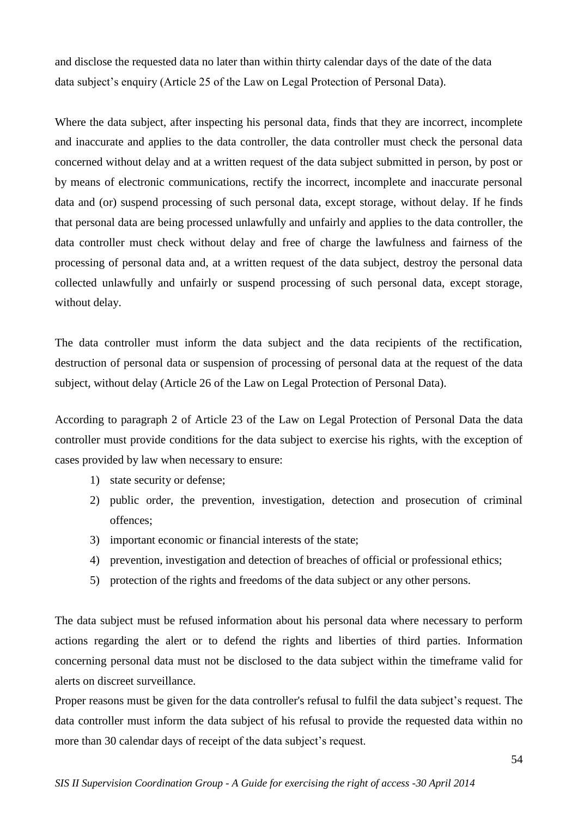and disclose the requested data no later than within thirty calendar days of the date of the data data subject's enquiry (Article 25 of the Law on Legal Protection of Personal Data).

Where the data subject, after inspecting his personal data, finds that they are incorrect, incomplete and inaccurate and applies to the data controller, the data controller must check the personal data concerned without delay and at a written request of the data subject submitted in person, by post or by means of electronic communications, rectify the incorrect, incomplete and inaccurate personal data and (or) suspend processing of such personal data, except storage, without delay. If he finds that personal data are being processed unlawfully and unfairly and applies to the data controller, the data controller must check without delay and free of charge the lawfulness and fairness of the processing of personal data and, at a written request of the data subject, destroy the personal data collected unlawfully and unfairly or suspend processing of such personal data, except storage, without delay.

The data controller must inform the data subject and the data recipients of the rectification, destruction of personal data or suspension of processing of personal data at the request of the data subject, without delay (Article 26 of the Law on Legal Protection of Personal Data).

According to paragraph 2 of Article 23 of the Law on Legal Protection of Personal Data the data controller must provide conditions for the data subject to exercise his rights, with the exception of cases provided by law when necessary to ensure:

- 1) state security or defense;
- 2) public order, the prevention, investigation, detection and prosecution of criminal offences;
- 3) important economic or financial interests of the state;
- 4) prevention, investigation and detection of breaches of official or professional ethics;
- 5) protection of the rights and freedoms of the data subject or any other persons.

The data subject must be refused information about his personal data where necessary to perform actions regarding the alert or to defend the rights and liberties of third parties. Information concerning personal data must not be disclosed to the data subject within the timeframe valid for alerts on discreet surveillance.

Proper reasons must be given for the data controller's refusal to fulfil the data subject's request. The data controller must inform the data subject of his refusal to provide the requested data within no more than 30 calendar days of receipt of the data subject's request.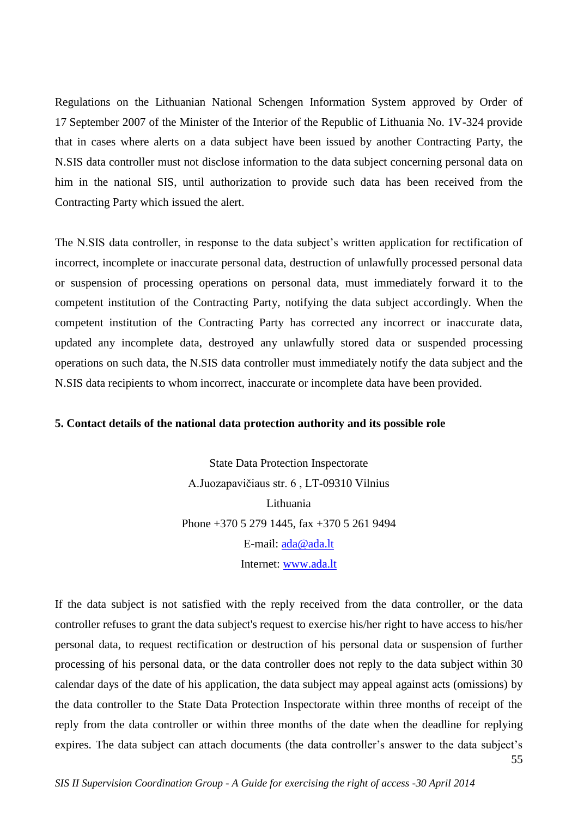Regulations on the Lithuanian National Schengen Information System approved by Order of 17 September 2007 of the Minister of the Interior of the Republic of Lithuania No. 1V-324 provide that in cases where alerts on a data subject have been issued by another Contracting Party, the N.SIS data controller must not disclose information to the data subject concerning personal data on him in the national SIS, until authorization to provide such data has been received from the Contracting Party which issued the alert.

The N.SIS data controller, in response to the data subject's written application for rectification of incorrect, incomplete or inaccurate personal data, destruction of unlawfully processed personal data or suspension of processing operations on personal data, must immediately forward it to the competent institution of the Contracting Party, notifying the data subject accordingly. When the competent institution of the Contracting Party has corrected any incorrect or inaccurate data, updated any incomplete data, destroyed any unlawfully stored data or suspended processing operations on such data, the N.SIS data controller must immediately notify the data subject and the N.SIS data recipients to whom incorrect, inaccurate or incomplete data have been provided.

### **5. Contact details of the national data protection authority and its possible role**

State Data Protection Inspectorate A.Juozapavičiaus str. 6 , LT-09310 Vilnius Lithuania Phone +370 5 279 1445, fax +370 5 261 9494 E-mail: [ada@ada.lt](mailto:ada@ada.lt) Internet: [www.ada.lt](http://www.ada.lt/)

If the data subject is not satisfied with the reply received from the data controller, or the data controller refuses to grant the data subject's request to exercise his/her right to have access to his/her personal data, to request rectification or destruction of his personal data or suspension of further processing of his personal data, or the data controller does not reply to the data subject within 30 calendar days of the date of his application, the data subject may appeal against acts (omissions) by the data controller to the State Data Protection Inspectorate within three months of receipt of the reply from the data controller or within three months of the date when the deadline for replying expires. The data subject can attach documents (the data controller's answer to the data subject's

55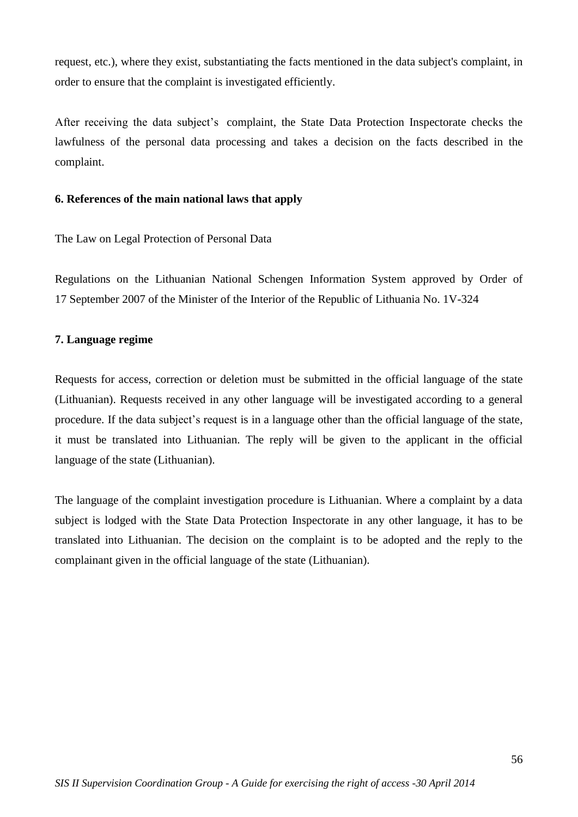request, etc.), where they exist, substantiating the facts mentioned in the data subject's complaint, in order to ensure that the complaint is investigated efficiently.

After receiving the data subject's complaint, the State Data Protection Inspectorate checks the lawfulness of the personal data processing and takes a decision on the facts described in the complaint.

# **6. References of the main national laws that apply**

The Law on Legal Protection of Personal Data

Regulations on the Lithuanian National Schengen Information System approved by Order of 17 September 2007 of the Minister of the Interior of the Republic of Lithuania No. 1V-324

# **7. Language regime**

Requests for access, correction or deletion must be submitted in the official language of the state (Lithuanian). Requests received in any other language will be investigated according to a general procedure. If the data subject's request is in a language other than the official language of the state, it must be translated into Lithuanian. The reply will be given to the applicant in the official language of the state (Lithuanian).

The language of the complaint investigation procedure is Lithuanian. Where a complaint by a data subject is lodged with the State Data Protection Inspectorate in any other language, it has to be translated into Lithuanian. The decision on the complaint is to be adopted and the reply to the complainant given in the official language of the state (Lithuanian).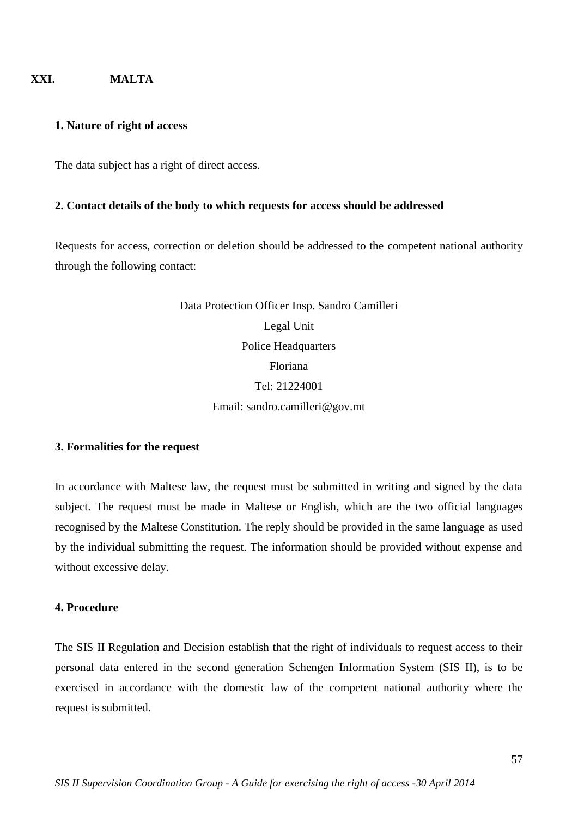# **XXI. MALTA**

#### **1. Nature of right of access**

The data subject has a right of direct access.

#### **2. Contact details of the body to which requests for access should be addressed**

Requests for access, correction or deletion should be addressed to the competent national authority through the following contact:

> Data Protection Officer Insp. Sandro Camilleri Legal Unit Police Headquarters Floriana Tel: 21224001 Email: sandro.camilleri@gov.mt

### **3. Formalities for the request**

In accordance with Maltese law, the request must be submitted in writing and signed by the data subject. The request must be made in Maltese or English, which are the two official languages recognised by the Maltese Constitution. The reply should be provided in the same language as used by the individual submitting the request. The information should be provided without expense and without excessive delay.

#### **4. Procedure**

The SIS II Regulation and Decision establish that the right of individuals to request access to their personal data entered in the second generation Schengen Information System (SIS II), is to be exercised in accordance with the domestic law of the competent national authority where the request is submitted.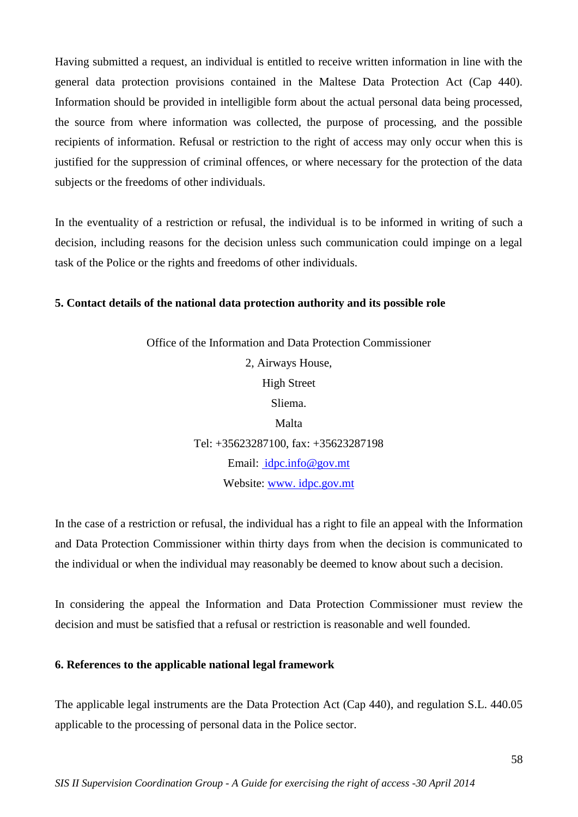Having submitted a request, an individual is entitled to receive written information in line with the general data protection provisions contained in the Maltese Data Protection Act (Cap 440). Information should be provided in intelligible form about the actual personal data being processed, the source from where information was collected, the purpose of processing, and the possible recipients of information. Refusal or restriction to the right of access may only occur when this is justified for the suppression of criminal offences, or where necessary for the protection of the data subjects or the freedoms of other individuals.

In the eventuality of a restriction or refusal, the individual is to be informed in writing of such a decision, including reasons for the decision unless such communication could impinge on a legal task of the Police or the rights and freedoms of other individuals.

# **5. Contact details of the national data protection authority and its possible role**

Office of the Information and Data Protection Commissioner 2, Airways House, High Street Sliema. Malta Tel: +35623287100, fax: +35623287198 Email: [idpc.info@gov.mt](mailto:%20idpc.info@gov.mt) Website: www. idpc.gov.mt

In the case of a restriction or refusal, the individual has a right to file an appeal with the Information and Data Protection Commissioner within thirty days from when the decision is communicated to the individual or when the individual may reasonably be deemed to know about such a decision.

In considering the appeal the Information and Data Protection Commissioner must review the decision and must be satisfied that a refusal or restriction is reasonable and well founded.

### **6. References to the applicable national legal framework**

The applicable legal instruments are the Data Protection Act (Cap 440), and regulation S.L. 440.05 applicable to the processing of personal data in the Police sector.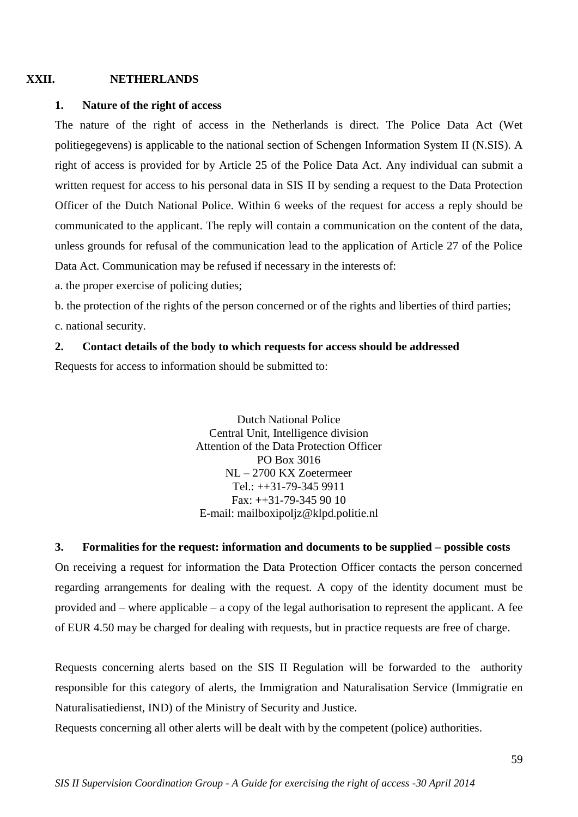# **XXII. NETHERLANDS**

## **1. Nature of the right of access**

The nature of the right of access in the Netherlands is direct. The Police Data Act (Wet politiegegevens) is applicable to the national section of Schengen Information System II (N.SIS). A right of access is provided for by Article 25 of the Police Data Act. Any individual can submit a written request for access to his personal data in SIS II by sending a request to the Data Protection Officer of the Dutch National Police. Within 6 weeks of the request for access a reply should be communicated to the applicant. The reply will contain a communication on the content of the data, unless grounds for refusal of the communication lead to the application of Article 27 of the Police Data Act. Communication may be refused if necessary in the interests of:

a. the proper exercise of policing duties;

b. the protection of the rights of the person concerned or of the rights and liberties of third parties; c. national security.

## **2. Contact details of the body to which requests for access should be addressed**

Requests for access to information should be submitted to:

Dutch National Police Central Unit, Intelligence division Attention of the Data Protection Officer PO Box 3016 NL – 2700 KX Zoetermeer Tel.: ++31-79-345 9911 Fax: ++31-79-345 90 10 E-mail: mailboxipoljz@klpd.politie.nl

#### **3. Formalities for the request: information and documents to be supplied – possible costs**

On receiving a request for information the Data Protection Officer contacts the person concerned regarding arrangements for dealing with the request. A copy of the identity document must be provided and – where applicable – a copy of the legal authorisation to represent the applicant. A fee of EUR 4.50 may be charged for dealing with requests, but in practice requests are free of charge.

Requests concerning alerts based on the SIS II Regulation will be forwarded to the authority responsible for this category of alerts, the Immigration and Naturalisation Service (Immigratie en Naturalisatiedienst, IND) of the Ministry of Security and Justice.

Requests concerning all other alerts will be dealt with by the competent (police) authorities.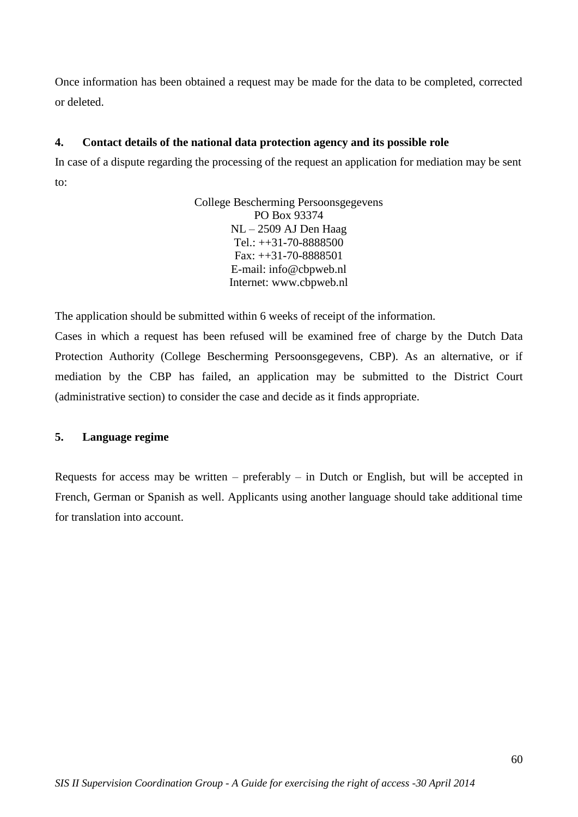Once information has been obtained a request may be made for the data to be completed, corrected or deleted.

# **4. Contact details of the national data protection agency and its possible role**

In case of a dispute regarding the processing of the request an application for mediation may be sent to:

> College Bescherming Persoonsgegevens PO Box 93374 NL – 2509 AJ Den Haag Tel.: ++31-70-8888500 Fax: ++31-70-8888501 E-mail: info@cbpweb.nl Internet: www.cbpweb.nl

The application should be submitted within 6 weeks of receipt of the information.

Cases in which a request has been refused will be examined free of charge by the Dutch Data Protection Authority (College Bescherming Persoonsgegevens, CBP). As an alternative, or if mediation by the CBP has failed, an application may be submitted to the District Court (administrative section) to consider the case and decide as it finds appropriate.

## **5. Language regime**

Requests for access may be written – preferably – in Dutch or English, but will be accepted in French, German or Spanish as well. Applicants using another language should take additional time for translation into account.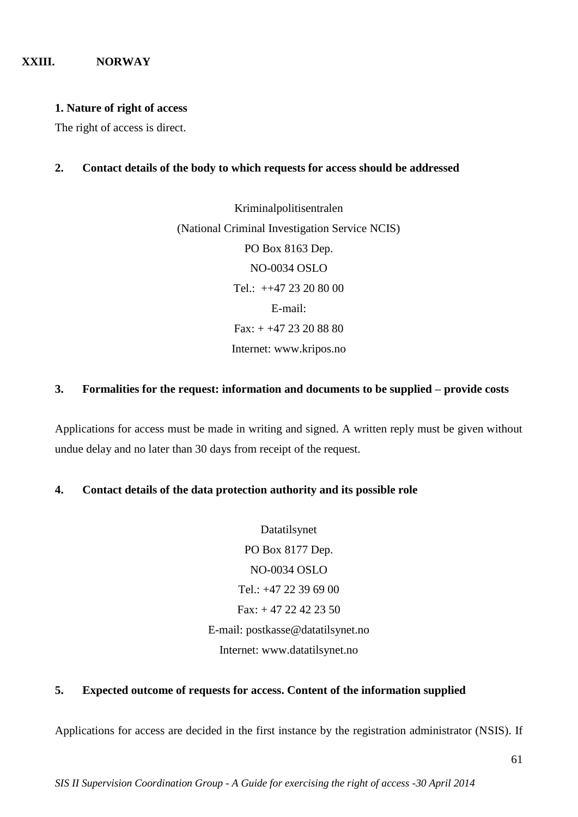# **XXIII. NORWAY**

### **1. Nature of right of access**

The right of access is direct.

# **2. Contact details of the body to which requests for access should be addressed**

Kriminalpolitisentralen (National Criminal Investigation Service NCIS) PO Box 8163 Dep. NO-0034 OSLO Tel.: ++47 23 20 80 00 E-mail: Fax: + +47 23 20 88 80 Internet: www.kripos.no

# **3. Formalities for the request: information and documents to be supplied – provide costs**

Applications for access must be made in writing and signed. A written reply must be given without undue delay and no later than 30 days from receipt of the request.

## **4. Contact details of the data protection authority and its possible role**

Datatilsynet PO Box 8177 Dep. NO-0034 OSLO Tel.: +47 22 39 69 00 Fax: + 47 22 42 23 50 E-mail: postkasse@datatilsynet.no Internet: www.datatilsynet.no

## **5. Expected outcome of requests for access. Content of the information supplied**

Applications for access are decided in the first instance by the registration administrator (NSIS). If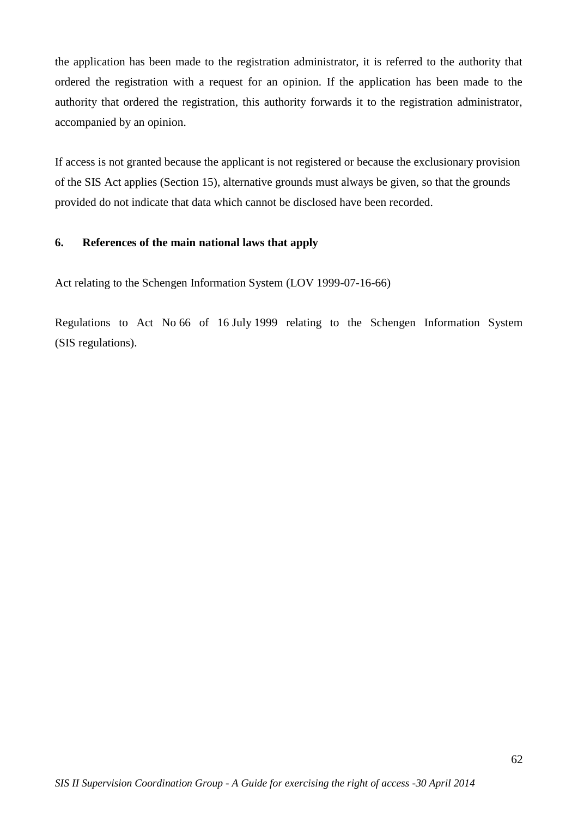the application has been made to the registration administrator, it is referred to the authority that ordered the registration with a request for an opinion. If the application has been made to the authority that ordered the registration, this authority forwards it to the registration administrator, accompanied by an opinion.

If access is not granted because the applicant is not registered or because the exclusionary provision of the SIS Act applies (Section 15), alternative grounds must always be given, so that the grounds provided do not indicate that data which cannot be disclosed have been recorded.

# **6. References of the main national laws that apply**

Act relating to the Schengen Information System (LOV 1999-07-16-66)

Regulations to Act No 66 of 16 July 1999 relating to the Schengen Information System (SIS regulations).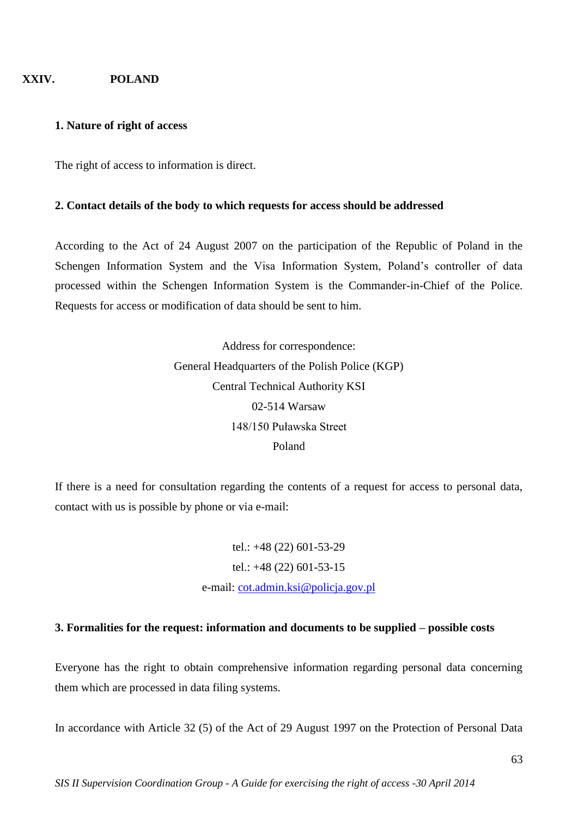## **XXIV. POLAND**

#### **1. Nature of right of access**

The right of access to information is direct.

#### **2. Contact details of the body to which requests for access should be addressed**

According to the Act of 24 August 2007 on the participation of the Republic of Poland in the Schengen Information System and the Visa Information System, Poland's controller of data processed within the Schengen Information System is the Commander-in-Chief of the Police. Requests for access or modification of data should be sent to him.

> Address for correspondence: General Headquarters of the Polish Police (KGP) Central Technical Authority KSI 02-514 Warsaw 148/150 Puławska Street Poland

If there is a need for consultation regarding the contents of a request for access to personal data, contact with us is possible by phone or via e-mail:

> tel.: +48 (22) 601-53-29 tel.: +48 (22) 601-53-15 e-mail: [cot.admin.ksi@policja.gov.pl](mailto:cot.admin.ksi@policja.gov.pl)

#### **3. Formalities for the request: information and documents to be supplied – possible costs**

Everyone has the right to obtain comprehensive information regarding personal data concerning them which are processed in data filing systems.

In accordance with Article 32 (5) of the Act of 29 August 1997 on the Protection of Personal Data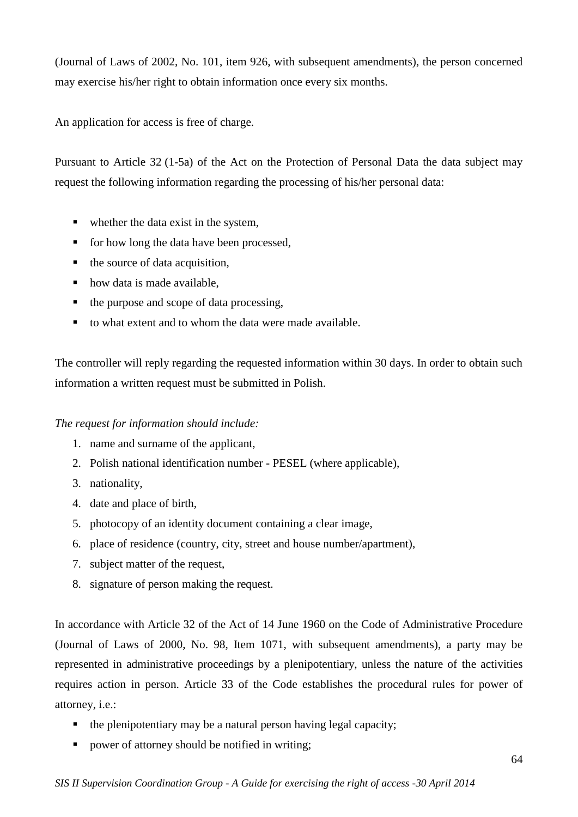(Journal of Laws of 2002, No. 101, item 926, with subsequent amendments), the person concerned may exercise his/her right to obtain information once every six months.

An application for access is free of charge.

Pursuant to Article 32 (1-5a) of the Act on the Protection of Personal Data the data subject may request the following information regarding the processing of his/her personal data:

- $\blacksquare$  whether the data exist in the system,
- **for how long the data have been processed,**
- $\blacksquare$  the source of data acquisition,
- how data is made available.
- $\blacksquare$  the purpose and scope of data processing,
- to what extent and to whom the data were made available.

The controller will reply regarding the requested information within 30 days. In order to obtain such information a written request must be submitted in Polish.

*The request for information should include:*

- 1. name and surname of the applicant,
- 2. Polish national identification number PESEL (where applicable),
- 3. nationality,
- 4. date and place of birth,
- 5. photocopy of an identity document containing a clear image,
- 6. place of residence (country, city, street and house number/apartment),
- 7. subject matter of the request,
- 8. signature of person making the request.

In accordance with Article 32 of the Act of 14 June 1960 on the Code of Administrative Procedure (Journal of Laws of 2000, No. 98, Item 1071, with subsequent amendments), a party may be represented in administrative proceedings by a plenipotentiary, unless the nature of the activities requires action in person. Article 33 of the Code establishes the procedural rules for power of attorney, i.e.:

- $\blacksquare$  the plenipotentiary may be a natural person having legal capacity;
- power of attorney should be notified in writing;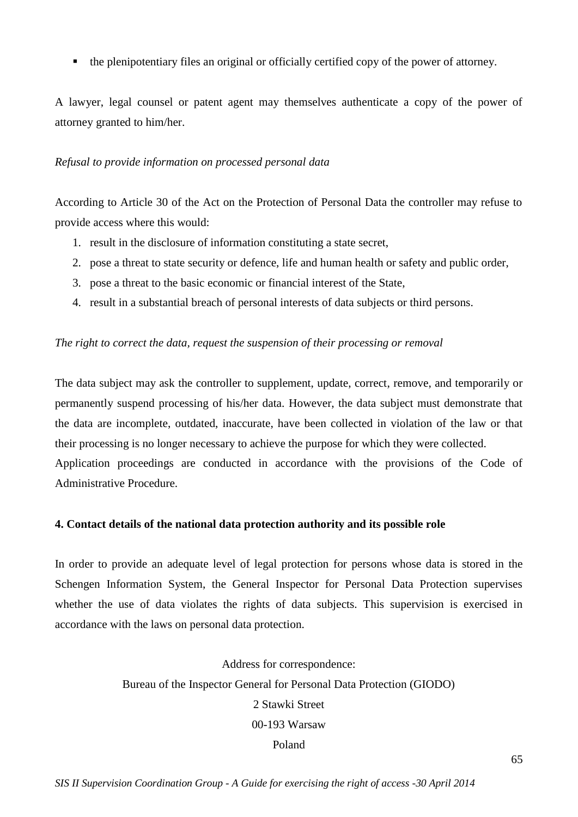the plenipotentiary files an original or officially certified copy of the power of attorney.

A lawyer, legal counsel or patent agent may themselves authenticate a copy of the power of attorney granted to him/her.

# *Refusal to provide information on processed personal data*

According to Article 30 of the Act on the Protection of Personal Data the controller may refuse to provide access where this would:

- 1. result in the disclosure of information constituting a state secret,
- 2. pose a threat to state security or defence, life and human health or safety and public order,
- 3. pose a threat to the basic economic or financial interest of the State,
- 4. result in a substantial breach of personal interests of data subjects or third persons.

# *The right to correct the data, request the suspension of their processing or removal*

The data subject may ask the controller to supplement, update, correct, remove, and temporarily or permanently suspend processing of his/her data. However, the data subject must demonstrate that the data are incomplete, outdated, inaccurate, have been collected in violation of the law or that their processing is no longer necessary to achieve the purpose for which they were collected. Application proceedings are conducted in accordance with the provisions of the Code of Administrative Procedure.

## **4. Contact details of the national data protection authority and its possible role**

In order to provide an adequate level of legal protection for persons whose data is stored in the Schengen Information System, the General Inspector for Personal Data Protection supervises whether the use of data violates the rights of data subjects. This supervision is exercised in accordance with the laws on personal data protection.

## Address for correspondence:

Bureau of the Inspector General for Personal Data Protection (GIODO)

2 Stawki Street

00-193 Warsaw

## Poland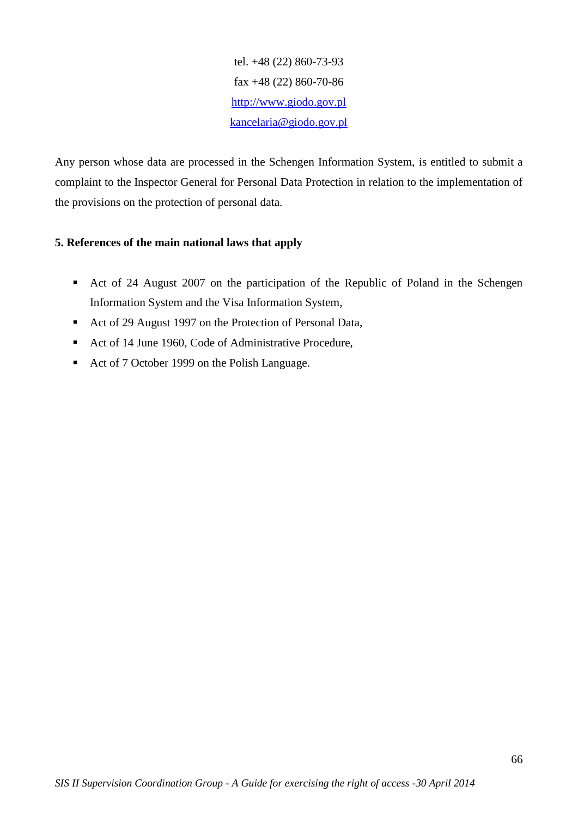tel. +48 (22) 860-73-93 fax +48 (22) 860-70-86 [http://www.giodo.gov.pl](http://www.giodo.gov.pl/) [kancelaria@giodo.gov.pl](mailto:kancelaria@giodo.gov.pl)

Any person whose data are processed in the Schengen Information System, is entitled to submit a complaint to the Inspector General for Personal Data Protection in relation to the implementation of the provisions on the protection of personal data.

# **5. References of the main national laws that apply**

- Act of 24 August 2007 on the participation of the Republic of Poland in the Schengen Information System and the Visa Information System,
- Act of 29 August 1997 on the Protection of Personal Data,
- Act of 14 June 1960, Code of Administrative Procedure,
- Act of 7 October 1999 on the Polish Language.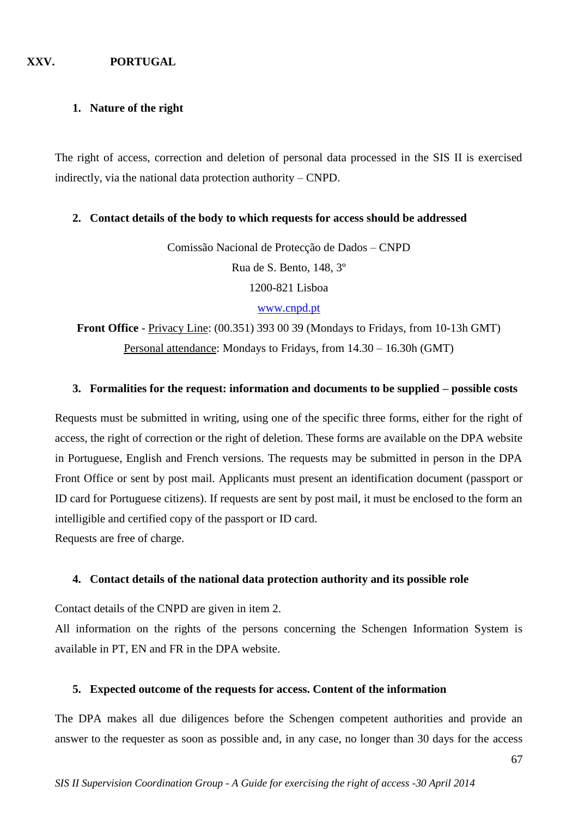# **XXV. PORTUGAL**

## **1. Nature of the right**

The right of access, correction and deletion of personal data processed in the SIS II is exercised indirectly, via the national data protection authority – CNPD.

## **2. Contact details of the body to which requests for access should be addressed**

Comissão Nacional de Protecção de Dados – CNPD Rua de S. Bento, 148, 3º 1200-821 Lisboa

[www.cnpd.pt](http://www.cnpd.pt/)

**Front Office** - Privacy Line: (00.351) 393 00 39 (Mondays to Fridays, from 10-13h GMT) Personal attendance: Mondays to Fridays, from 14.30 – 16.30h (GMT)

### **3. Formalities for the request: information and documents to be supplied – possible costs**

Requests must be submitted in writing, using one of the specific three forms, either for the right of access, the right of correction or the right of deletion. These forms are available on the DPA website in Portuguese, English and French versions. The requests may be submitted in person in the DPA Front Office or sent by post mail. Applicants must present an identification document (passport or ID card for Portuguese citizens). If requests are sent by post mail, it must be enclosed to the form an intelligible and certified copy of the passport or ID card.

Requests are free of charge.

#### **4. Contact details of the national data protection authority and its possible role**

Contact details of the CNPD are given in item 2.

All information on the rights of the persons concerning the Schengen Information System is available in PT, EN and FR in the DPA website.

#### **5. Expected outcome of the requests for access. Content of the information**

The DPA makes all due diligences before the Schengen competent authorities and provide an answer to the requester as soon as possible and, in any case, no longer than 30 days for the access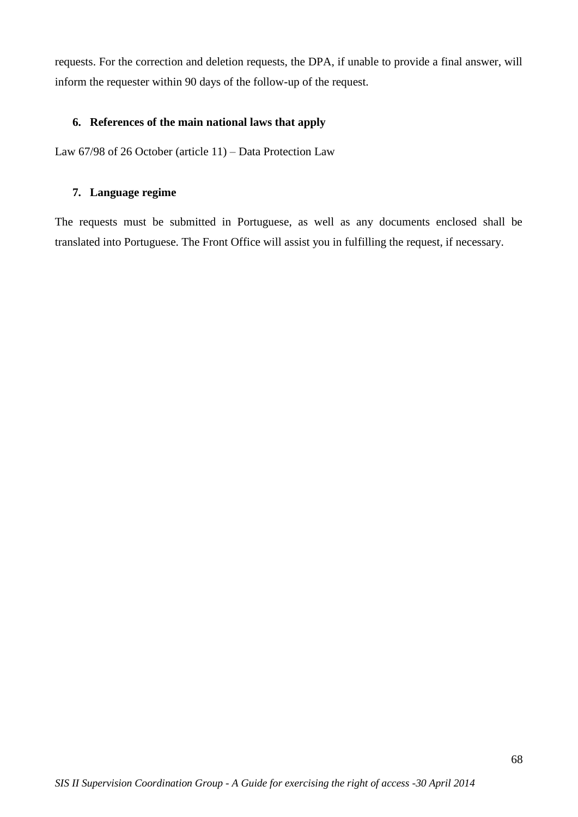requests. For the correction and deletion requests, the DPA, if unable to provide a final answer, will inform the requester within 90 days of the follow-up of the request.

# **6. References of the main national laws that apply**

Law 67/98 of 26 October (article 11) – Data Protection Law

# **7. Language regime**

The requests must be submitted in Portuguese, as well as any documents enclosed shall be translated into Portuguese. The Front Office will assist you in fulfilling the request, if necessary.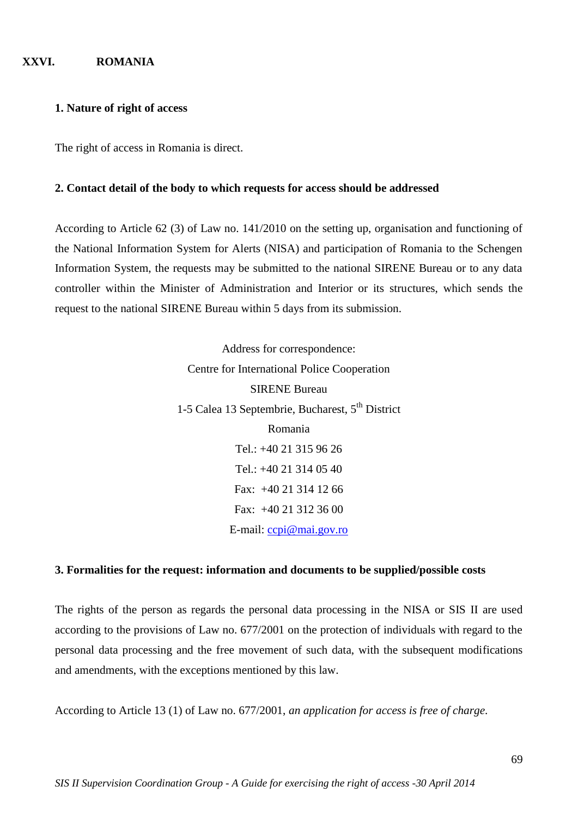## **XXVI. ROMANIA**

#### **1. Nature of right of access**

The right of access in Romania is direct.

#### **2. Contact detail of the body to which requests for access should be addressed**

According to Article 62 (3) of Law no. 141/2010 on the setting up, organisation and functioning of the National Information System for Alerts (NISA) and participation of Romania to the Schengen Information System, the requests may be submitted to the national SIRENE Bureau or to any data controller within the Minister of Administration and Interior or its structures, which sends the request to the national SIRENE Bureau within 5 days from its submission.

> Address for correspondence: Centre for International Police Cooperation SIRENE Bureau 1-5 Calea 13 Septembrie, Bucharest, 5<sup>th</sup> District Romania Tel.: +40 21 315 96 26 Tel.: +40 21 314 05 40 Fax: +40 21 314 12 66 Fax: +40 21 312 36 00 E-mail: [ccpi@mai.gov.ro](mailto:ccpi@mai.gov.ro)

## **3. Formalities for the request: information and documents to be supplied/possible costs**

The rights of the person as regards the personal data processing in the NISA or SIS II are used according to the provisions of Law no. 677/2001 on the protection of individuals with regard to the personal data processing and the free movement of such data, with the subsequent modifications and amendments, with the exceptions mentioned by this law.

According to Article 13 (1) of Law no. 677/2001, *an application for access is free of charge.*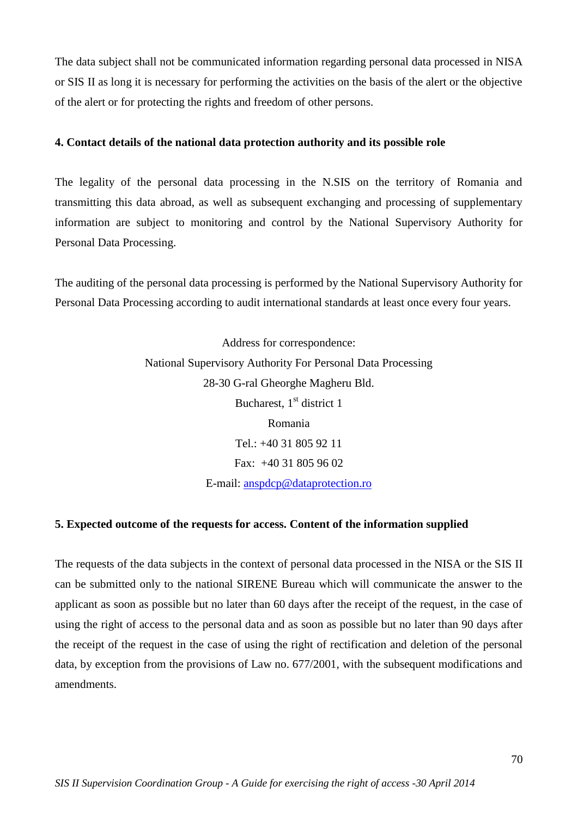The data subject shall not be communicated information regarding personal data processed in NISA or SIS II as long it is necessary for performing the activities on the basis of the alert or the objective of the alert or for protecting the rights and freedom of other persons.

## **4. Contact details of the national data protection authority and its possible role**

The legality of the personal data processing in the N.SIS on the territory of Romania and transmitting this data abroad, as well as subsequent exchanging and processing of supplementary information are subject to monitoring and control by the National Supervisory Authority for Personal Data Processing.

The auditing of the personal data processing is performed by the National Supervisory Authority for Personal Data Processing according to audit international standards at least once every four years.

> Address for correspondence: National Supervisory Authority For Personal Data Processing 28-30 G-ral Gheorghe Magheru Bld. Bucharest,  $1<sup>st</sup>$  district 1 Romania Tel.: +40 31 805 92 11 Fax: +40 31 805 96 02 E-mail: [anspdcp@dataprotection.ro](mailto:anspdcp@dataprotection.ro)

### **5. Expected outcome of the requests for access. Content of the information supplied**

The requests of the data subjects in the context of personal data processed in the NISA or the SIS II can be submitted only to the national SIRENE Bureau which will communicate the answer to the applicant as soon as possible but no later than 60 days after the receipt of the request, in the case of using the right of access to the personal data and as soon as possible but no later than 90 days after the receipt of the request in the case of using the right of rectification and deletion of the personal data, by exception from the provisions of Law no. 677/2001, with the subsequent modifications and amendments.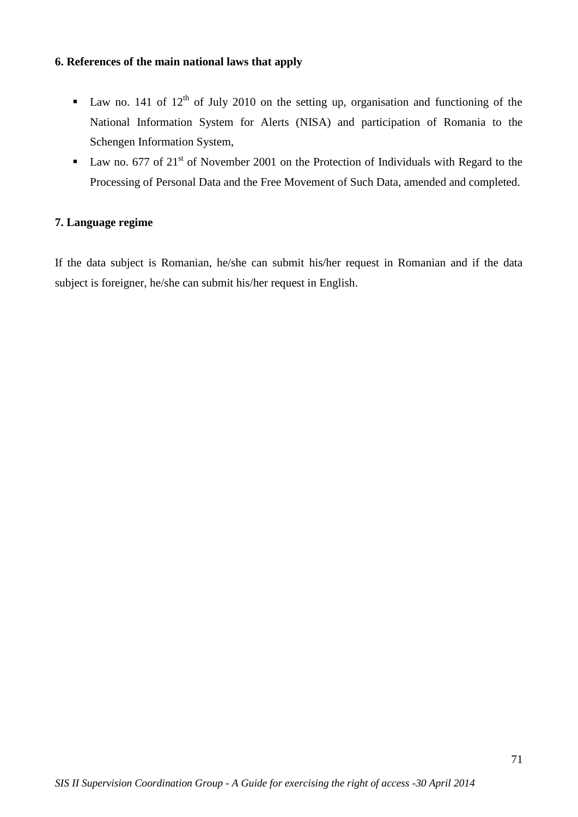# **6. References of the main national laws that apply**

- Law no. 141 of  $12<sup>th</sup>$  of July 2010 on the setting up, organisation and functioning of the National Information System for Alerts (NISA) and participation of Romania to the Schengen Information System,
- Law no. 677 of  $21<sup>st</sup>$  of November 2001 on the Protection of Individuals with Regard to the Processing of Personal Data and the Free Movement of Such Data, amended and completed.

# **7. Language regime**

If the data subject is Romanian, he/she can submit his/her request in Romanian and if the data subject is foreigner, he/she can submit his/her request in English.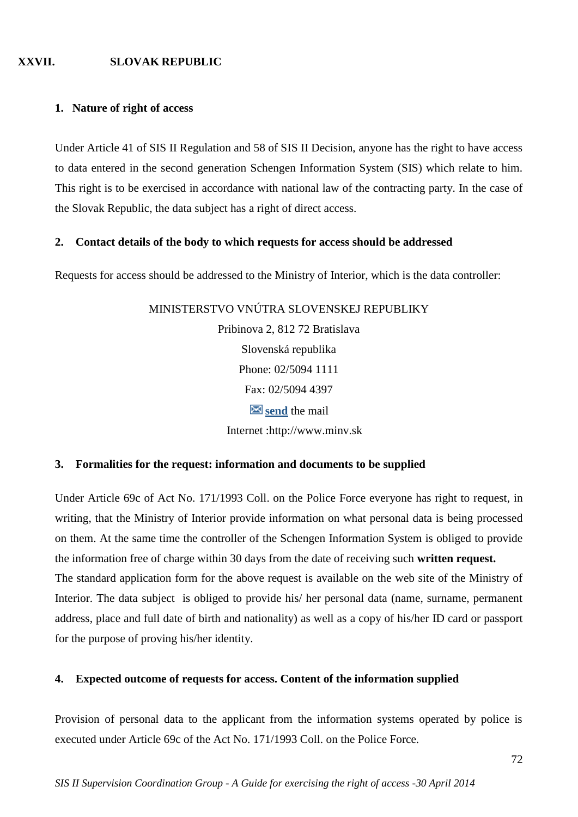# **XXVII. SLOVAK REPUBLIC**

## **1. Nature of right of access**

Under Article 41 of SIS II Regulation and 58 of SIS II Decision, anyone has the right to have access to data entered in the second generation Schengen Information System (SIS) which relate to him. This right is to be exercised in accordance with national law of the contracting party. In the case of the Slovak Republic, the data subject has a right of direct access.

# **2. Contact details of the body to which requests for access should be addressed**

Requests for access should be addressed to the Ministry of Interior, which is the data controller:

MINISTERSTVO VNÚTRA SLOVENSKEJ REPUBLIKY Pribinova 2, 812 72 Bratislava Slovenská republika Phone: 02/5094 1111 Fax: 02/5094 4397 [send](http://www.minv.sk/?kontakty-13&kontakt=1082&) the mail Internet :http://www.minv.sk

## **3. Formalities for the request: information and documents to be supplied**

Under Article 69c of Act No. 171/1993 Coll. on the Police Force everyone has right to request, in writing, that the Ministry of Interior provide information on what personal data is being processed on them. At the same time the controller of the Schengen Information System is obliged to provide the information free of charge within 30 days from the date of receiving such **written request.** The standard application form for the above request is available on the web site of the Ministry of Interior. The data subject is obliged to provide his/ her personal data (name, surname, permanent address, place and full date of birth and nationality) as well as a copy of his/her ID card or passport for the purpose of proving his/her identity.

# **4. Expected outcome of requests for access. Content of the information supplied**

Provision of personal data to the applicant from the information systems operated by police is executed under Article 69c of the Act No. 171/1993 Coll. on the Police Force.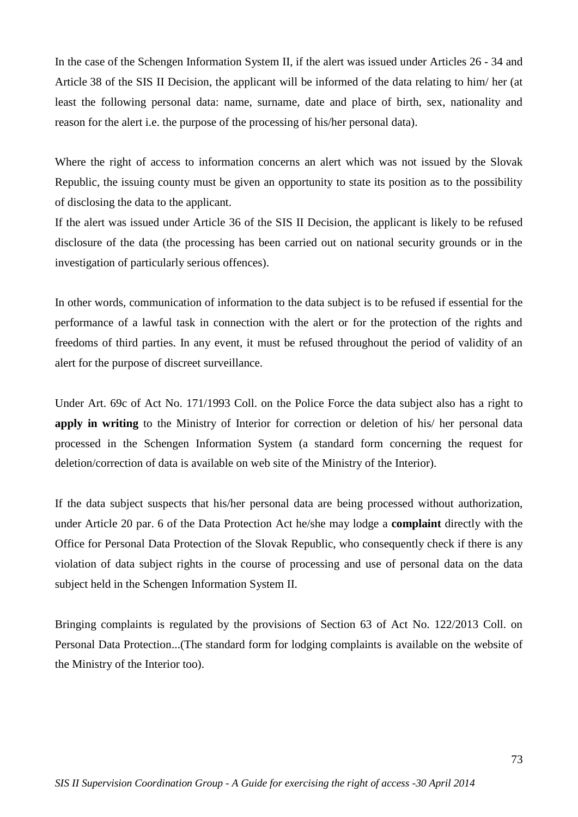In the case of the Schengen Information System II, if the alert was issued under Articles 26 - 34 and Article 38 of the SIS II Decision, the applicant will be informed of the data relating to him/ her (at least the following personal data: name, surname, date and place of birth, sex, nationality and reason for the alert i.e. the purpose of the processing of his/her personal data).

Where the right of access to information concerns an alert which was not issued by the Slovak Republic, the issuing county must be given an opportunity to state its position as to the possibility of disclosing the data to the applicant.

If the alert was issued under Article 36 of the SIS II Decision, the applicant is likely to be refused disclosure of the data (the processing has been carried out on national security grounds or in the investigation of particularly serious offences).

In other words, communication of information to the data subject is to be refused if essential for the performance of a lawful task in connection with the alert or for the protection of the rights and freedoms of third parties. In any event, it must be refused throughout the period of validity of an alert for the purpose of discreet surveillance.

Under Art. 69c of Act No. 171/1993 Coll. on the Police Force the data subject also has a right to **apply in writing** to the Ministry of Interior for correction or deletion of his/ her personal data processed in the Schengen Information System (a standard form concerning the request for deletion/correction of data is available on web site of the Ministry of the Interior).

If the data subject suspects that his/her personal data are being processed without authorization, under Article 20 par. 6 of the Data Protection Act he/she may lodge a **complaint** directly with the Office for Personal Data Protection of the Slovak Republic, who consequently check if there is any violation of data subject rights in the course of processing and use of personal data on the data subject held in the Schengen Information System II.

Bringing complaints is regulated by the provisions of Section 63 of Act No. 122/2013 Coll. on Personal Data Protection...(The standard form for lodging complaints is available on the website of the Ministry of the Interior too).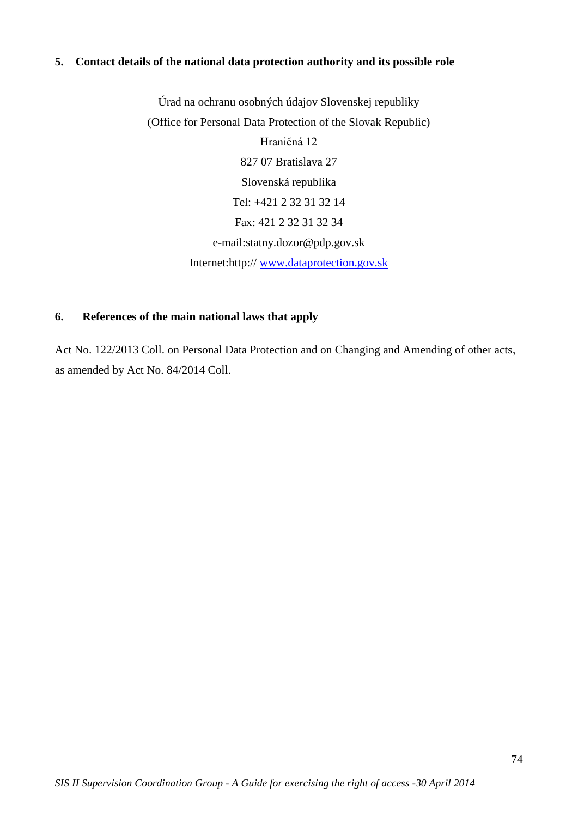# **5. Contact details of the national data protection authority and its possible role**

Úrad na ochranu osobných údajov Slovenskej republiky (Office for Personal Data Protection of the Slovak Republic) Hraničná 12 827 07 Bratislava 27 Slovenská republika Tel: +421 2 32 31 32 14 Fax: 421 2 32 31 32 34 e-mail:statny.dozor@pdp.gov.sk Internet:http:// [www.dataprotection.gov.sk](http://www.dataprotection.gov.sk/)

# **6. References of the main national laws that apply**

Act No. 122/2013 Coll. on Personal Data Protection and on Changing and Amending of other acts, as amended by Act No. 84/2014 Coll.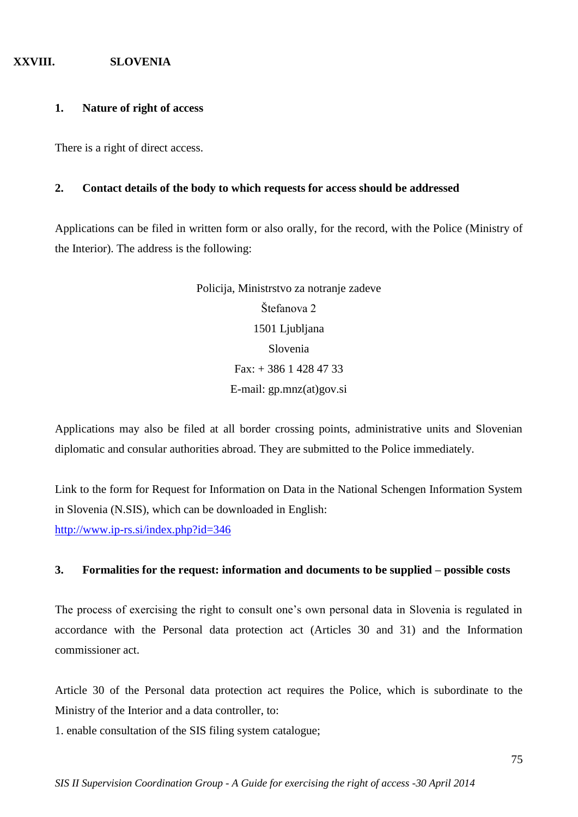# **XXVIII. SLOVENIA**

#### **1. Nature of right of access**

There is a right of direct access.

#### **2. Contact details of the body to which requests for access should be addressed**

Applications can be filed in written form or also orally, for the record, with the Police (Ministry of the Interior). The address is the following:

> Policija, Ministrstvo za notranje zadeve Štefanova 2 1501 Ljubljana Slovenia  $Fax: + 38614284733$ E-mail: gp.mnz(at)gov.si

Applications may also be filed at all border crossing points, administrative units and Slovenian diplomatic and consular authorities abroad. They are submitted to the Police immediately.

Link to the form for Request for Information on Data in the National Schengen Information System in Slovenia (N.SIS), which can be downloaded in English: <http://www.ip-rs.si/index.php?id=346>

### **3. Formalities for the request: information and documents to be supplied – possible costs**

The process of exercising the right to consult one's own personal data in Slovenia is regulated in accordance with the Personal data protection act (Articles 30 and 31) and the Information commissioner act.

Article 30 of the Personal data protection act requires the Police, which is subordinate to the Ministry of the Interior and a data controller, to:

1. enable consultation of the SIS filing system catalogue;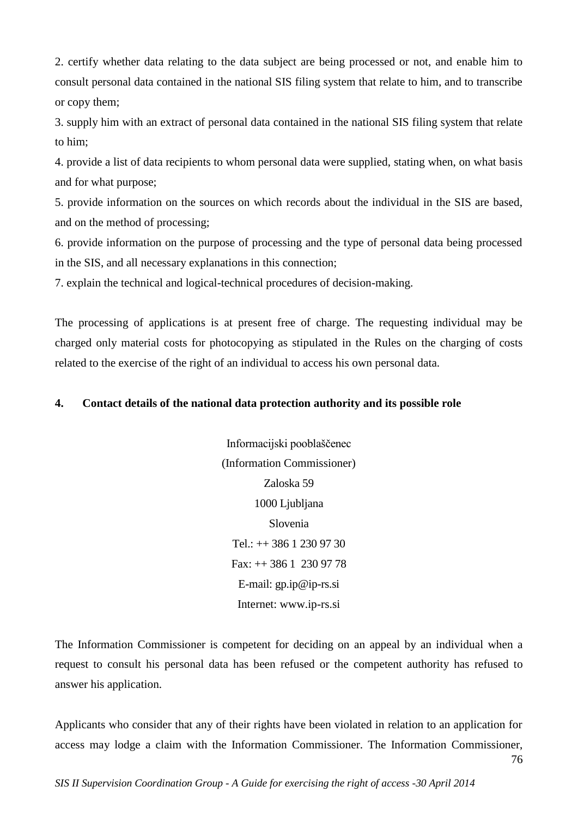2. certify whether data relating to the data subject are being processed or not, and enable him to consult personal data contained in the national SIS filing system that relate to him, and to transcribe or copy them;

3. supply him with an extract of personal data contained in the national SIS filing system that relate to him;

4. provide a list of data recipients to whom personal data were supplied, stating when, on what basis and for what purpose;

5. provide information on the sources on which records about the individual in the SIS are based, and on the method of processing;

6. provide information on the purpose of processing and the type of personal data being processed in the SIS, and all necessary explanations in this connection;

7. explain the technical and logical-technical procedures of decision-making.

The processing of applications is at present free of charge. The requesting individual may be charged only material costs for photocopying as stipulated in the Rules on the charging of costs related to the exercise of the right of an individual to access his own personal data.

#### **4. Contact details of the national data protection authority and its possible role**

Informacijski pooblaščenec (Information Commissioner) Zaloska 59 1000 Ljubljana Slovenia Tel.: ++ 386 1 230 97 30 Fax: ++ 386 1 230 97 78 E-mail: gp.ip@ip-rs.si Internet: www.ip-rs.si

The Information Commissioner is competent for deciding on an appeal by an individual when a request to consult his personal data has been refused or the competent authority has refused to answer his application.

Applicants who consider that any of their rights have been violated in relation to an application for access may lodge a claim with the Information Commissioner. The Information Commissioner,

76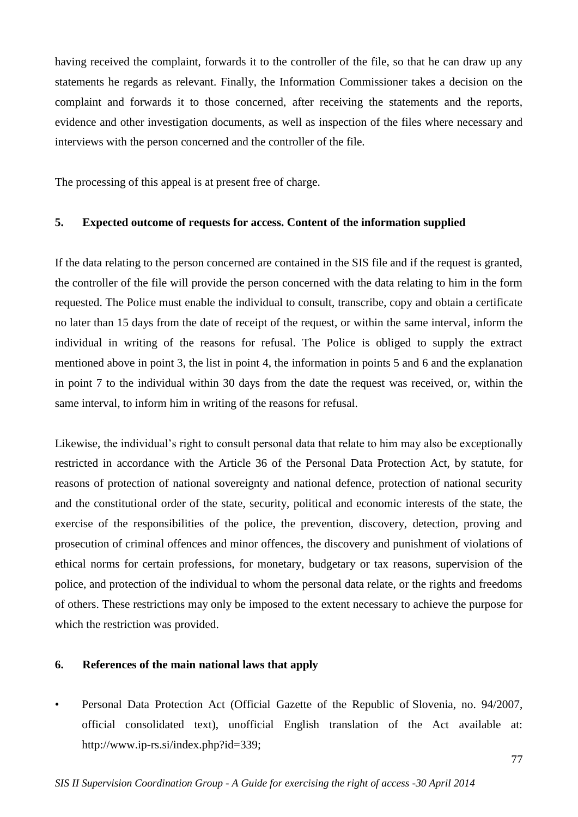having received the complaint, forwards it to the controller of the file, so that he can draw up any statements he regards as relevant. Finally, the Information Commissioner takes a decision on the complaint and forwards it to those concerned, after receiving the statements and the reports, evidence and other investigation documents, as well as inspection of the files where necessary and interviews with the person concerned and the controller of the file.

The processing of this appeal is at present free of charge.

### **5. Expected outcome of requests for access. Content of the information supplied**

If the data relating to the person concerned are contained in the SIS file and if the request is granted, the controller of the file will provide the person concerned with the data relating to him in the form requested. The Police must enable the individual to consult, transcribe, copy and obtain a certificate no later than 15 days from the date of receipt of the request, or within the same interval, inform the individual in writing of the reasons for refusal. The Police is obliged to supply the extract mentioned above in point 3, the list in point 4, the information in points 5 and 6 and the explanation in point 7 to the individual within 30 days from the date the request was received, or, within the same interval, to inform him in writing of the reasons for refusal.

Likewise, the individual's right to consult personal data that relate to him may also be exceptionally restricted in accordance with the Article 36 of the Personal Data Protection Act, by statute, for reasons of protection of national sovereignty and national defence, protection of national security and the constitutional order of the state, security, political and economic interests of the state, the exercise of the responsibilities of the police, the prevention, discovery, detection, proving and prosecution of criminal offences and minor offences, the discovery and punishment of violations of ethical norms for certain professions, for monetary, budgetary or tax reasons, supervision of the police, and protection of the individual to whom the personal data relate, or the rights and freedoms of others. These restrictions may only be imposed to the extent necessary to achieve the purpose for which the restriction was provided.

### **6. References of the main national laws that apply**

• Personal Data Protection Act (Official Gazette of the Republic of Slovenia, no. 94/2007, official consolidated text), unofficial English translation of the Act available at: http://www.ip-rs.si/index.php?id=339;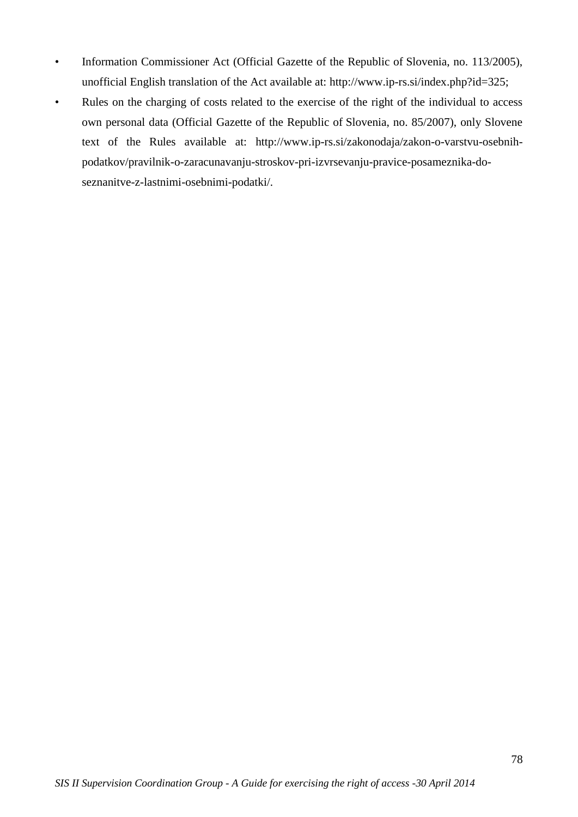- Information Commissioner Act (Official Gazette of the Republic of Slovenia, no. 113/2005), unofficial English translation of the Act available at: http://www.ip-rs.si/index.php?id=325;
- Rules on the charging of costs related to the exercise of the right of the individual to access own personal data (Official Gazette of the Republic of Slovenia, no. 85/2007), only Slovene text of the Rules available at: http://www.ip-rs.si/zakonodaja/zakon-o-varstvu-osebnihpodatkov/pravilnik-o-zaracunavanju-stroskov-pri-izvrsevanju-pravice-posameznika-doseznanitve-z-lastnimi-osebnimi-podatki/.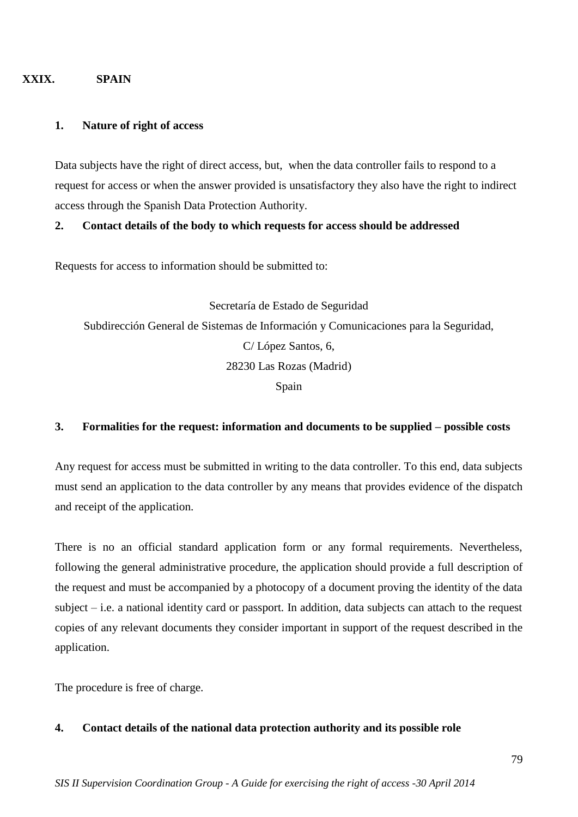# **XXIX. SPAIN**

### **1. Nature of right of access**

Data subjects have the right of direct access, but, when the data controller fails to respond to a request for access or when the answer provided is unsatisfactory they also have the right to indirect access through the Spanish Data Protection Authority.

### **2. Contact details of the body to which requests for access should be addressed**

Requests for access to information should be submitted to:

Secretaría de Estado de Seguridad Subdirección General de Sistemas de Información y Comunicaciones para la Seguridad, C/ López Santos, 6, 28230 Las Rozas (Madrid) Spain

# **3. Formalities for the request: information and documents to be supplied – possible costs**

Any request for access must be submitted in writing to the data controller. To this end, data subjects must send an application to the data controller by any means that provides evidence of the dispatch and receipt of the application.

There is no an official standard application form or any formal requirements. Nevertheless, following the general administrative procedure, the application should provide a full description of the request and must be accompanied by a photocopy of a document proving the identity of the data subject – i.e. a national identity card or passport. In addition, data subjects can attach to the request copies of any relevant documents they consider important in support of the request described in the application.

The procedure is free of charge.

# **4. Contact details of the national data protection authority and its possible role**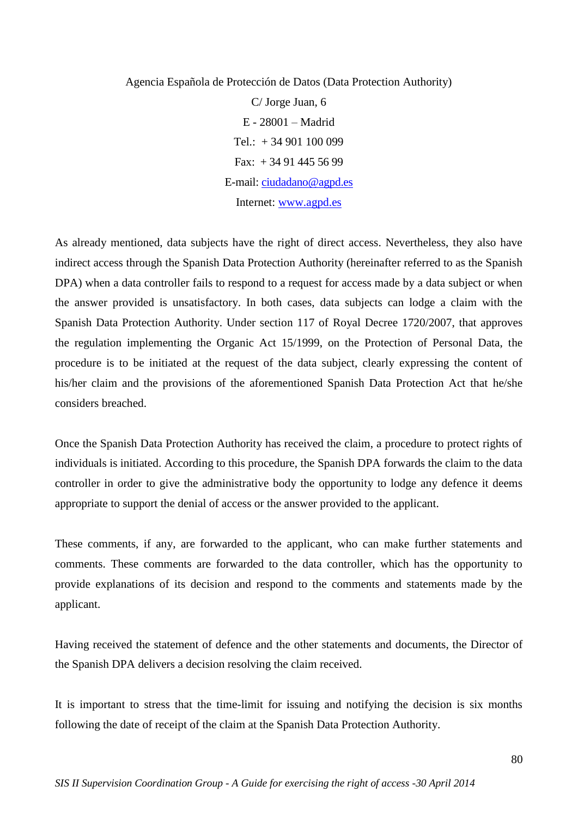Agencia Española de Protección de Datos (Data Protection Authority) C/ Jorge Juan, 6 E - 28001 – Madrid Tel.: + 34 901 100 099 Fax: + 34 91 445 56 99 E-mail: [ciudadano@agpd.es](mailto:ciudadano@agpd.es) Internet: [www.agpd.es](http://www.agpd.es/)

As already mentioned, data subjects have the right of direct access. Nevertheless, they also have indirect access through the Spanish Data Protection Authority (hereinafter referred to as the Spanish DPA) when a data controller fails to respond to a request for access made by a data subject or when the answer provided is unsatisfactory. In both cases, data subjects can lodge a claim with the Spanish Data Protection Authority. Under section 117 of Royal Decree 1720/2007, that approves the regulation implementing the Organic Act 15/1999, on the Protection of Personal Data, the procedure is to be initiated at the request of the data subject, clearly expressing the content of his/her claim and the provisions of the aforementioned Spanish Data Protection Act that he/she considers breached.

Once the Spanish Data Protection Authority has received the claim, a procedure to protect rights of individuals is initiated. According to this procedure, the Spanish DPA forwards the claim to the data controller in order to give the administrative body the opportunity to lodge any defence it deems appropriate to support the denial of access or the answer provided to the applicant.

These comments, if any, are forwarded to the applicant, who can make further statements and comments. These comments are forwarded to the data controller, which has the opportunity to provide explanations of its decision and respond to the comments and statements made by the applicant.

Having received the statement of defence and the other statements and documents, the Director of the Spanish DPA delivers a decision resolving the claim received.

It is important to stress that the time-limit for issuing and notifying the decision is six months following the date of receipt of the claim at the Spanish Data Protection Authority.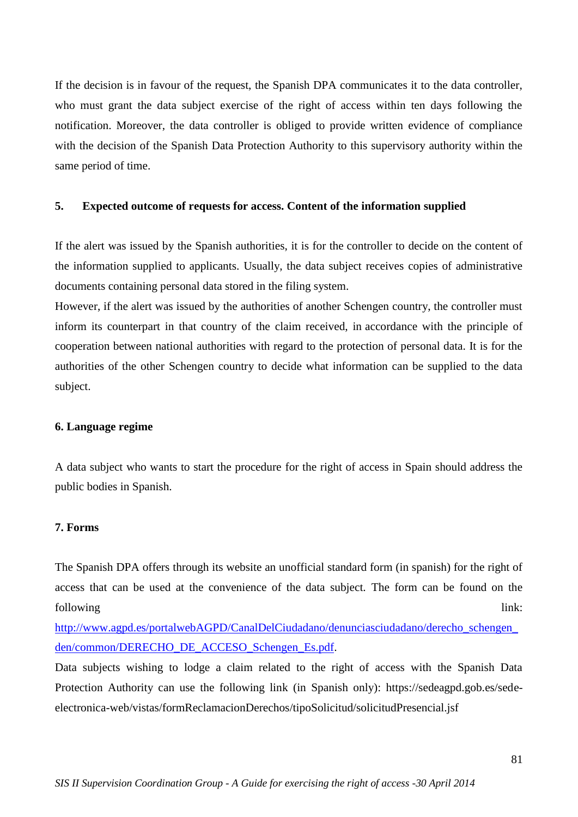If the decision is in favour of the request, the Spanish DPA communicates it to the data controller, who must grant the data subject exercise of the right of access within ten days following the notification. Moreover, the data controller is obliged to provide written evidence of compliance with the decision of the Spanish Data Protection Authority to this supervisory authority within the same period of time.

### **5. Expected outcome of requests for access. Content of the information supplied**

If the alert was issued by the Spanish authorities, it is for the controller to decide on the content of the information supplied to applicants. Usually, the data subject receives copies of administrative documents containing personal data stored in the filing system.

However, if the alert was issued by the authorities of another Schengen country, the controller must inform its counterpart in that country of the claim received, in accordance with the principle of cooperation between national authorities with regard to the protection of personal data. It is for the authorities of the other Schengen country to decide what information can be supplied to the data subject.

#### **6. Language regime**

A data subject who wants to start the procedure for the right of access in Spain should address the public bodies in Spanish.

#### **7. Forms**

The Spanish DPA offers through its website an unofficial standard form (in spanish) for the right of access that can be used at the convenience of the data subject. The form can be found on the following link:

[http://www.agpd.es/portalwebAGPD/CanalDelCiudadano/denunciasciudadano/derecho\\_schengen\\_](http://www.agpd.es/portalwebAGPD/CanalDelCiudadano/denunciasciudadano/derecho_schengen_den/common/DERECHO_DE_ACCESO_Schengen_Es.pdf) [den/common/DERECHO\\_DE\\_ACCESO\\_Schengen\\_Es.pdf.](http://www.agpd.es/portalwebAGPD/CanalDelCiudadano/denunciasciudadano/derecho_schengen_den/common/DERECHO_DE_ACCESO_Schengen_Es.pdf)

Data subjects wishing to lodge a claim related to the right of access with the Spanish Data Protection Authority can use the following link (in Spanish only): https://sedeagpd.gob.es/sedeelectronica-web/vistas/formReclamacionDerechos/tipoSolicitud/solicitudPresencial.jsf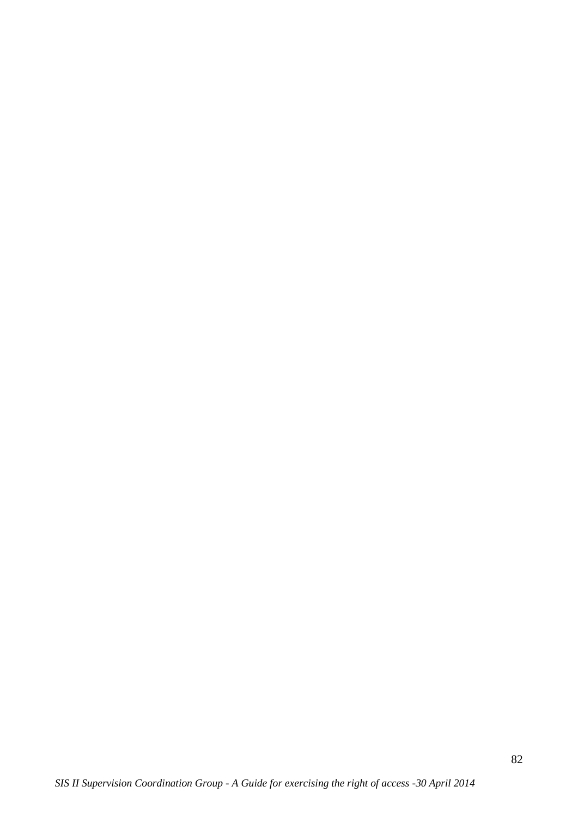82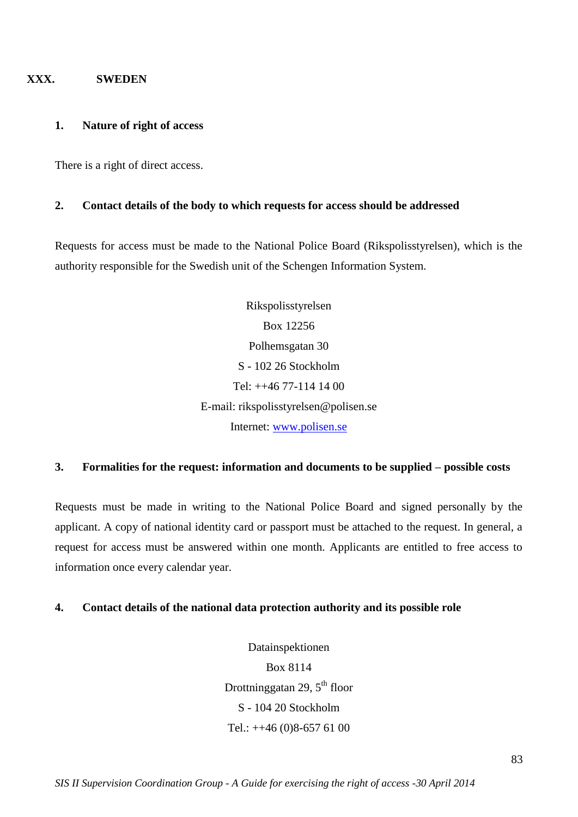### **XXX. SWEDEN**

#### **1. Nature of right of access**

There is a right of direct access.

#### **2. Contact details of the body to which requests for access should be addressed**

Requests for access must be made to the National Police Board (Rikspolisstyrelsen), which is the authority responsible for the Swedish unit of the Schengen Information System.

> Rikspolisstyrelsen Box 12256 Polhemsgatan 30 S - 102 26 Stockholm Tel: ++46 77-114 14 00 E-mail: rikspolisstyrelsen@polisen.se Internet: [www.polisen.se](http://www.polisen.se/)

# **3. Formalities for the request: information and documents to be supplied – possible costs**

Requests must be made in writing to the National Police Board and signed personally by the applicant. A copy of national identity card or passport must be attached to the request. In general, a request for access must be answered within one month. Applicants are entitled to free access to information once every calendar year.

#### **4. Contact details of the national data protection authority and its possible role**

Datainspektionen Box 8114 Drottninggatan 29,  $5<sup>th</sup>$  floor S - 104 20 Stockholm Tel.: ++46 (0)8-657 61 00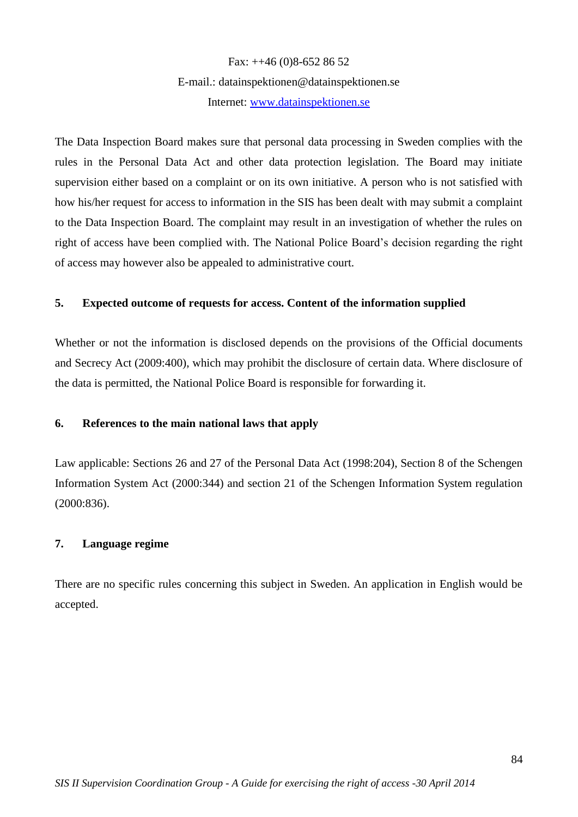Fax: ++46 (0)8-652 86 52 E-mail.: datainspektionen@datainspektionen.se Internet: [www.datainspektionen.se](http://www.datainspektionen.se/)

The Data Inspection Board makes sure that personal data processing in Sweden complies with the rules in the Personal Data Act and other data protection legislation. The Board may initiate supervision either based on a complaint or on its own initiative. A person who is not satisfied with how his/her request for access to information in the SIS has been dealt with may submit a complaint to the Data Inspection Board. The complaint may result in an investigation of whether the rules on right of access have been complied with. The National Police Board's decision regarding the right of access may however also be appealed to administrative court.

# **5. Expected outcome of requests for access. Content of the information supplied**

Whether or not the information is disclosed depends on the provisions of the Official documents and Secrecy Act (2009:400), which may prohibit the disclosure of certain data. Where disclosure of the data is permitted, the National Police Board is responsible for forwarding it.

### **6. References to the main national laws that apply**

Law applicable: Sections 26 and 27 of the Personal Data Act (1998:204), Section 8 of the Schengen Information System Act (2000:344) and section 21 of the Schengen Information System regulation (2000:836).

### **7. Language regime**

There are no specific rules concerning this subject in Sweden. An application in English would be accepted.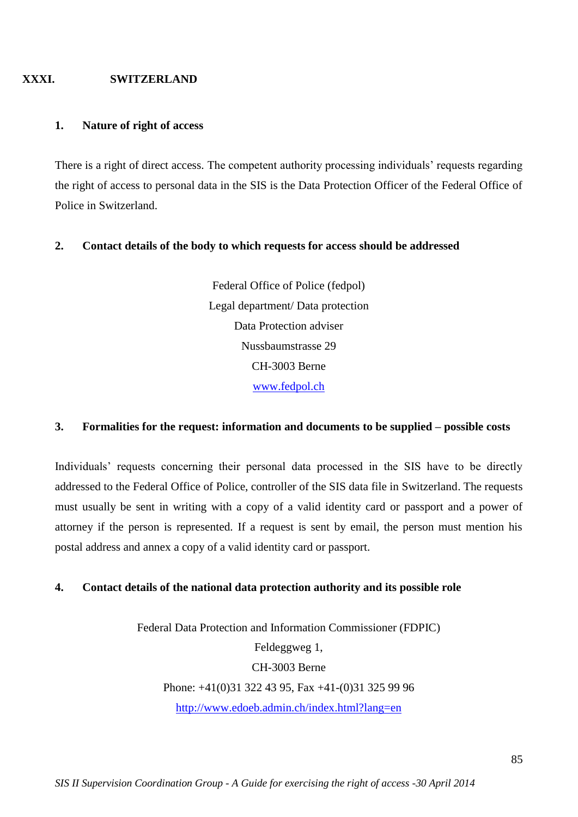### **XXXI. SWITZERLAND**

### **1. Nature of right of access**

There is a right of direct access. The competent authority processing individuals' requests regarding the right of access to personal data in the SIS is the Data Protection Officer of the Federal Office of Police in Switzerland.

### **2. Contact details of the body to which requests for access should be addressed**

Federal Office of Police (fedpol) Legal department/ Data protection Data Protection adviser Nussbaumstrasse 29 CH-3003 Berne [www.fedpol.ch](http://www.fedpol.ch/)

### **3. Formalities for the request: information and documents to be supplied – possible costs**

Individuals' requests concerning their personal data processed in the SIS have to be directly addressed to the Federal Office of Police, controller of the SIS data file in Switzerland. The requests must usually be sent in writing with a copy of a valid identity card or passport and a power of attorney if the person is represented. If a request is sent by email, the person must mention his postal address and annex a copy of a valid identity card or passport.

### **4. Contact details of the national data protection authority and its possible role**

Federal Data Protection and Information Commissioner (FDPIC) Feldeggweg 1, CH-3003 Berne Phone: +41(0)31 322 43 95, Fax +41-(0)31 325 99 96 <http://www.edoeb.admin.ch/index.html?lang=en>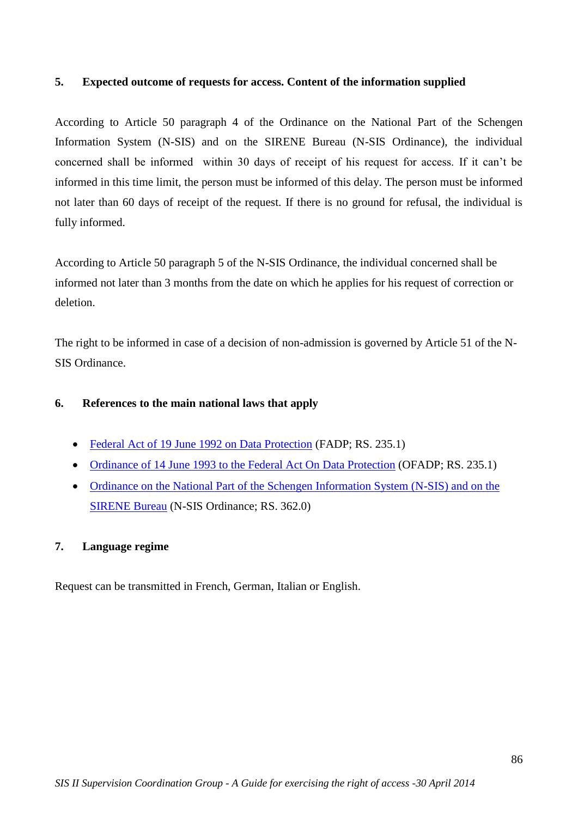### **5. Expected outcome of requests for access. Content of the information supplied**

According to Article 50 paragraph 4 of the Ordinance on the National Part of the Schengen Information System (N-SIS) and on the SIRENE Bureau (N-SIS Ordinance), the individual concerned shall be informed within 30 days of receipt of his request for access. If it can't be informed in this time limit, the person must be informed of this delay. The person must be informed not later than 60 days of receipt of the request. If there is no ground for refusal, the individual is fully informed.

According to Article 50 paragraph 5 of the N-SIS Ordinance, the individual concerned shall be informed not later than 3 months from the date on which he applies for his request of correction or deletion.

The right to be informed in case of a decision of non-admission is governed by Article 51 of the N-SIS Ordinance.

# **6. References to the main national laws that apply**

- [Federal Act of 19 June 1992 on Data Protection](http://www.admin.ch/ch/e/rs/c235_1.html) (FADP; RS. 235.1)
- [Ordinance of 14 June 1993 to the Federal Act On Data Protection](http://www.admin.ch/ch/e/rs/c235_11.html) (OFADP; RS. 235.1)
- Ordinance on the National Part of the Schengen Information System (N-SIS) and on the [SIRENE Bureau](http://www.admin.ch/opc/fr/classified-compilation/20111704/index.html) (N-SIS Ordinance; RS. 362.0)

# **7. Language regime**

Request can be transmitted in French, German, Italian or English.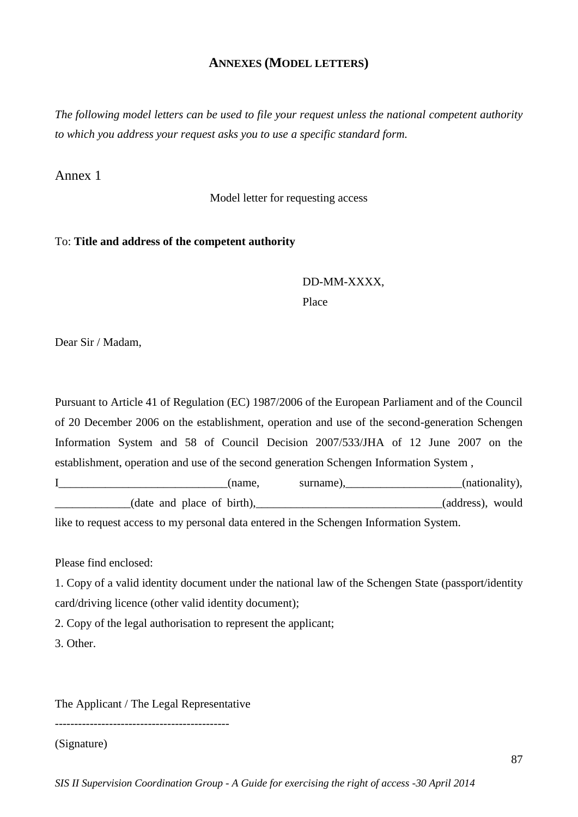# **ANNEXES (MODEL LETTERS)**

*The following model letters can be used to file your request unless the national competent authority to which you address your request asks you to use a specific standard form.*

Annex 1

Model letter for requesting access

#### To: **Title and address of the competent authority**

#### DD-MM-XXXX,

Place

Dear Sir / Madam,

Pursuant to Article 41 of Regulation (EC) 1987/2006 of the European Parliament and of the Council of 20 December 2006 on the establishment, operation and use of the second-generation Schengen Information System and 58 of Council Decision 2007/533/JHA of 12 June 2007 on the establishment, operation and use of the second generation Schengen Information System ,

I\_\_\_\_\_\_\_\_\_\_\_\_\_\_\_\_\_\_\_\_\_\_(name, surname),\_\_\_\_\_\_\_\_\_\_\_\_\_\_\_\_\_(nationality), \_\_\_\_\_\_\_\_\_\_\_\_\_(date and place of birth),\_\_\_\_\_\_\_\_\_\_\_\_\_\_\_\_\_\_\_\_\_\_\_\_\_\_\_\_\_\_\_\_(address), would

like to request access to my personal data entered in the Schengen Information System.

Please find enclosed:

1. Copy of a valid identity document under the national law of the Schengen State (passport/identity card/driving licence (other valid identity document);

2. Copy of the legal authorisation to represent the applicant;

3. Other.

The Applicant / The Legal Representative

---------------------------------------------

(Signature)